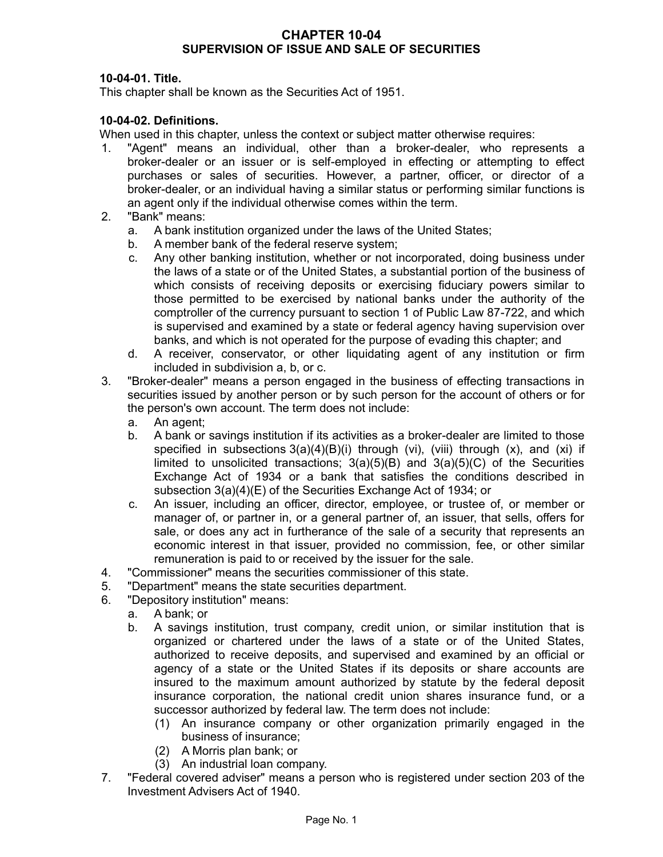### **CHAPTER 10-04 SUPERVISION OF ISSUE AND SALE OF SECURITIES**

## **10-04-01. Title.**

This chapter shall be known as the Securities Act of 1951.

### **10-04-02. Definitions.**

When used in this chapter, unless the context or subject matter otherwise requires:

- 1. "Agent" means an individual, other than a broker-dealer, who represents a broker-dealer or an issuer or is self-employed in effecting or attempting to effect purchases or sales of securities. However, a partner, officer, or director of a broker-dealer, or an individual having a similar status or performing similar functions is an agent only if the individual otherwise comes within the term.
- 2. "Bank" means:
	- a. A bank institution organized under the laws of the United States;
	- b. A member bank of the federal reserve system;
	- c. Any other banking institution, whether or not incorporated, doing business under the laws of a state or of the United States, a substantial portion of the business of which consists of receiving deposits or exercising fiduciary powers similar to those permitted to be exercised by national banks under the authority of the comptroller of the currency pursuant to section 1 of Public Law 87-722, and which is supervised and examined by a state or federal agency having supervision over banks, and which is not operated for the purpose of evading this chapter; and
	- d. A receiver, conservator, or other liquidating agent of any institution or firm included in subdivision a, b, or c.
- 3. "Broker-dealer" means a person engaged in the business of effecting transactions in securities issued by another person or by such person for the account of others or for the person's own account. The term does not include:
	- a. An agent;
	- b. A bank or savings institution if its activities as a broker-dealer are limited to those specified in subsections  $3(a)(4)(B)(i)$  through (vi), (viii) through (x), and (xi) if limited to unsolicited transactions;  $3(a)(5)(B)$  and  $3(a)(5)(C)$  of the Securities Exchange Act of 1934 or a bank that satisfies the conditions described in subsection 3(a)(4)(E) of the Securities Exchange Act of 1934; or
	- c. An issuer, including an officer, director, employee, or trustee of, or member or manager of, or partner in, or a general partner of, an issuer, that sells, offers for sale, or does any act in furtherance of the sale of a security that represents an economic interest in that issuer, provided no commission, fee, or other similar remuneration is paid to or received by the issuer for the sale.
- 4. "Commissioner" means the securities commissioner of this state.
- 5. "Department" means the state securities department.
- 6. "Depository institution" means:
	- a. A bank; or
	- b. A savings institution, trust company, credit union, or similar institution that is organized or chartered under the laws of a state or of the United States, authorized to receive deposits, and supervised and examined by an official or agency of a state or the United States if its deposits or share accounts are insured to the maximum amount authorized by statute by the federal deposit insurance corporation, the national credit union shares insurance fund, or a successor authorized by federal law. The term does not include:
		- (1) An insurance company or other organization primarily engaged in the business of insurance;
		- (2) A Morris plan bank; or
		- (3) An industrial loan company.
- 7. "Federal covered adviser" means a person who is registered under section 203 of the Investment Advisers Act of 1940.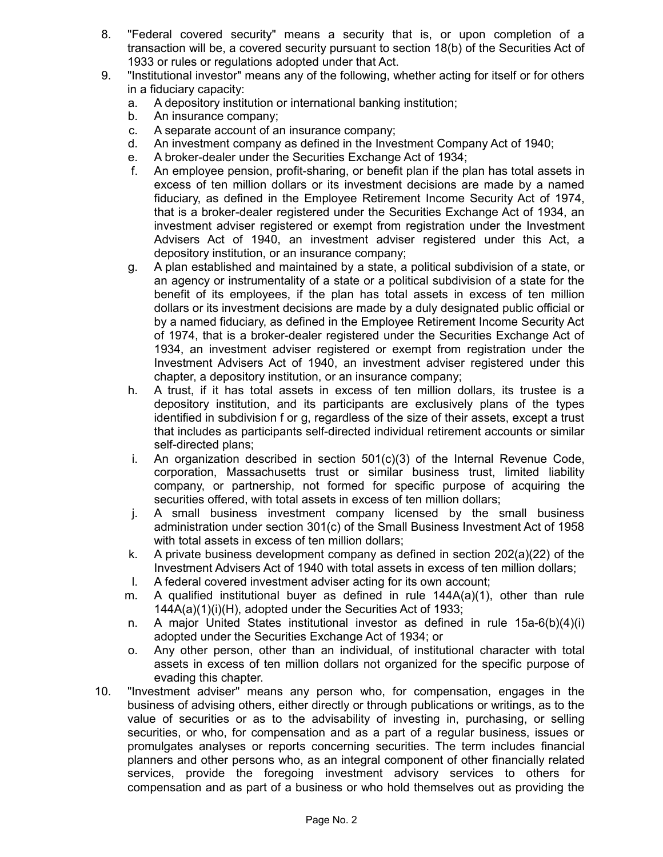- 8. "Federal covered security" means a security that is, or upon completion of a transaction will be, a covered security pursuant to section 18(b) of the Securities Act of 1933 or rules or regulations adopted under that Act.
- 9. "Institutional investor" means any of the following, whether acting for itself or for others in a fiduciary capacity:
	- a. A depository institution or international banking institution;
	- b. An insurance company;
	- c. A separate account of an insurance company;
	- d. An investment company as defined in the Investment Company Act of 1940;
	- e. A broker-dealer under the Securities Exchange Act of 1934;
	- f. An employee pension, profit-sharing, or benefit plan if the plan has total assets in excess of ten million dollars or its investment decisions are made by a named fiduciary, as defined in the Employee Retirement Income Security Act of 1974, that is a broker-dealer registered under the Securities Exchange Act of 1934, an investment adviser registered or exempt from registration under the Investment Advisers Act of 1940, an investment adviser registered under this Act, a depository institution, or an insurance company;
	- g. A plan established and maintained by a state, a political subdivision of a state, or an agency or instrumentality of a state or a political subdivision of a state for the benefit of its employees, if the plan has total assets in excess of ten million dollars or its investment decisions are made by a duly designated public official or by a named fiduciary, as defined in the Employee Retirement Income Security Act of 1974, that is a broker-dealer registered under the Securities Exchange Act of 1934, an investment adviser registered or exempt from registration under the Investment Advisers Act of 1940, an investment adviser registered under this chapter, a depository institution, or an insurance company;
	- h. A trust, if it has total assets in excess of ten million dollars, its trustee is a depository institution, and its participants are exclusively plans of the types identified in subdivision f or g, regardless of the size of their assets, except a trust that includes as participants self-directed individual retirement accounts or similar self-directed plans;
	- i. An organization described in section 501(c)(3) of the Internal Revenue Code, corporation, Massachusetts trust or similar business trust, limited liability company, or partnership, not formed for specific purpose of acquiring the securities offered, with total assets in excess of ten million dollars;
	- j. A small business investment company licensed by the small business administration under section 301(c) of the Small Business Investment Act of 1958 with total assets in excess of ten million dollars;
	- k. A private business development company as defined in section 202(a)(22) of the Investment Advisers Act of 1940 with total assets in excess of ten million dollars;
	- l. A federal covered investment adviser acting for its own account;
	- m. A qualified institutional buyer as defined in rule  $144A(a)(1)$ , other than rule 144A(a)(1)(i)(H), adopted under the Securities Act of 1933;
	- n. A major United States institutional investor as defined in rule 15a-6(b)(4)(i) adopted under the Securities Exchange Act of 1934; or
	- o. Any other person, other than an individual, of institutional character with total assets in excess of ten million dollars not organized for the specific purpose of evading this chapter.
- 10. "Investment adviser" means any person who, for compensation, engages in the business of advising others, either directly or through publications or writings, as to the value of securities or as to the advisability of investing in, purchasing, or selling securities, or who, for compensation and as a part of a regular business, issues or promulgates analyses or reports concerning securities. The term includes financial planners and other persons who, as an integral component of other financially related services, provide the foregoing investment advisory services to others for compensation and as part of a business or who hold themselves out as providing the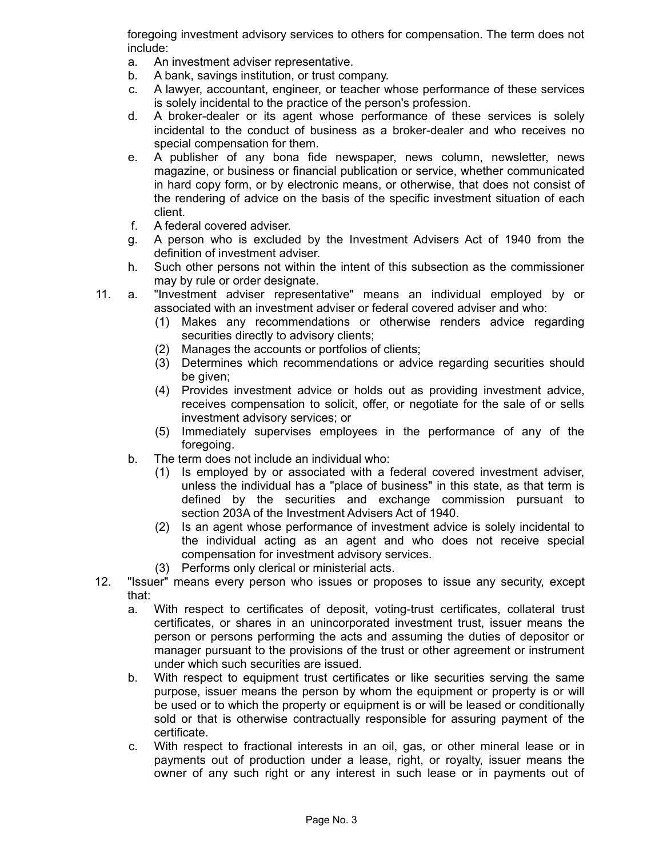foregoing investment advisory services to others for compensation. The term does not include:

- a. An investment adviser representative.
- b. A bank, savings institution, or trust company.
- c. A lawyer, accountant, engineer, or teacher whose performance of these services is solely incidental to the practice of the person's profession.
- d. A broker-dealer or its agent whose performance of these services is solely incidental to the conduct of business as a broker-dealer and who receives no special compensation for them.
- e. A publisher of any bona fide newspaper, news column, newsletter, news magazine, or business or financial publication or service, whether communicated in hard copy form, or by electronic means, or otherwise, that does not consist of the rendering of advice on the basis of the specific investment situation of each client.
- f. A federal covered adviser.
- g. A person who is excluded by the Investment Advisers Act of 1940 from the definition of investment adviser.
- h. Such other persons not within the intent of this subsection as the commissioner may by rule or order designate.
- 11. a. "Investment adviser representative" means an individual employed by or associated with an investment adviser or federal covered adviser and who:
	- (1) Makes any recommendations or otherwise renders advice regarding securities directly to advisory clients;
	- (2) Manages the accounts or portfolios of clients;
	- (3) Determines which recommendations or advice regarding securities should be given:
	- (4) Provides investment advice or holds out as providing investment advice, receives compensation to solicit, offer, or negotiate for the sale of or sells investment advisory services; or
	- (5) Immediately supervises employees in the performance of any of the foregoing.
	- b. The term does not include an individual who:
		- (1) Is employed by or associated with a federal covered investment adviser, unless the individual has a "place of business" in this state, as that term is defined by the securities and exchange commission pursuant to section 203A of the Investment Advisers Act of 1940.
		- (2) Is an agent whose performance of investment advice is solely incidental to the individual acting as an agent and who does not receive special compensation for investment advisory services.
		- (3) Performs only clerical or ministerial acts.
- 12. "Issuer" means every person who issues or proposes to issue any security, except that:
	- a. With respect to certificates of deposit, voting-trust certificates, collateral trust certificates, or shares in an unincorporated investment trust, issuer means the person or persons performing the acts and assuming the duties of depositor or manager pursuant to the provisions of the trust or other agreement or instrument under which such securities are issued.
	- b. With respect to equipment trust certificates or like securities serving the same purpose, issuer means the person by whom the equipment or property is or will be used or to which the property or equipment is or will be leased or conditionally sold or that is otherwise contractually responsible for assuring payment of the certificate.
	- c. With respect to fractional interests in an oil, gas, or other mineral lease or in payments out of production under a lease, right, or royalty, issuer means the owner of any such right or any interest in such lease or in payments out of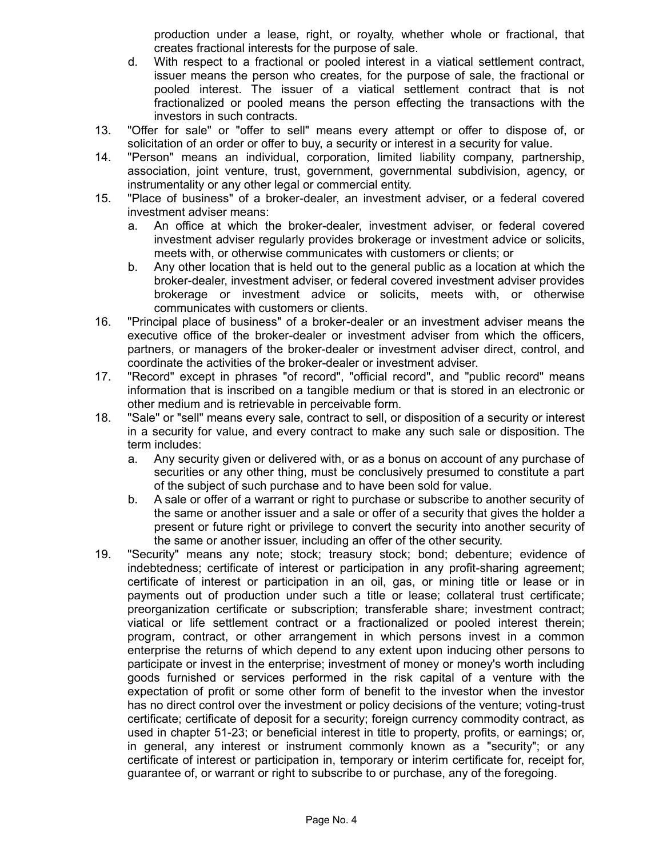production under a lease, right, or royalty, whether whole or fractional, that creates fractional interests for the purpose of sale.

- d. With respect to a fractional or pooled interest in a viatical settlement contract, issuer means the person who creates, for the purpose of sale, the fractional or pooled interest. The issuer of a viatical settlement contract that is not fractionalized or pooled means the person effecting the transactions with the investors in such contracts.
- 13. "Offer for sale" or "offer to sell" means every attempt or offer to dispose of, or solicitation of an order or offer to buy, a security or interest in a security for value.
- 14. "Person" means an individual, corporation, limited liability company, partnership, association, joint venture, trust, government, governmental subdivision, agency, or instrumentality or any other legal or commercial entity.
- 15. "Place of business" of a broker-dealer, an investment adviser, or a federal covered investment adviser means:
	- a. An office at which the broker-dealer, investment adviser, or federal covered investment adviser regularly provides brokerage or investment advice or solicits, meets with, or otherwise communicates with customers or clients; or
	- b. Any other location that is held out to the general public as a location at which the broker-dealer, investment adviser, or federal covered investment adviser provides brokerage or investment advice or solicits, meets with, or otherwise communicates with customers or clients.
- 16. "Principal place of business" of a broker-dealer or an investment adviser means the executive office of the broker-dealer or investment adviser from which the officers, partners, or managers of the broker-dealer or investment adviser direct, control, and coordinate the activities of the broker-dealer or investment adviser.
- 17. "Record" except in phrases "of record", "official record", and "public record" means information that is inscribed on a tangible medium or that is stored in an electronic or other medium and is retrievable in perceivable form.
- 18. "Sale" or "sell" means every sale, contract to sell, or disposition of a security or interest in a security for value, and every contract to make any such sale or disposition. The term includes:
	- a. Any security given or delivered with, or as a bonus on account of any purchase of securities or any other thing, must be conclusively presumed to constitute a part of the subject of such purchase and to have been sold for value.
	- b. A sale or offer of a warrant or right to purchase or subscribe to another security of the same or another issuer and a sale or offer of a security that gives the holder a present or future right or privilege to convert the security into another security of the same or another issuer, including an offer of the other security.
- 19. "Security" means any note; stock; treasury stock; bond; debenture; evidence of indebtedness; certificate of interest or participation in any profit-sharing agreement; certificate of interest or participation in an oil, gas, or mining title or lease or in payments out of production under such a title or lease; collateral trust certificate; preorganization certificate or subscription; transferable share; investment contract; viatical or life settlement contract or a fractionalized or pooled interest therein; program, contract, or other arrangement in which persons invest in a common enterprise the returns of which depend to any extent upon inducing other persons to participate or invest in the enterprise; investment of money or money's worth including goods furnished or services performed in the risk capital of a venture with the expectation of profit or some other form of benefit to the investor when the investor has no direct control over the investment or policy decisions of the venture; voting-trust certificate; certificate of deposit for a security; foreign currency commodity contract, as used in chapter 51-23; or beneficial interest in title to property, profits, or earnings; or, in general, any interest or instrument commonly known as a "security"; or any certificate of interest or participation in, temporary or interim certificate for, receipt for, guarantee of, or warrant or right to subscribe to or purchase, any of the foregoing.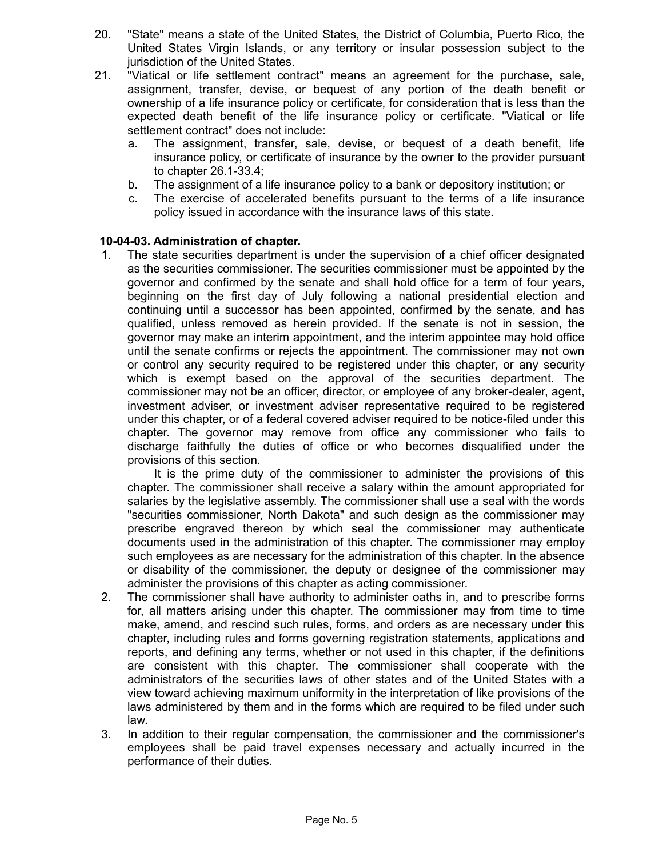- 20. "State" means a state of the United States, the District of Columbia, Puerto Rico, the United States Virgin Islands, or any territory or insular possession subject to the jurisdiction of the United States.
- 21. "Viatical or life settlement contract" means an agreement for the purchase, sale, assignment, transfer, devise, or bequest of any portion of the death benefit or ownership of a life insurance policy or certificate, for consideration that is less than the expected death benefit of the life insurance policy or certificate. "Viatical or life settlement contract" does not include:
	- a. The assignment, transfer, sale, devise, or bequest of a death benefit, life insurance policy, or certificate of insurance by the owner to the provider pursuant to chapter 26.1-33.4;
	- b. The assignment of a life insurance policy to a bank or depository institution; or
	- c. The exercise of accelerated benefits pursuant to the terms of a life insurance policy issued in accordance with the insurance laws of this state.

### **10-04-03. Administration of chapter.**

1. The state securities department is under the supervision of a chief officer designated as the securities commissioner. The securities commissioner must be appointed by the governor and confirmed by the senate and shall hold office for a term of four years, beginning on the first day of July following a national presidential election and continuing until a successor has been appointed, confirmed by the senate, and has qualified, unless removed as herein provided. If the senate is not in session, the governor may make an interim appointment, and the interim appointee may hold office until the senate confirms or rejects the appointment. The commissioner may not own or control any security required to be registered under this chapter, or any security which is exempt based on the approval of the securities department. The commissioner may not be an officer, director, or employee of any broker-dealer, agent, investment adviser, or investment adviser representative required to be registered under this chapter, or of a federal covered adviser required to be notice-filed under this chapter. The governor may remove from office any commissioner who fails to discharge faithfully the duties of office or who becomes disqualified under the provisions of this section.

It is the prime duty of the commissioner to administer the provisions of this chapter. The commissioner shall receive a salary within the amount appropriated for salaries by the legislative assembly. The commissioner shall use a seal with the words "securities commissioner, North Dakota" and such design as the commissioner may prescribe engraved thereon by which seal the commissioner may authenticate documents used in the administration of this chapter. The commissioner may employ such employees as are necessary for the administration of this chapter. In the absence or disability of the commissioner, the deputy or designee of the commissioner may administer the provisions of this chapter as acting commissioner.

- 2. The commissioner shall have authority to administer oaths in, and to prescribe forms for, all matters arising under this chapter. The commissioner may from time to time make, amend, and rescind such rules, forms, and orders as are necessary under this chapter, including rules and forms governing registration statements, applications and reports, and defining any terms, whether or not used in this chapter, if the definitions are consistent with this chapter. The commissioner shall cooperate with the administrators of the securities laws of other states and of the United States with a view toward achieving maximum uniformity in the interpretation of like provisions of the laws administered by them and in the forms which are required to be filed under such law.
- 3. In addition to their regular compensation, the commissioner and the commissioner's employees shall be paid travel expenses necessary and actually incurred in the performance of their duties.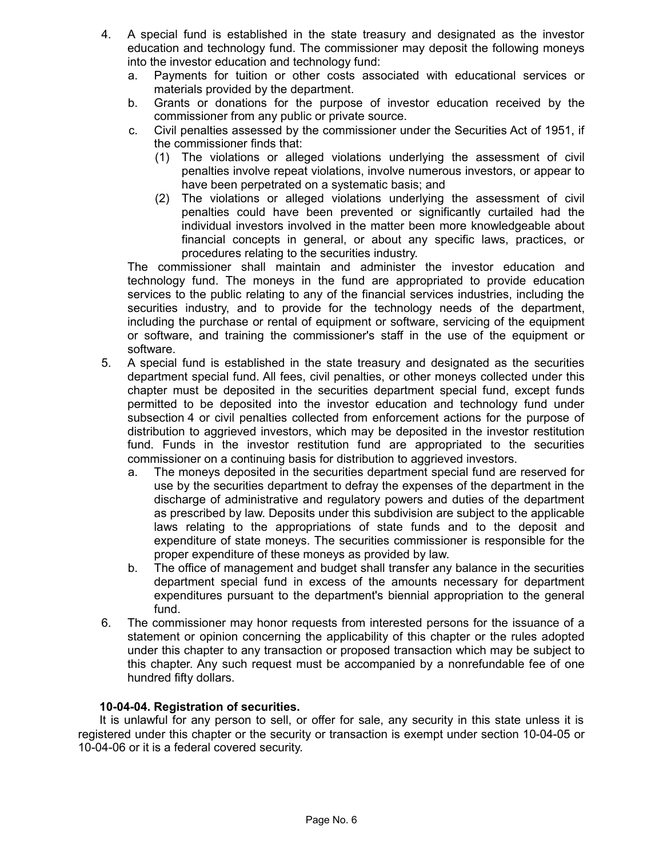- 4. A special fund is established in the state treasury and designated as the investor education and technology fund. The commissioner may deposit the following moneys into the investor education and technology fund:
	- a. Payments for tuition or other costs associated with educational services or materials provided by the department.
	- b. Grants or donations for the purpose of investor education received by the commissioner from any public or private source.
	- c. Civil penalties assessed by the commissioner under the Securities Act of 1951, if the commissioner finds that:
		- (1) The violations or alleged violations underlying the assessment of civil penalties involve repeat violations, involve numerous investors, or appear to have been perpetrated on a systematic basis; and
		- (2) The violations or alleged violations underlying the assessment of civil penalties could have been prevented or significantly curtailed had the individual investors involved in the matter been more knowledgeable about financial concepts in general, or about any specific laws, practices, or procedures relating to the securities industry.

The commissioner shall maintain and administer the investor education and technology fund. The moneys in the fund are appropriated to provide education services to the public relating to any of the financial services industries, including the securities industry, and to provide for the technology needs of the department, including the purchase or rental of equipment or software, servicing of the equipment or software, and training the commissioner's staff in the use of the equipment or software.

- 5. A special fund is established in the state treasury and designated as the securities department special fund. All fees, civil penalties, or other moneys collected under this chapter must be deposited in the securities department special fund, except funds permitted to be deposited into the investor education and technology fund under subsection 4 or civil penalties collected from enforcement actions for the purpose of distribution to aggrieved investors, which may be deposited in the investor restitution fund. Funds in the investor restitution fund are appropriated to the securities commissioner on a continuing basis for distribution to aggrieved investors.
	- a. The moneys deposited in the securities department special fund are reserved for use by the securities department to defray the expenses of the department in the discharge of administrative and regulatory powers and duties of the department as prescribed by law. Deposits under this subdivision are subject to the applicable laws relating to the appropriations of state funds and to the deposit and expenditure of state moneys. The securities commissioner is responsible for the proper expenditure of these moneys as provided by law.
	- b. The office of management and budget shall transfer any balance in the securities department special fund in excess of the amounts necessary for department expenditures pursuant to the department's biennial appropriation to the general fund.
- 6. The commissioner may honor requests from interested persons for the issuance of a statement or opinion concerning the applicability of this chapter or the rules adopted under this chapter to any transaction or proposed transaction which may be subject to this chapter. Any such request must be accompanied by a nonrefundable fee of one hundred fifty dollars.

## **10-04-04. Registration of securities.**

It is unlawful for any person to sell, or offer for sale, any security in this state unless it is registered under this chapter or the security or transaction is exempt under section 10-04-05 or 10-04-06 or it is a federal covered security.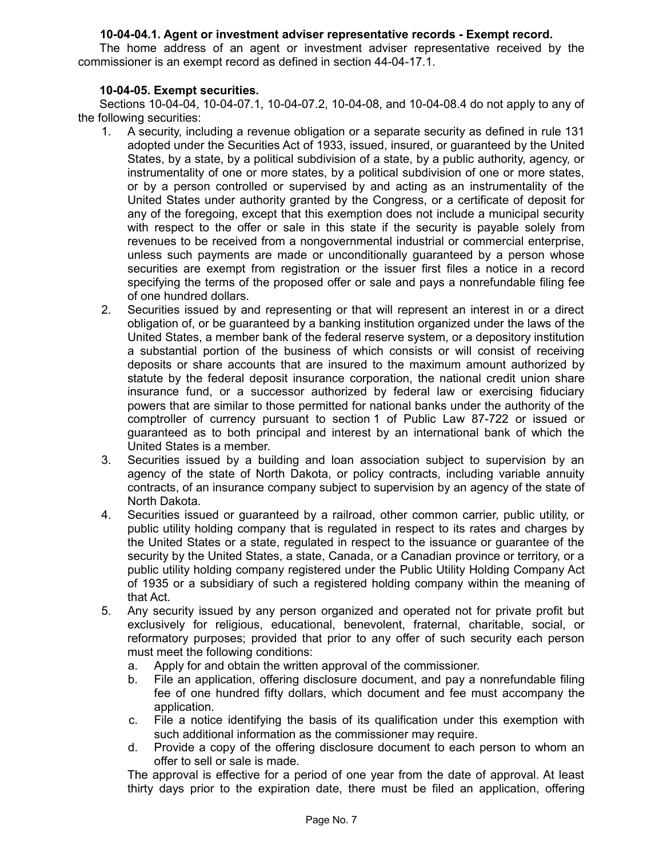## **10-04-04.1. Agent or investment adviser representative records - Exempt record.**

The home address of an agent or investment adviser representative received by the commissioner is an exempt record as defined in section 44-04-17.1.

## **10-04-05. Exempt securities.**

Sections 10-04-04, 10-04-07.1, 10-04-07.2, 10-04-08, and 10-04-08.4 do not apply to any of the following securities:

- 1. A security, including a revenue obligation or a separate security as defined in rule 131 adopted under the Securities Act of 1933, issued, insured, or guaranteed by the United States, by a state, by a political subdivision of a state, by a public authority, agency, or instrumentality of one or more states, by a political subdivision of one or more states, or by a person controlled or supervised by and acting as an instrumentality of the United States under authority granted by the Congress, or a certificate of deposit for any of the foregoing, except that this exemption does not include a municipal security with respect to the offer or sale in this state if the security is payable solely from revenues to be received from a nongovernmental industrial or commercial enterprise, unless such payments are made or unconditionally guaranteed by a person whose securities are exempt from registration or the issuer first files a notice in a record specifying the terms of the proposed offer or sale and pays a nonrefundable filing fee of one hundred dollars.
- 2. Securities issued by and representing or that will represent an interest in or a direct obligation of, or be guaranteed by a banking institution organized under the laws of the United States, a member bank of the federal reserve system, or a depository institution a substantial portion of the business of which consists or will consist of receiving deposits or share accounts that are insured to the maximum amount authorized by statute by the federal deposit insurance corporation, the national credit union share insurance fund, or a successor authorized by federal law or exercising fiduciary powers that are similar to those permitted for national banks under the authority of the comptroller of currency pursuant to section 1 of Public Law 87-722 or issued or guaranteed as to both principal and interest by an international bank of which the United States is a member.
- 3. Securities issued by a building and loan association subject to supervision by an agency of the state of North Dakota, or policy contracts, including variable annuity contracts, of an insurance company subject to supervision by an agency of the state of North Dakota.
- 4. Securities issued or guaranteed by a railroad, other common carrier, public utility, or public utility holding company that is regulated in respect to its rates and charges by the United States or a state, regulated in respect to the issuance or guarantee of the security by the United States, a state, Canada, or a Canadian province or territory, or a public utility holding company registered under the Public Utility Holding Company Act of 1935 or a subsidiary of such a registered holding company within the meaning of that Act.
- 5. Any security issued by any person organized and operated not for private profit but exclusively for religious, educational, benevolent, fraternal, charitable, social, or reformatory purposes; provided that prior to any offer of such security each person must meet the following conditions:
	- a. Apply for and obtain the written approval of the commissioner.
	- b. File an application, offering disclosure document, and pay a nonrefundable filing fee of one hundred fifty dollars, which document and fee must accompany the application.
	- c. File a notice identifying the basis of its qualification under this exemption with such additional information as the commissioner may require.
	- d. Provide a copy of the offering disclosure document to each person to whom an offer to sell or sale is made.

The approval is effective for a period of one year from the date of approval. At least thirty days prior to the expiration date, there must be filed an application, offering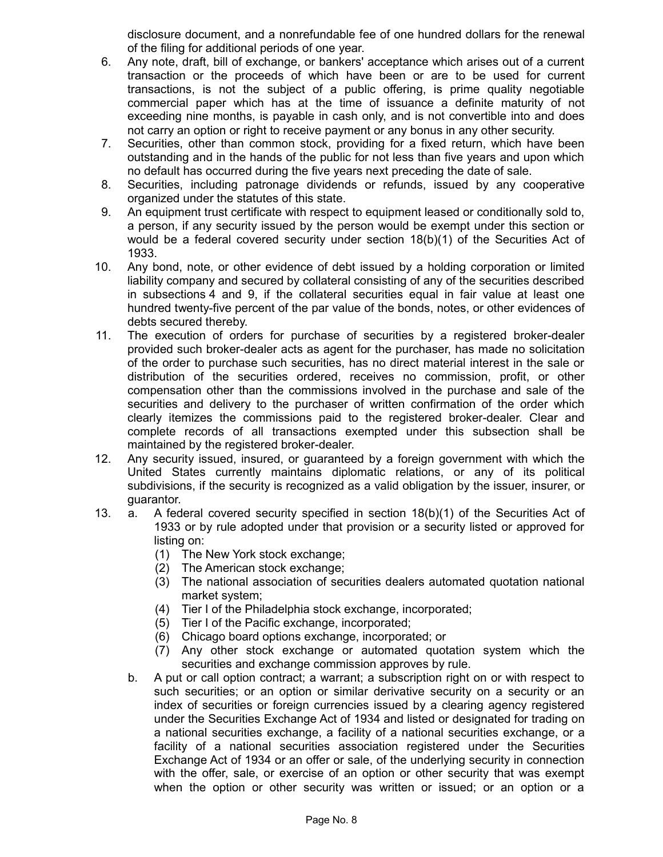disclosure document, and a nonrefundable fee of one hundred dollars for the renewal of the filing for additional periods of one year.

- 6. Any note, draft, bill of exchange, or bankers' acceptance which arises out of a current transaction or the proceeds of which have been or are to be used for current transactions, is not the subject of a public offering, is prime quality negotiable commercial paper which has at the time of issuance a definite maturity of not exceeding nine months, is payable in cash only, and is not convertible into and does not carry an option or right to receive payment or any bonus in any other security.
- 7. Securities, other than common stock, providing for a fixed return, which have been outstanding and in the hands of the public for not less than five years and upon which no default has occurred during the five years next preceding the date of sale.
- 8. Securities, including patronage dividends or refunds, issued by any cooperative organized under the statutes of this state.
- 9. An equipment trust certificate with respect to equipment leased or conditionally sold to, a person, if any security issued by the person would be exempt under this section or would be a federal covered security under section 18(b)(1) of the Securities Act of 1933.
- 10. Any bond, note, or other evidence of debt issued by a holding corporation or limited liability company and secured by collateral consisting of any of the securities described in subsections 4 and 9, if the collateral securities equal in fair value at least one hundred twenty-five percent of the par value of the bonds, notes, or other evidences of debts secured thereby.
- 11. The execution of orders for purchase of securities by a registered broker-dealer provided such broker-dealer acts as agent for the purchaser, has made no solicitation of the order to purchase such securities, has no direct material interest in the sale or distribution of the securities ordered, receives no commission, profit, or other compensation other than the commissions involved in the purchase and sale of the securities and delivery to the purchaser of written confirmation of the order which clearly itemizes the commissions paid to the registered broker-dealer. Clear and complete records of all transactions exempted under this subsection shall be maintained by the registered broker-dealer.
- 12. Any security issued, insured, or guaranteed by a foreign government with which the United States currently maintains diplomatic relations, or any of its political subdivisions, if the security is recognized as a valid obligation by the issuer, insurer, or guarantor.
- 13. a. A federal covered security specified in section 18(b)(1) of the Securities Act of 1933 or by rule adopted under that provision or a security listed or approved for listing on:
	- (1) The New York stock exchange;
	- (2) The American stock exchange;
	- (3) The national association of securities dealers automated quotation national market system;
	- (4) Tier I of the Philadelphia stock exchange, incorporated;
	- (5) Tier I of the Pacific exchange, incorporated;
	- (6) Chicago board options exchange, incorporated; or
	- (7) Any other stock exchange or automated quotation system which the securities and exchange commission approves by rule.
	- b. A put or call option contract; a warrant; a subscription right on or with respect to such securities; or an option or similar derivative security on a security or an index of securities or foreign currencies issued by a clearing agency registered under the Securities Exchange Act of 1934 and listed or designated for trading on a national securities exchange, a facility of a national securities exchange, or a facility of a national securities association registered under the Securities Exchange Act of 1934 or an offer or sale, of the underlying security in connection with the offer, sale, or exercise of an option or other security that was exempt when the option or other security was written or issued; or an option or a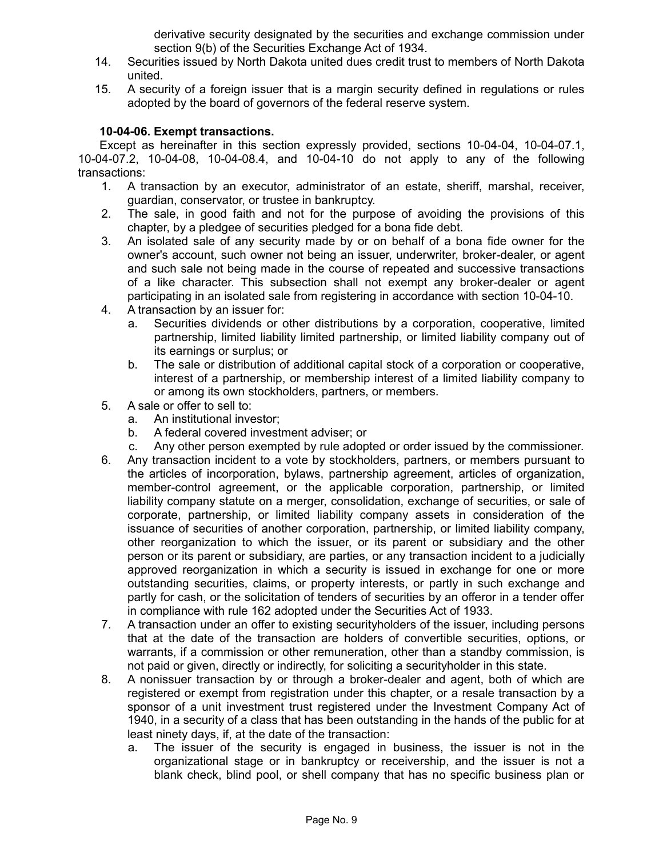derivative security designated by the securities and exchange commission under section 9(b) of the Securities Exchange Act of 1934.

- 14. Securities issued by North Dakota united dues credit trust to members of North Dakota united.
- 15. A security of a foreign issuer that is a margin security defined in regulations or rules adopted by the board of governors of the federal reserve system.

## **10-04-06. Exempt transactions.**

Except as hereinafter in this section expressly provided, sections 10-04-04, 10-04-07.1, 10-04-07.2, 10-04-08, 10-04-08.4, and 10-04-10 do not apply to any of the following transactions:

- 1. A transaction by an executor, administrator of an estate, sheriff, marshal, receiver, guardian, conservator, or trustee in bankruptcy.
- 2. The sale, in good faith and not for the purpose of avoiding the provisions of this chapter, by a pledgee of securities pledged for a bona fide debt.
- 3. An isolated sale of any security made by or on behalf of a bona fide owner for the owner's account, such owner not being an issuer, underwriter, broker-dealer, or agent and such sale not being made in the course of repeated and successive transactions of a like character. This subsection shall not exempt any broker-dealer or agent participating in an isolated sale from registering in accordance with section 10-04-10.
- 4. A transaction by an issuer for:
	- a. Securities dividends or other distributions by a corporation, cooperative, limited partnership, limited liability limited partnership, or limited liability company out of its earnings or surplus; or
	- b. The sale or distribution of additional capital stock of a corporation or cooperative, interest of a partnership, or membership interest of a limited liability company to or among its own stockholders, partners, or members.
- 5. A sale or offer to sell to:
	- a. An institutional investor;
	- b. A federal covered investment adviser; or
	- c. Any other person exempted by rule adopted or order issued by the commissioner.
- 6. Any transaction incident to a vote by stockholders, partners, or members pursuant to the articles of incorporation, bylaws, partnership agreement, articles of organization, member-control agreement, or the applicable corporation, partnership, or limited liability company statute on a merger, consolidation, exchange of securities, or sale of corporate, partnership, or limited liability company assets in consideration of the issuance of securities of another corporation, partnership, or limited liability company, other reorganization to which the issuer, or its parent or subsidiary and the other person or its parent or subsidiary, are parties, or any transaction incident to a judicially approved reorganization in which a security is issued in exchange for one or more outstanding securities, claims, or property interests, or partly in such exchange and partly for cash, or the solicitation of tenders of securities by an offeror in a tender offer in compliance with rule 162 adopted under the Securities Act of 1933.
- 7. A transaction under an offer to existing securityholders of the issuer, including persons that at the date of the transaction are holders of convertible securities, options, or warrants, if a commission or other remuneration, other than a standby commission, is not paid or given, directly or indirectly, for soliciting a securityholder in this state.
- 8. A nonissuer transaction by or through a broker-dealer and agent, both of which are registered or exempt from registration under this chapter, or a resale transaction by a sponsor of a unit investment trust registered under the Investment Company Act of 1940, in a security of a class that has been outstanding in the hands of the public for at least ninety days, if, at the date of the transaction:
	- a. The issuer of the security is engaged in business, the issuer is not in the organizational stage or in bankruptcy or receivership, and the issuer is not a blank check, blind pool, or shell company that has no specific business plan or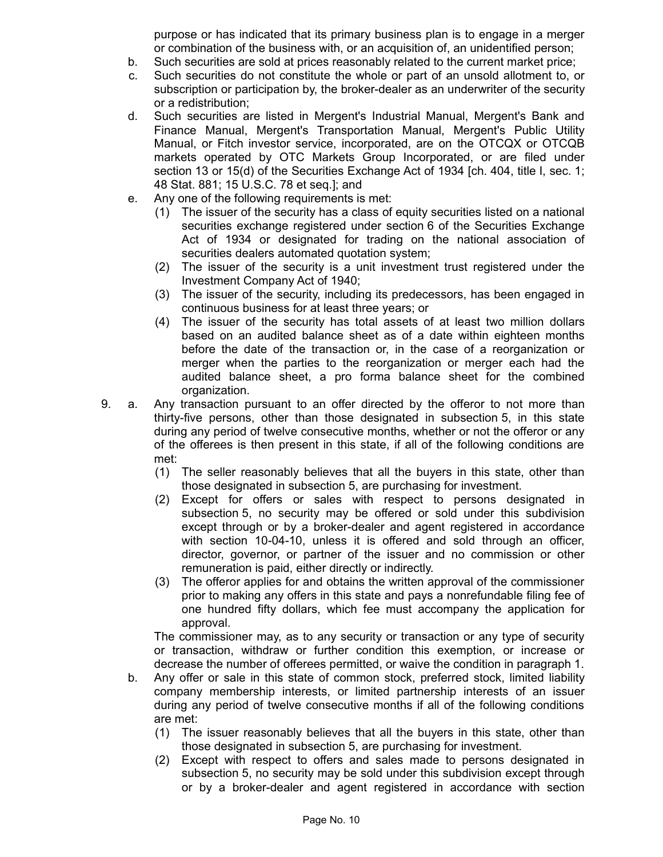purpose or has indicated that its primary business plan is to engage in a merger or combination of the business with, or an acquisition of, an unidentified person;

- b. Such securities are sold at prices reasonably related to the current market price;
- c. Such securities do not constitute the whole or part of an unsold allotment to, or subscription or participation by, the broker-dealer as an underwriter of the security or a redistribution;
- d. Such securities are listed in Mergent's Industrial Manual, Mergent's Bank and Finance Manual, Mergent's Transportation Manual, Mergent's Public Utility Manual, or Fitch investor service, incorporated, are on the OTCQX or OTCQB markets operated by OTC Markets Group Incorporated, or are filed under section 13 or 15(d) of the Securities Exchange Act of 1934 [ch. 404, title I, sec. 1; 48 Stat. 881; 15 U.S.C. 78 et seq.]; and
- e. Any one of the following requirements is met:
	- (1) The issuer of the security has a class of equity securities listed on a national securities exchange registered under section 6 of the Securities Exchange Act of 1934 or designated for trading on the national association of securities dealers automated quotation system;
	- (2) The issuer of the security is a unit investment trust registered under the Investment Company Act of 1940;
	- (3) The issuer of the security, including its predecessors, has been engaged in continuous business for at least three years; or
	- (4) The issuer of the security has total assets of at least two million dollars based on an audited balance sheet as of a date within eighteen months before the date of the transaction or, in the case of a reorganization or merger when the parties to the reorganization or merger each had the audited balance sheet, a pro forma balance sheet for the combined organization.
- 9. a. Any transaction pursuant to an offer directed by the offeror to not more than thirty-five persons, other than those designated in subsection 5, in this state during any period of twelve consecutive months, whether or not the offeror or any of the offerees is then present in this state, if all of the following conditions are met:
	- (1) The seller reasonably believes that all the buyers in this state, other than those designated in subsection 5, are purchasing for investment.
	- (2) Except for offers or sales with respect to persons designated in subsection 5, no security may be offered or sold under this subdivision except through or by a broker-dealer and agent registered in accordance with section 10-04-10, unless it is offered and sold through an officer, director, governor, or partner of the issuer and no commission or other remuneration is paid, either directly or indirectly.
	- (3) The offeror applies for and obtains the written approval of the commissioner prior to making any offers in this state and pays a nonrefundable filing fee of one hundred fifty dollars, which fee must accompany the application for approval.

The commissioner may, as to any security or transaction or any type of security or transaction, withdraw or further condition this exemption, or increase or decrease the number of offerees permitted, or waive the condition in paragraph 1.

- b. Any offer or sale in this state of common stock, preferred stock, limited liability company membership interests, or limited partnership interests of an issuer during any period of twelve consecutive months if all of the following conditions are met:
	- (1) The issuer reasonably believes that all the buyers in this state, other than those designated in subsection 5, are purchasing for investment.
	- (2) Except with respect to offers and sales made to persons designated in subsection 5, no security may be sold under this subdivision except through or by a broker-dealer and agent registered in accordance with section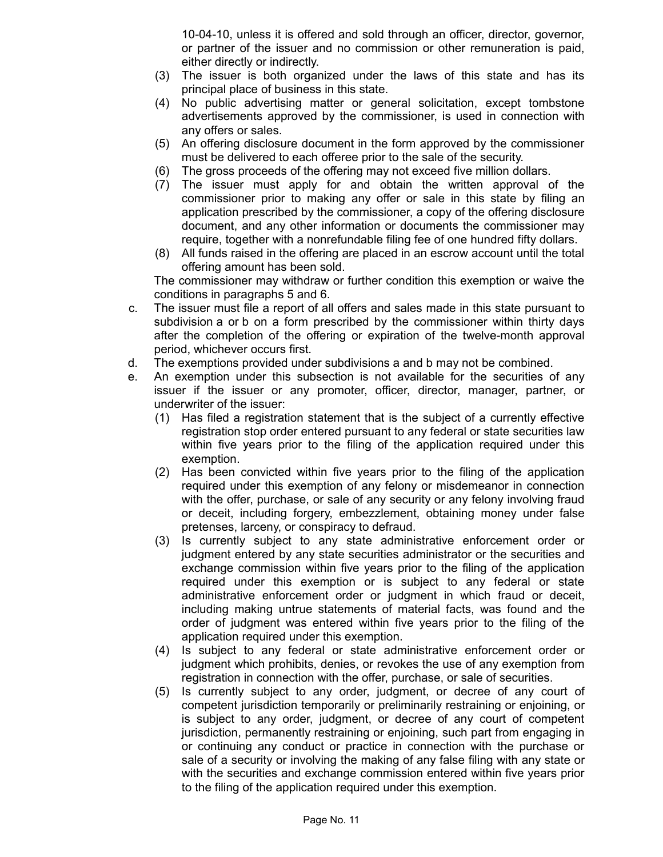10-04-10, unless it is offered and sold through an officer, director, governor, or partner of the issuer and no commission or other remuneration is paid, either directly or indirectly.

- (3) The issuer is both organized under the laws of this state and has its principal place of business in this state.
- (4) No public advertising matter or general solicitation, except tombstone advertisements approved by the commissioner, is used in connection with any offers or sales.
- (5) An offering disclosure document in the form approved by the commissioner must be delivered to each offeree prior to the sale of the security.
- (6) The gross proceeds of the offering may not exceed five million dollars.
- (7) The issuer must apply for and obtain the written approval of the commissioner prior to making any offer or sale in this state by filing an application prescribed by the commissioner, a copy of the offering disclosure document, and any other information or documents the commissioner may require, together with a nonrefundable filing fee of one hundred fifty dollars.
- (8) All funds raised in the offering are placed in an escrow account until the total offering amount has been sold.

The commissioner may withdraw or further condition this exemption or waive the conditions in paragraphs 5 and 6.

- c. The issuer must file a report of all offers and sales made in this state pursuant to subdivision a or b on a form prescribed by the commissioner within thirty days after the completion of the offering or expiration of the twelve-month approval period, whichever occurs first.
- d. The exemptions provided under subdivisions a and b may not be combined.
- e. An exemption under this subsection is not available for the securities of any issuer if the issuer or any promoter, officer, director, manager, partner, or underwriter of the issuer:
	- (1) Has filed a registration statement that is the subject of a currently effective registration stop order entered pursuant to any federal or state securities law within five years prior to the filing of the application required under this exemption.
	- (2) Has been convicted within five years prior to the filing of the application required under this exemption of any felony or misdemeanor in connection with the offer, purchase, or sale of any security or any felony involving fraud or deceit, including forgery, embezzlement, obtaining money under false pretenses, larceny, or conspiracy to defraud.
	- (3) Is currently subject to any state administrative enforcement order or judgment entered by any state securities administrator or the securities and exchange commission within five years prior to the filing of the application required under this exemption or is subject to any federal or state administrative enforcement order or judgment in which fraud or deceit, including making untrue statements of material facts, was found and the order of judgment was entered within five years prior to the filing of the application required under this exemption.
	- (4) Is subject to any federal or state administrative enforcement order or judgment which prohibits, denies, or revokes the use of any exemption from registration in connection with the offer, purchase, or sale of securities.
	- (5) Is currently subject to any order, judgment, or decree of any court of competent jurisdiction temporarily or preliminarily restraining or enjoining, or is subject to any order, judgment, or decree of any court of competent jurisdiction, permanently restraining or enjoining, such part from engaging in or continuing any conduct or practice in connection with the purchase or sale of a security or involving the making of any false filing with any state or with the securities and exchange commission entered within five years prior to the filing of the application required under this exemption.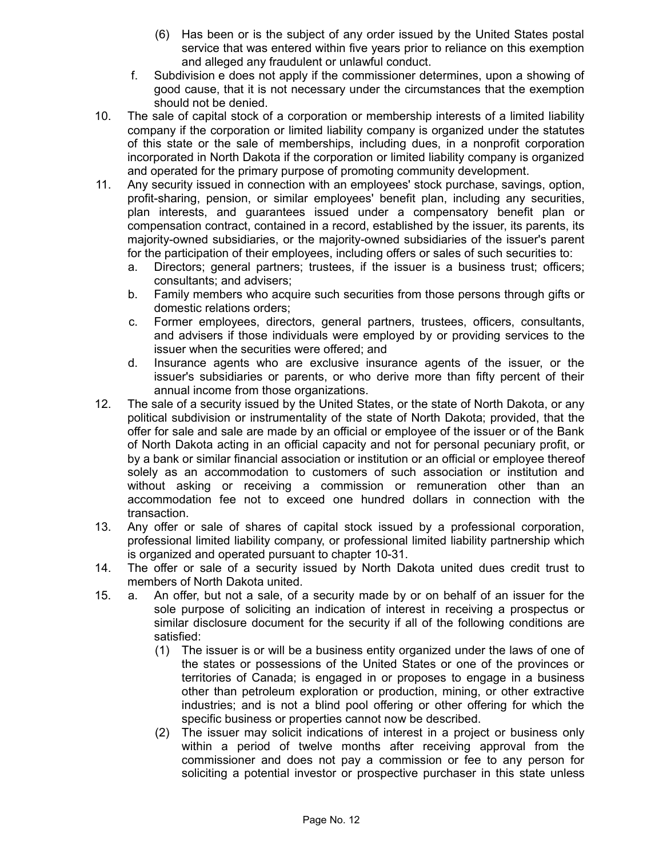- (6) Has been or is the subject of any order issued by the United States postal service that was entered within five years prior to reliance on this exemption and alleged any fraudulent or unlawful conduct.
- f. Subdivision e does not apply if the commissioner determines, upon a showing of good cause, that it is not necessary under the circumstances that the exemption should not be denied.
- 10. The sale of capital stock of a corporation or membership interests of a limited liability company if the corporation or limited liability company is organized under the statutes of this state or the sale of memberships, including dues, in a nonprofit corporation incorporated in North Dakota if the corporation or limited liability company is organized and operated for the primary purpose of promoting community development.
- 11. Any security issued in connection with an employees' stock purchase, savings, option, profit-sharing, pension, or similar employees' benefit plan, including any securities, plan interests, and guarantees issued under a compensatory benefit plan or compensation contract, contained in a record, established by the issuer, its parents, its majority-owned subsidiaries, or the majority-owned subsidiaries of the issuer's parent for the participation of their employees, including offers or sales of such securities to:
	- a. Directors; general partners; trustees, if the issuer is a business trust; officers; consultants; and advisers;
	- b. Family members who acquire such securities from those persons through gifts or domestic relations orders;
	- c. Former employees, directors, general partners, trustees, officers, consultants, and advisers if those individuals were employed by or providing services to the issuer when the securities were offered; and
	- d. Insurance agents who are exclusive insurance agents of the issuer, or the issuer's subsidiaries or parents, or who derive more than fifty percent of their annual income from those organizations.
- 12. The sale of a security issued by the United States, or the state of North Dakota, or any political subdivision or instrumentality of the state of North Dakota; provided, that the offer for sale and sale are made by an official or employee of the issuer or of the Bank of North Dakota acting in an official capacity and not for personal pecuniary profit, or by a bank or similar financial association or institution or an official or employee thereof solely as an accommodation to customers of such association or institution and without asking or receiving a commission or remuneration other than an accommodation fee not to exceed one hundred dollars in connection with the transaction.
- 13. Any offer or sale of shares of capital stock issued by a professional corporation, professional limited liability company, or professional limited liability partnership which is organized and operated pursuant to chapter 10-31.
- 14. The offer or sale of a security issued by North Dakota united dues credit trust to members of North Dakota united.
- 15. a. An offer, but not a sale, of a security made by or on behalf of an issuer for the sole purpose of soliciting an indication of interest in receiving a prospectus or similar disclosure document for the security if all of the following conditions are satisfied:
	- (1) The issuer is or will be a business entity organized under the laws of one of the states or possessions of the United States or one of the provinces or territories of Canada; is engaged in or proposes to engage in a business other than petroleum exploration or production, mining, or other extractive industries; and is not a blind pool offering or other offering for which the specific business or properties cannot now be described.
	- (2) The issuer may solicit indications of interest in a project or business only within a period of twelve months after receiving approval from the commissioner and does not pay a commission or fee to any person for soliciting a potential investor or prospective purchaser in this state unless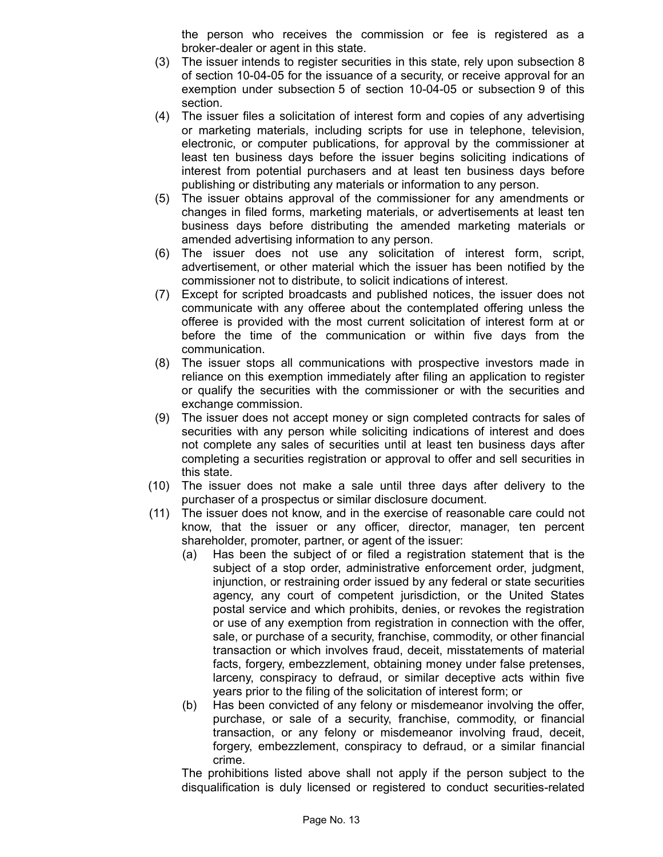the person who receives the commission or fee is registered as a broker-dealer or agent in this state.

- (3) The issuer intends to register securities in this state, rely upon subsection 8 of section 10-04-05 for the issuance of a security, or receive approval for an exemption under subsection 5 of section 10-04-05 or subsection 9 of this section.
- (4) The issuer files a solicitation of interest form and copies of any advertising or marketing materials, including scripts for use in telephone, television, electronic, or computer publications, for approval by the commissioner at least ten business days before the issuer begins soliciting indications of interest from potential purchasers and at least ten business days before publishing or distributing any materials or information to any person.
- (5) The issuer obtains approval of the commissioner for any amendments or changes in filed forms, marketing materials, or advertisements at least ten business days before distributing the amended marketing materials or amended advertising information to any person.
- (6) The issuer does not use any solicitation of interest form, script, advertisement, or other material which the issuer has been notified by the commissioner not to distribute, to solicit indications of interest.
- (7) Except for scripted broadcasts and published notices, the issuer does not communicate with any offeree about the contemplated offering unless the offeree is provided with the most current solicitation of interest form at or before the time of the communication or within five days from the communication.
- (8) The issuer stops all communications with prospective investors made in reliance on this exemption immediately after filing an application to register or qualify the securities with the commissioner or with the securities and exchange commission.
- (9) The issuer does not accept money or sign completed contracts for sales of securities with any person while soliciting indications of interest and does not complete any sales of securities until at least ten business days after completing a securities registration or approval to offer and sell securities in this state.
- (10) The issuer does not make a sale until three days after delivery to the purchaser of a prospectus or similar disclosure document.
- (11) The issuer does not know, and in the exercise of reasonable care could not know, that the issuer or any officer, director, manager, ten percent shareholder, promoter, partner, or agent of the issuer:
	- (a) Has been the subject of or filed a registration statement that is the subject of a stop order, administrative enforcement order, judgment, injunction, or restraining order issued by any federal or state securities agency, any court of competent jurisdiction, or the United States postal service and which prohibits, denies, or revokes the registration or use of any exemption from registration in connection with the offer, sale, or purchase of a security, franchise, commodity, or other financial transaction or which involves fraud, deceit, misstatements of material facts, forgery, embezzlement, obtaining money under false pretenses, larceny, conspiracy to defraud, or similar deceptive acts within five years prior to the filing of the solicitation of interest form; or
	- (b) Has been convicted of any felony or misdemeanor involving the offer, purchase, or sale of a security, franchise, commodity, or financial transaction, or any felony or misdemeanor involving fraud, deceit, forgery, embezzlement, conspiracy to defraud, or a similar financial crime.

The prohibitions listed above shall not apply if the person subject to the disqualification is duly licensed or registered to conduct securities-related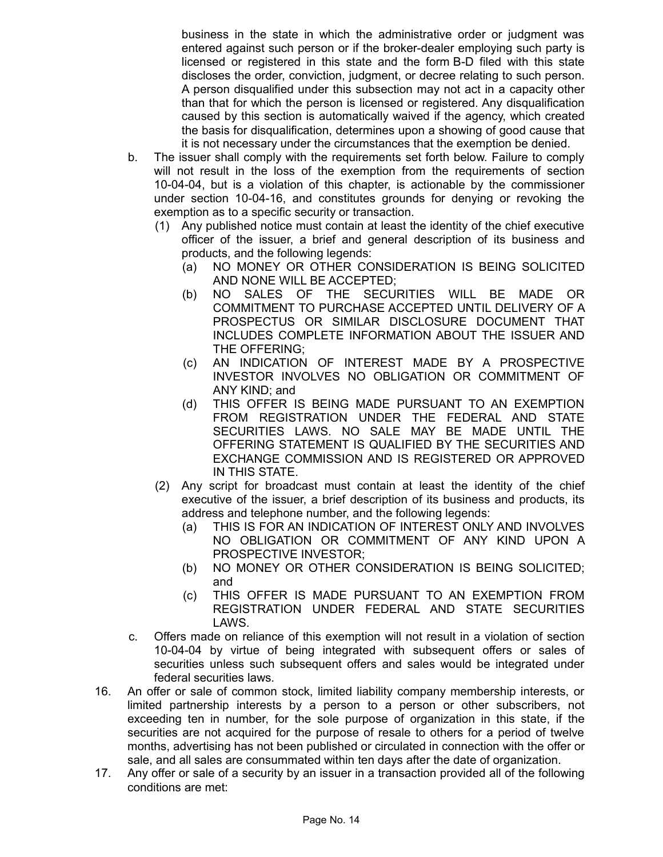business in the state in which the administrative order or judgment was entered against such person or if the broker-dealer employing such party is licensed or registered in this state and the form B-D filed with this state discloses the order, conviction, judgment, or decree relating to such person. A person disqualified under this subsection may not act in a capacity other than that for which the person is licensed or registered. Any disqualification caused by this section is automatically waived if the agency, which created the basis for disqualification, determines upon a showing of good cause that it is not necessary under the circumstances that the exemption be denied.

- b. The issuer shall comply with the requirements set forth below. Failure to comply will not result in the loss of the exemption from the requirements of section 10-04-04, but is a violation of this chapter, is actionable by the commissioner under section 10-04-16, and constitutes grounds for denying or revoking the exemption as to a specific security or transaction.
	- (1) Any published notice must contain at least the identity of the chief executive officer of the issuer, a brief and general description of its business and products, and the following legends:
		- (a) NO MONEY OR OTHER CONSIDERATION IS BEING SOLICITED AND NONE WILL BE ACCEPTED;
		- (b) NO SALES OF THE SECURITIES WILL BE MADE OR COMMITMENT TO PURCHASE ACCEPTED UNTIL DELIVERY OF A PROSPECTUS OR SIMILAR DISCLOSURE DOCUMENT THAT INCLUDES COMPLETE INFORMATION ABOUT THE ISSUER AND THE OFFERING;
		- (c) AN INDICATION OF INTEREST MADE BY A PROSPECTIVE INVESTOR INVOLVES NO OBLIGATION OR COMMITMENT OF ANY KIND; and
		- (d) THIS OFFER IS BEING MADE PURSUANT TO AN EXEMPTION FROM REGISTRATION UNDER THE FEDERAL AND STATE SECURITIES LAWS. NO SALE MAY BE MADE UNTIL THE OFFERING STATEMENT IS QUALIFIED BY THE SECURITIES AND EXCHANGE COMMISSION AND IS REGISTERED OR APPROVED IN THIS STATE.
	- (2) Any script for broadcast must contain at least the identity of the chief executive of the issuer, a brief description of its business and products, its address and telephone number, and the following legends:
		- (a) THIS IS FOR AN INDICATION OF INTEREST ONLY AND INVOLVES NO OBLIGATION OR COMMITMENT OF ANY KIND UPON A PROSPECTIVE INVESTOR;
		- (b) NO MONEY OR OTHER CONSIDERATION IS BEING SOLICITED; and
		- (c) THIS OFFER IS MADE PURSUANT TO AN EXEMPTION FROM REGISTRATION UNDER FEDERAL AND STATE SECURITIES LAWS.
- c. Offers made on reliance of this exemption will not result in a violation of section 10-04-04 by virtue of being integrated with subsequent offers or sales of securities unless such subsequent offers and sales would be integrated under federal securities laws.
- 16. An offer or sale of common stock, limited liability company membership interests, or limited partnership interests by a person to a person or other subscribers, not exceeding ten in number, for the sole purpose of organization in this state, if the securities are not acquired for the purpose of resale to others for a period of twelve months, advertising has not been published or circulated in connection with the offer or sale, and all sales are consummated within ten days after the date of organization.
- 17. Any offer or sale of a security by an issuer in a transaction provided all of the following conditions are met: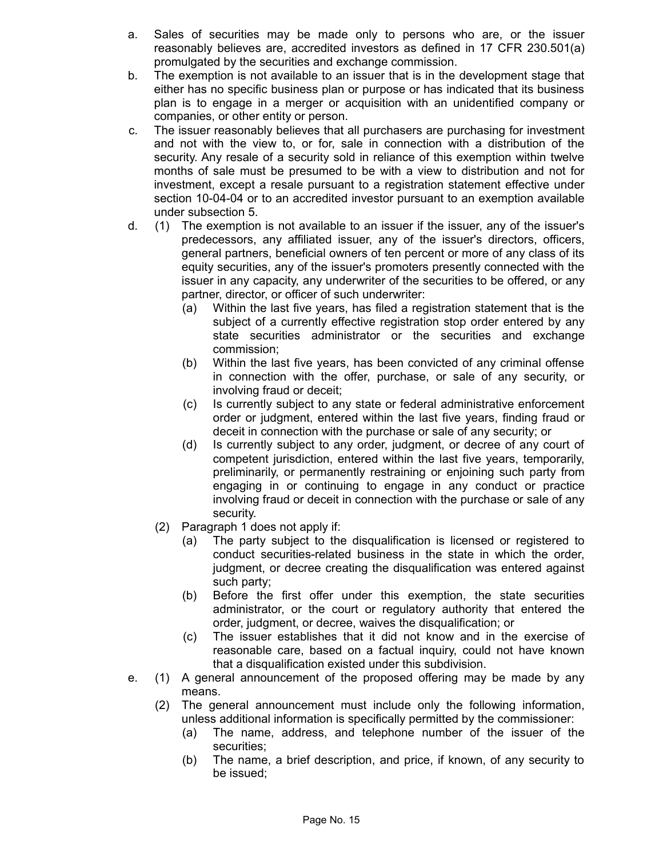- a. Sales of securities may be made only to persons who are, or the issuer reasonably believes are, accredited investors as defined in 17 CFR 230.501(a) promulgated by the securities and exchange commission.
- b. The exemption is not available to an issuer that is in the development stage that either has no specific business plan or purpose or has indicated that its business plan is to engage in a merger or acquisition with an unidentified company or companies, or other entity or person.
- c. The issuer reasonably believes that all purchasers are purchasing for investment and not with the view to, or for, sale in connection with a distribution of the security. Any resale of a security sold in reliance of this exemption within twelve months of sale must be presumed to be with a view to distribution and not for investment, except a resale pursuant to a registration statement effective under section 10-04-04 or to an accredited investor pursuant to an exemption available under subsection 5.
- d. (1) The exemption is not available to an issuer if the issuer, any of the issuer's predecessors, any affiliated issuer, any of the issuer's directors, officers, general partners, beneficial owners of ten percent or more of any class of its equity securities, any of the issuer's promoters presently connected with the issuer in any capacity, any underwriter of the securities to be offered, or any partner, director, or officer of such underwriter:
	- (a) Within the last five years, has filed a registration statement that is the subject of a currently effective registration stop order entered by any state securities administrator or the securities and exchange commission;
	- (b) Within the last five years, has been convicted of any criminal offense in connection with the offer, purchase, or sale of any security, or involving fraud or deceit;
	- (c) Is currently subject to any state or federal administrative enforcement order or judgment, entered within the last five years, finding fraud or deceit in connection with the purchase or sale of any security; or
	- (d) Is currently subject to any order, judgment, or decree of any court of competent jurisdiction, entered within the last five years, temporarily, preliminarily, or permanently restraining or enjoining such party from engaging in or continuing to engage in any conduct or practice involving fraud or deceit in connection with the purchase or sale of any security.
	- (2) Paragraph 1 does not apply if:
		- (a) The party subject to the disqualification is licensed or registered to conduct securities-related business in the state in which the order, judgment, or decree creating the disqualification was entered against such party;
		- (b) Before the first offer under this exemption, the state securities administrator, or the court or regulatory authority that entered the order, judgment, or decree, waives the disqualification; or
		- (c) The issuer establishes that it did not know and in the exercise of reasonable care, based on a factual inquiry, could not have known that a disqualification existed under this subdivision.
- e. (1) A general announcement of the proposed offering may be made by any means.
	- (2) The general announcement must include only the following information, unless additional information is specifically permitted by the commissioner:
		- (a) The name, address, and telephone number of the issuer of the securities;
		- (b) The name, a brief description, and price, if known, of any security to be issued;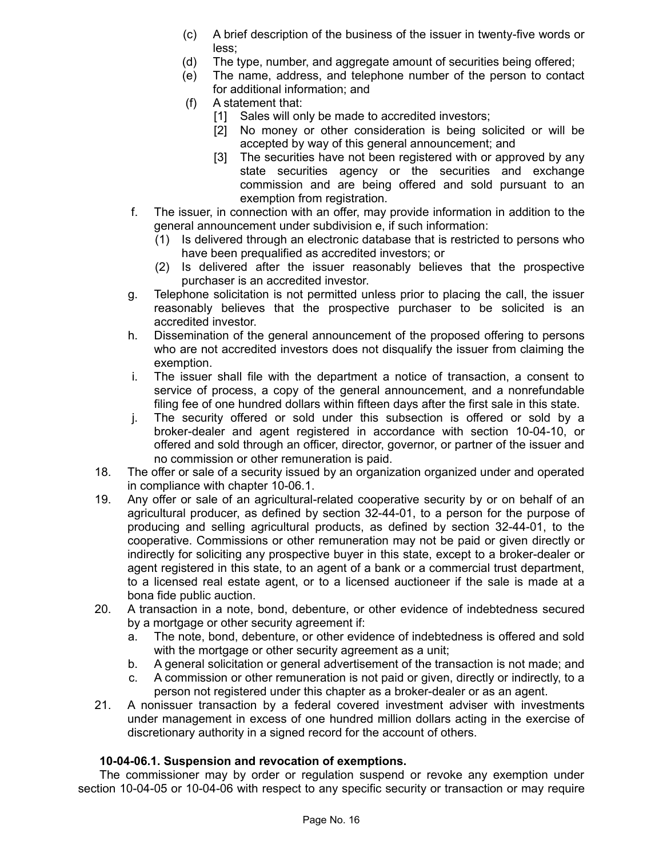- (c) A brief description of the business of the issuer in twenty-five words or less;
- (d) The type, number, and aggregate amount of securities being offered;
- (e) The name, address, and telephone number of the person to contact for additional information; and
- (f) A statement that:
	- [1] Sales will only be made to accredited investors;
	- [2] No money or other consideration is being solicited or will be accepted by way of this general announcement; and
	- [3] The securities have not been registered with or approved by any state securities agency or the securities and exchange commission and are being offered and sold pursuant to an exemption from registration.
- f. The issuer, in connection with an offer, may provide information in addition to the general announcement under subdivision e, if such information:
	- (1) Is delivered through an electronic database that is restricted to persons who have been prequalified as accredited investors; or
	- (2) Is delivered after the issuer reasonably believes that the prospective purchaser is an accredited investor.
- g. Telephone solicitation is not permitted unless prior to placing the call, the issuer reasonably believes that the prospective purchaser to be solicited is an accredited investor.
- h. Dissemination of the general announcement of the proposed offering to persons who are not accredited investors does not disqualify the issuer from claiming the exemption.
- i. The issuer shall file with the department a notice of transaction, a consent to service of process, a copy of the general announcement, and a nonrefundable filing fee of one hundred dollars within fifteen days after the first sale in this state.
- j. The security offered or sold under this subsection is offered or sold by a broker-dealer and agent registered in accordance with section 10-04-10, or offered and sold through an officer, director, governor, or partner of the issuer and no commission or other remuneration is paid.
- 18. The offer or sale of a security issued by an organization organized under and operated in compliance with chapter 10-06.1.
- 19. Any offer or sale of an agricultural-related cooperative security by or on behalf of an agricultural producer, as defined by section 32-44-01, to a person for the purpose of producing and selling agricultural products, as defined by section 32-44-01, to the cooperative. Commissions or other remuneration may not be paid or given directly or indirectly for soliciting any prospective buyer in this state, except to a broker-dealer or agent registered in this state, to an agent of a bank or a commercial trust department, to a licensed real estate agent, or to a licensed auctioneer if the sale is made at a bona fide public auction.
- 20. A transaction in a note, bond, debenture, or other evidence of indebtedness secured by a mortgage or other security agreement if:
	- a. The note, bond, debenture, or other evidence of indebtedness is offered and sold with the mortgage or other security agreement as a unit;
	- b. A general solicitation or general advertisement of the transaction is not made; and
	- c. A commission or other remuneration is not paid or given, directly or indirectly, to a person not registered under this chapter as a broker-dealer or as an agent.
- 21. A nonissuer transaction by a federal covered investment adviser with investments under management in excess of one hundred million dollars acting in the exercise of discretionary authority in a signed record for the account of others.

## **10-04-06.1. Suspension and revocation of exemptions.**

The commissioner may by order or regulation suspend or revoke any exemption under section 10-04-05 or 10-04-06 with respect to any specific security or transaction or may require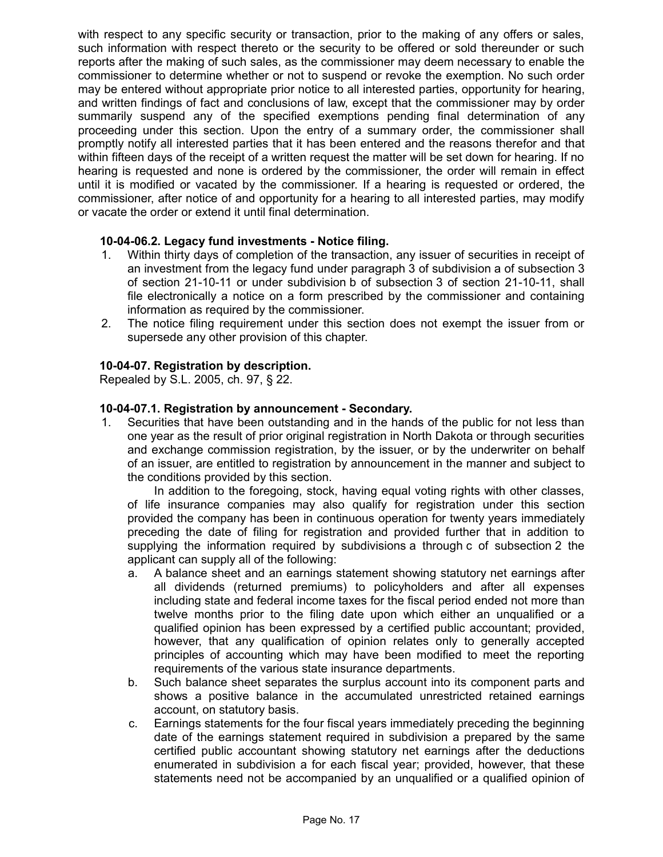with respect to any specific security or transaction, prior to the making of any offers or sales, such information with respect thereto or the security to be offered or sold thereunder or such reports after the making of such sales, as the commissioner may deem necessary to enable the commissioner to determine whether or not to suspend or revoke the exemption. No such order may be entered without appropriate prior notice to all interested parties, opportunity for hearing, and written findings of fact and conclusions of law, except that the commissioner may by order summarily suspend any of the specified exemptions pending final determination of any proceeding under this section. Upon the entry of a summary order, the commissioner shall promptly notify all interested parties that it has been entered and the reasons therefor and that within fifteen days of the receipt of a written request the matter will be set down for hearing. If no hearing is requested and none is ordered by the commissioner, the order will remain in effect until it is modified or vacated by the commissioner. If a hearing is requested or ordered, the commissioner, after notice of and opportunity for a hearing to all interested parties, may modify or vacate the order or extend it until final determination.

## **10-04-06.2. Legacy fund investments - Notice filing.**

- 1. Within thirty days of completion of the transaction, any issuer of securities in receipt of an investment from the legacy fund under paragraph 3 of subdivision a of subsection 3 of section 21-10-11 or under subdivision b of subsection 3 of section 21-10-11, shall file electronically a notice on a form prescribed by the commissioner and containing information as required by the commissioner.
- 2. The notice filing requirement under this section does not exempt the issuer from or supersede any other provision of this chapter.

# **10-04-07. Registration by description.**

Repealed by S.L. 2005, ch. 97, § 22.

## **10-04-07.1. Registration by announcement - Secondary.**

Securities that have been outstanding and in the hands of the public for not less than one year as the result of prior original registration in North Dakota or through securities and exchange commission registration, by the issuer, or by the underwriter on behalf of an issuer, are entitled to registration by announcement in the manner and subject to the conditions provided by this section.

In addition to the foregoing, stock, having equal voting rights with other classes, of life insurance companies may also qualify for registration under this section provided the company has been in continuous operation for twenty years immediately preceding the date of filing for registration and provided further that in addition to supplying the information required by subdivisions a through c of subsection 2 the applicant can supply all of the following:

- a. A balance sheet and an earnings statement showing statutory net earnings after all dividends (returned premiums) to policyholders and after all expenses including state and federal income taxes for the fiscal period ended not more than twelve months prior to the filing date upon which either an unqualified or a qualified opinion has been expressed by a certified public accountant; provided, however, that any qualification of opinion relates only to generally accepted principles of accounting which may have been modified to meet the reporting requirements of the various state insurance departments.
- b. Such balance sheet separates the surplus account into its component parts and shows a positive balance in the accumulated unrestricted retained earnings account, on statutory basis.
- c. Earnings statements for the four fiscal years immediately preceding the beginning date of the earnings statement required in subdivision a prepared by the same certified public accountant showing statutory net earnings after the deductions enumerated in subdivision a for each fiscal year; provided, however, that these statements need not be accompanied by an unqualified or a qualified opinion of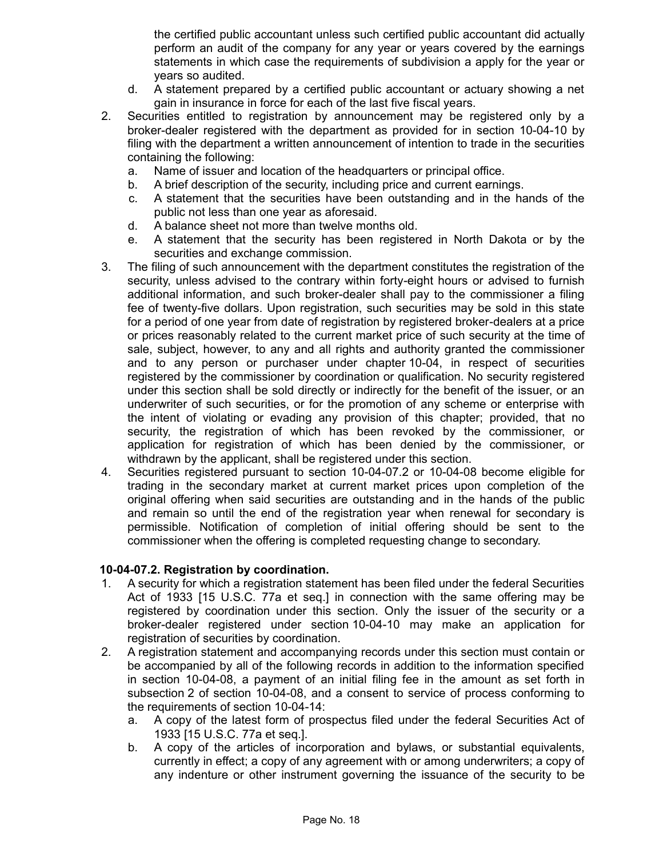the certified public accountant unless such certified public accountant did actually perform an audit of the company for any year or years covered by the earnings statements in which case the requirements of subdivision a apply for the year or years so audited.

- d. A statement prepared by a certified public accountant or actuary showing a net gain in insurance in force for each of the last five fiscal years.
- 2. Securities entitled to registration by announcement may be registered only by a broker-dealer registered with the department as provided for in section 10-04-10 by filing with the department a written announcement of intention to trade in the securities containing the following:
	- a. Name of issuer and location of the headquarters or principal office.
	- b. A brief description of the security, including price and current earnings.
	- c. A statement that the securities have been outstanding and in the hands of the public not less than one year as aforesaid.
	- d. A balance sheet not more than twelve months old.
	- e. A statement that the security has been registered in North Dakota or by the securities and exchange commission.
- 3. The filing of such announcement with the department constitutes the registration of the security, unless advised to the contrary within forty-eight hours or advised to furnish additional information, and such broker-dealer shall pay to the commissioner a filing fee of twenty-five dollars. Upon registration, such securities may be sold in this state for a period of one year from date of registration by registered broker-dealers at a price or prices reasonably related to the current market price of such security at the time of sale, subject, however, to any and all rights and authority granted the commissioner and to any person or purchaser under chapter 10-04, in respect of securities registered by the commissioner by coordination or qualification. No security registered under this section shall be sold directly or indirectly for the benefit of the issuer, or an underwriter of such securities, or for the promotion of any scheme or enterprise with the intent of violating or evading any provision of this chapter; provided, that no security, the registration of which has been revoked by the commissioner, or application for registration of which has been denied by the commissioner, or withdrawn by the applicant, shall be registered under this section.
- 4. Securities registered pursuant to section 10-04-07.2 or 10-04-08 become eligible for trading in the secondary market at current market prices upon completion of the original offering when said securities are outstanding and in the hands of the public and remain so until the end of the registration year when renewal for secondary is permissible. Notification of completion of initial offering should be sent to the commissioner when the offering is completed requesting change to secondary.

## **10-04-07.2. Registration by coordination.**

- 1. A security for which a registration statement has been filed under the federal Securities Act of 1933 [15 U.S.C. 77a et seq.] in connection with the same offering may be registered by coordination under this section. Only the issuer of the security or a broker-dealer registered under section 10-04-10 may make an application for registration of securities by coordination.
- 2. A registration statement and accompanying records under this section must contain or be accompanied by all of the following records in addition to the information specified in section 10-04-08, a payment of an initial filing fee in the amount as set forth in subsection 2 of section 10-04-08, and a consent to service of process conforming to the requirements of section 10-04-14:
	- a. A copy of the latest form of prospectus filed under the federal Securities Act of 1933 [15 U.S.C. 77a et seq.].
	- b. A copy of the articles of incorporation and bylaws, or substantial equivalents, currently in effect; a copy of any agreement with or among underwriters; a copy of any indenture or other instrument governing the issuance of the security to be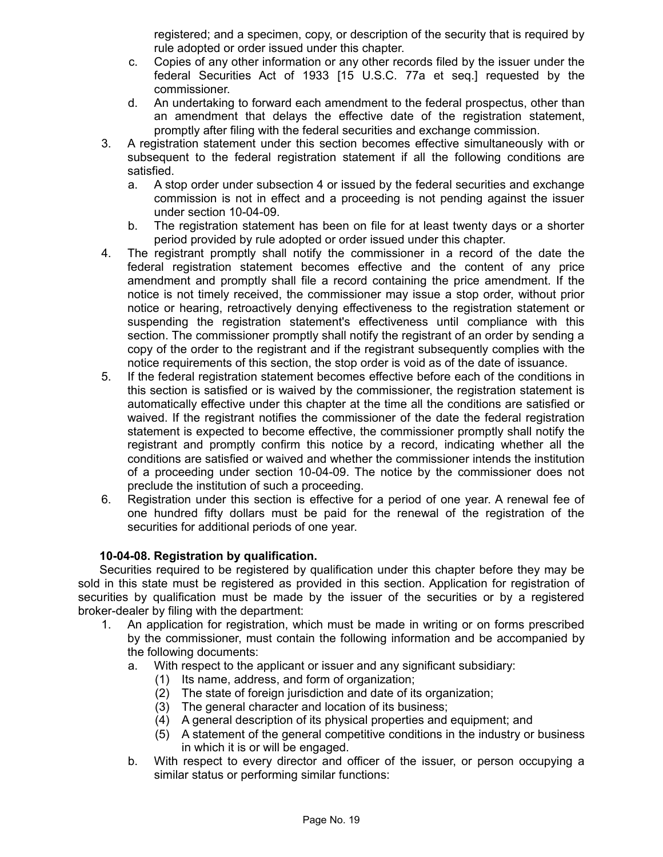registered; and a specimen, copy, or description of the security that is required by rule adopted or order issued under this chapter.

- c. Copies of any other information or any other records filed by the issuer under the federal Securities Act of 1933 [15 U.S.C. 77a et seq.] requested by the commissioner.
- d. An undertaking to forward each amendment to the federal prospectus, other than an amendment that delays the effective date of the registration statement, promptly after filing with the federal securities and exchange commission.
- 3. A registration statement under this section becomes effective simultaneously with or subsequent to the federal registration statement if all the following conditions are satisfied.
	- a. A stop order under subsection 4 or issued by the federal securities and exchange commission is not in effect and a proceeding is not pending against the issuer under section 10-04-09.
	- b. The registration statement has been on file for at least twenty days or a shorter period provided by rule adopted or order issued under this chapter.
- 4. The registrant promptly shall notify the commissioner in a record of the date the federal registration statement becomes effective and the content of any price amendment and promptly shall file a record containing the price amendment. If the notice is not timely received, the commissioner may issue a stop order, without prior notice or hearing, retroactively denying effectiveness to the registration statement or suspending the registration statement's effectiveness until compliance with this section. The commissioner promptly shall notify the registrant of an order by sending a copy of the order to the registrant and if the registrant subsequently complies with the notice requirements of this section, the stop order is void as of the date of issuance.
- 5. If the federal registration statement becomes effective before each of the conditions in this section is satisfied or is waived by the commissioner, the registration statement is automatically effective under this chapter at the time all the conditions are satisfied or waived. If the registrant notifies the commissioner of the date the federal registration statement is expected to become effective, the commissioner promptly shall notify the registrant and promptly confirm this notice by a record, indicating whether all the conditions are satisfied or waived and whether the commissioner intends the institution of a proceeding under section 10-04-09. The notice by the commissioner does not preclude the institution of such a proceeding.
- 6. Registration under this section is effective for a period of one year. A renewal fee of one hundred fifty dollars must be paid for the renewal of the registration of the securities for additional periods of one year.

## **10-04-08. Registration by qualification.**

Securities required to be registered by qualification under this chapter before they may be sold in this state must be registered as provided in this section. Application for registration of securities by qualification must be made by the issuer of the securities or by a registered broker-dealer by filing with the department:

- 1. An application for registration, which must be made in writing or on forms prescribed by the commissioner, must contain the following information and be accompanied by the following documents:
	- a. With respect to the applicant or issuer and any significant subsidiary:
		- (1) Its name, address, and form of organization;
		- (2) The state of foreign jurisdiction and date of its organization;
		- (3) The general character and location of its business;
		- (4) A general description of its physical properties and equipment; and
		- (5) A statement of the general competitive conditions in the industry or business in which it is or will be engaged.
	- b. With respect to every director and officer of the issuer, or person occupying a similar status or performing similar functions: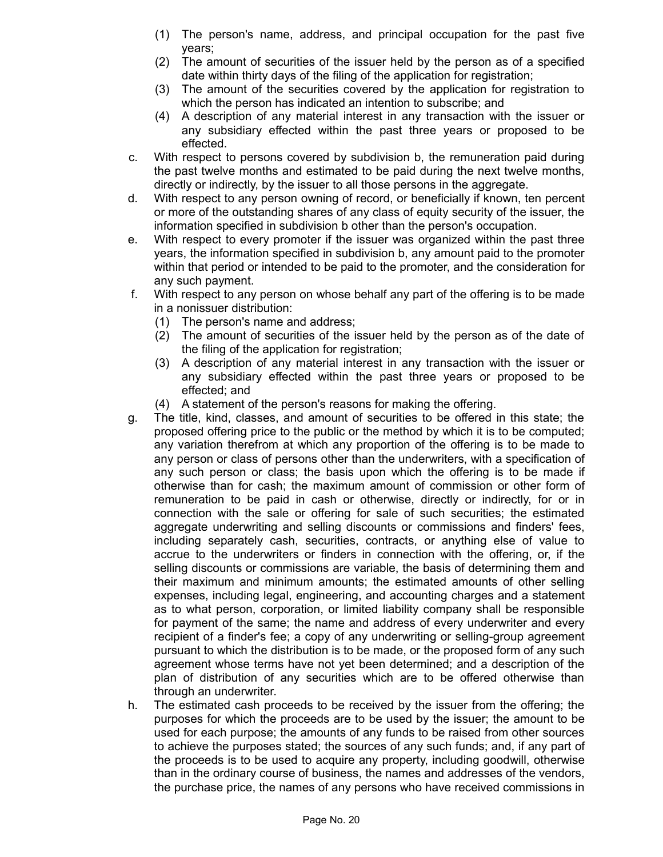- (1) The person's name, address, and principal occupation for the past five years;
- (2) The amount of securities of the issuer held by the person as of a specified date within thirty days of the filing of the application for registration;
- (3) The amount of the securities covered by the application for registration to which the person has indicated an intention to subscribe; and
- (4) A description of any material interest in any transaction with the issuer or any subsidiary effected within the past three years or proposed to be effected.
- c. With respect to persons covered by subdivision b, the remuneration paid during the past twelve months and estimated to be paid during the next twelve months, directly or indirectly, by the issuer to all those persons in the aggregate.
- d. With respect to any person owning of record, or beneficially if known, ten percent or more of the outstanding shares of any class of equity security of the issuer, the information specified in subdivision b other than the person's occupation.
- e. With respect to every promoter if the issuer was organized within the past three years, the information specified in subdivision b, any amount paid to the promoter within that period or intended to be paid to the promoter, and the consideration for any such payment.
- f. With respect to any person on whose behalf any part of the offering is to be made in a nonissuer distribution:
	- (1) The person's name and address;
	- (2) The amount of securities of the issuer held by the person as of the date of the filing of the application for registration;
	- (3) A description of any material interest in any transaction with the issuer or any subsidiary effected within the past three years or proposed to be effected; and
	- (4) A statement of the person's reasons for making the offering.
- g. The title, kind, classes, and amount of securities to be offered in this state; the proposed offering price to the public or the method by which it is to be computed; any variation therefrom at which any proportion of the offering is to be made to any person or class of persons other than the underwriters, with a specification of any such person or class; the basis upon which the offering is to be made if otherwise than for cash; the maximum amount of commission or other form of remuneration to be paid in cash or otherwise, directly or indirectly, for or in connection with the sale or offering for sale of such securities; the estimated aggregate underwriting and selling discounts or commissions and finders' fees, including separately cash, securities, contracts, or anything else of value to accrue to the underwriters or finders in connection with the offering, or, if the selling discounts or commissions are variable, the basis of determining them and their maximum and minimum amounts; the estimated amounts of other selling expenses, including legal, engineering, and accounting charges and a statement as to what person, corporation, or limited liability company shall be responsible for payment of the same; the name and address of every underwriter and every recipient of a finder's fee; a copy of any underwriting or selling-group agreement pursuant to which the distribution is to be made, or the proposed form of any such agreement whose terms have not yet been determined; and a description of the plan of distribution of any securities which are to be offered otherwise than through an underwriter.
- h. The estimated cash proceeds to be received by the issuer from the offering; the purposes for which the proceeds are to be used by the issuer; the amount to be used for each purpose; the amounts of any funds to be raised from other sources to achieve the purposes stated; the sources of any such funds; and, if any part of the proceeds is to be used to acquire any property, including goodwill, otherwise than in the ordinary course of business, the names and addresses of the vendors, the purchase price, the names of any persons who have received commissions in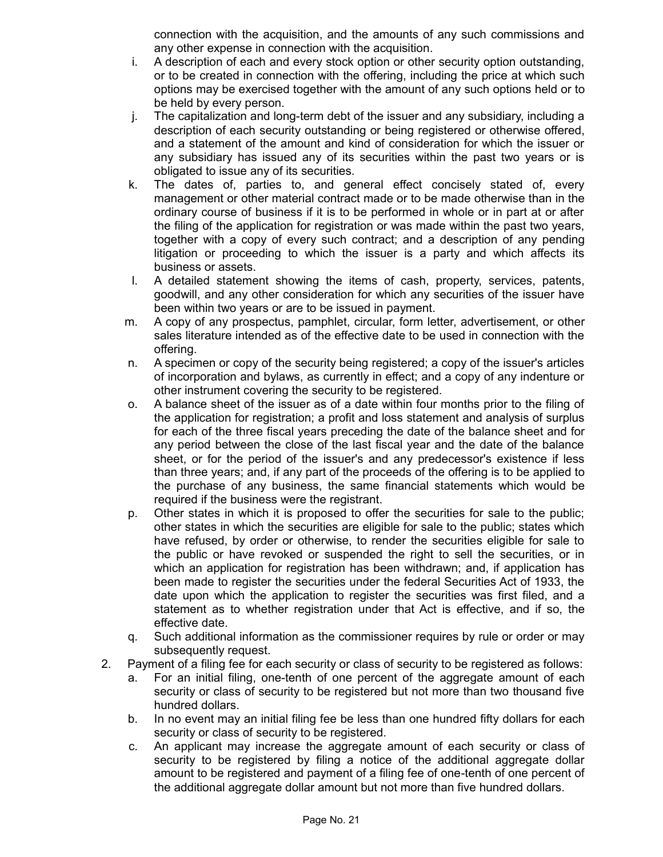connection with the acquisition, and the amounts of any such commissions and any other expense in connection with the acquisition.

- i. A description of each and every stock option or other security option outstanding, or to be created in connection with the offering, including the price at which such options may be exercised together with the amount of any such options held or to be held by every person.
- j. The capitalization and long-term debt of the issuer and any subsidiary, including a description of each security outstanding or being registered or otherwise offered, and a statement of the amount and kind of consideration for which the issuer or any subsidiary has issued any of its securities within the past two years or is obligated to issue any of its securities.
- k. The dates of, parties to, and general effect concisely stated of, every management or other material contract made or to be made otherwise than in the ordinary course of business if it is to be performed in whole or in part at or after the filing of the application for registration or was made within the past two years, together with a copy of every such contract; and a description of any pending litigation or proceeding to which the issuer is a party and which affects its business or assets.
- l. A detailed statement showing the items of cash, property, services, patents, goodwill, and any other consideration for which any securities of the issuer have been within two years or are to be issued in payment.
- m. A copy of any prospectus, pamphlet, circular, form letter, advertisement, or other sales literature intended as of the effective date to be used in connection with the offering.
- n. A specimen or copy of the security being registered; a copy of the issuer's articles of incorporation and bylaws, as currently in effect; and a copy of any indenture or other instrument covering the security to be registered.
- o. A balance sheet of the issuer as of a date within four months prior to the filing of the application for registration; a profit and loss statement and analysis of surplus for each of the three fiscal years preceding the date of the balance sheet and for any period between the close of the last fiscal year and the date of the balance sheet, or for the period of the issuer's and any predecessor's existence if less than three years; and, if any part of the proceeds of the offering is to be applied to the purchase of any business, the same financial statements which would be required if the business were the registrant.
- p. Other states in which it is proposed to offer the securities for sale to the public; other states in which the securities are eligible for sale to the public; states which have refused, by order or otherwise, to render the securities eligible for sale to the public or have revoked or suspended the right to sell the securities, or in which an application for registration has been withdrawn; and, if application has been made to register the securities under the federal Securities Act of 1933, the date upon which the application to register the securities was first filed, and a statement as to whether registration under that Act is effective, and if so, the effective date.
- q. Such additional information as the commissioner requires by rule or order or may subsequently request.
- 2. Payment of a filing fee for each security or class of security to be registered as follows:
	- a. For an initial filing, one-tenth of one percent of the aggregate amount of each security or class of security to be registered but not more than two thousand five hundred dollars.
	- b. In no event may an initial filing fee be less than one hundred fifty dollars for each security or class of security to be registered.
	- c. An applicant may increase the aggregate amount of each security or class of security to be registered by filing a notice of the additional aggregate dollar amount to be registered and payment of a filing fee of one-tenth of one percent of the additional aggregate dollar amount but not more than five hundred dollars.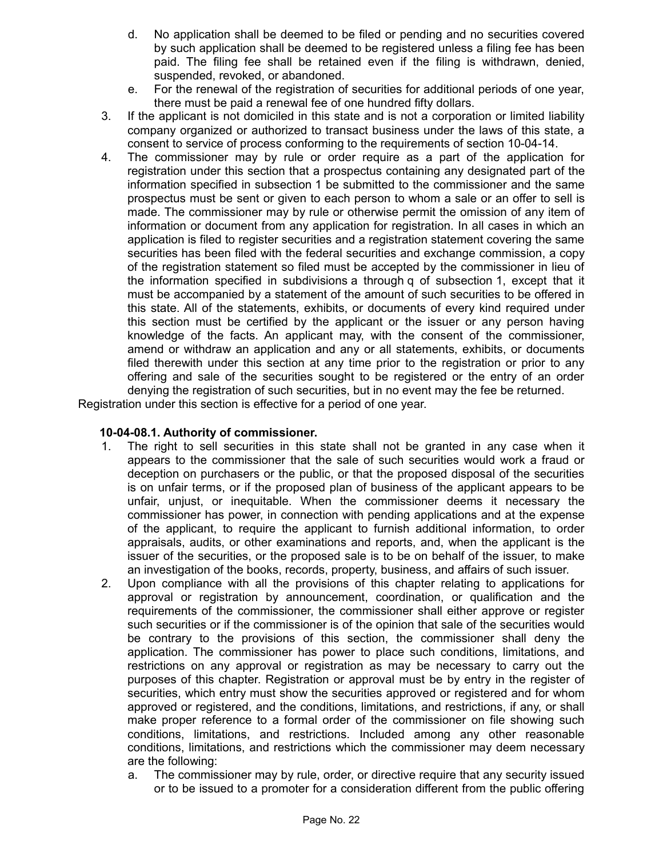- d. No application shall be deemed to be filed or pending and no securities covered by such application shall be deemed to be registered unless a filing fee has been paid. The filing fee shall be retained even if the filing is withdrawn, denied, suspended, revoked, or abandoned.
- e. For the renewal of the registration of securities for additional periods of one year, there must be paid a renewal fee of one hundred fifty dollars.
- 3. If the applicant is not domiciled in this state and is not a corporation or limited liability company organized or authorized to transact business under the laws of this state, a consent to service of process conforming to the requirements of section 10-04-14.
- 4. The commissioner may by rule or order require as a part of the application for registration under this section that a prospectus containing any designated part of the information specified in subsection 1 be submitted to the commissioner and the same prospectus must be sent or given to each person to whom a sale or an offer to sell is made. The commissioner may by rule or otherwise permit the omission of any item of information or document from any application for registration. In all cases in which an application is filed to register securities and a registration statement covering the same securities has been filed with the federal securities and exchange commission, a copy of the registration statement so filed must be accepted by the commissioner in lieu of the information specified in subdivisions a through q of subsection 1, except that it must be accompanied by a statement of the amount of such securities to be offered in this state. All of the statements, exhibits, or documents of every kind required under this section must be certified by the applicant or the issuer or any person having knowledge of the facts. An applicant may, with the consent of the commissioner, amend or withdraw an application and any or all statements, exhibits, or documents filed therewith under this section at any time prior to the registration or prior to any offering and sale of the securities sought to be registered or the entry of an order denying the registration of such securities, but in no event may the fee be returned.

Registration under this section is effective for a period of one year.

#### **10-04-08.1. Authority of commissioner.**

- 1. The right to sell securities in this state shall not be granted in any case when it appears to the commissioner that the sale of such securities would work a fraud or deception on purchasers or the public, or that the proposed disposal of the securities is on unfair terms, or if the proposed plan of business of the applicant appears to be unfair, unjust, or inequitable. When the commissioner deems it necessary the commissioner has power, in connection with pending applications and at the expense of the applicant, to require the applicant to furnish additional information, to order appraisals, audits, or other examinations and reports, and, when the applicant is the issuer of the securities, or the proposed sale is to be on behalf of the issuer, to make an investigation of the books, records, property, business, and affairs of such issuer.
- 2. Upon compliance with all the provisions of this chapter relating to applications for approval or registration by announcement, coordination, or qualification and the requirements of the commissioner, the commissioner shall either approve or register such securities or if the commissioner is of the opinion that sale of the securities would be contrary to the provisions of this section, the commissioner shall deny the application. The commissioner has power to place such conditions, limitations, and restrictions on any approval or registration as may be necessary to carry out the purposes of this chapter. Registration or approval must be by entry in the register of securities, which entry must show the securities approved or registered and for whom approved or registered, and the conditions, limitations, and restrictions, if any, or shall make proper reference to a formal order of the commissioner on file showing such conditions, limitations, and restrictions. Included among any other reasonable conditions, limitations, and restrictions which the commissioner may deem necessary are the following:
	- a. The commissioner may by rule, order, or directive require that any security issued or to be issued to a promoter for a consideration different from the public offering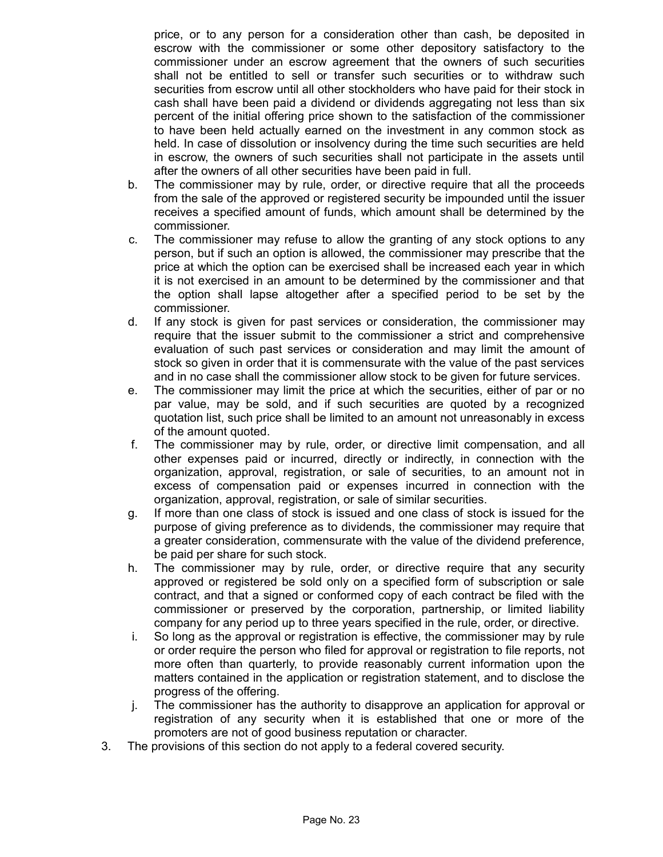price, or to any person for a consideration other than cash, be deposited in escrow with the commissioner or some other depository satisfactory to the commissioner under an escrow agreement that the owners of such securities shall not be entitled to sell or transfer such securities or to withdraw such securities from escrow until all other stockholders who have paid for their stock in cash shall have been paid a dividend or dividends aggregating not less than six percent of the initial offering price shown to the satisfaction of the commissioner to have been held actually earned on the investment in any common stock as held. In case of dissolution or insolvency during the time such securities are held in escrow, the owners of such securities shall not participate in the assets until after the owners of all other securities have been paid in full.

- b. The commissioner may by rule, order, or directive require that all the proceeds from the sale of the approved or registered security be impounded until the issuer receives a specified amount of funds, which amount shall be determined by the commissioner.
- c. The commissioner may refuse to allow the granting of any stock options to any person, but if such an option is allowed, the commissioner may prescribe that the price at which the option can be exercised shall be increased each year in which it is not exercised in an amount to be determined by the commissioner and that the option shall lapse altogether after a specified period to be set by the commissioner.
- d. If any stock is given for past services or consideration, the commissioner may require that the issuer submit to the commissioner a strict and comprehensive evaluation of such past services or consideration and may limit the amount of stock so given in order that it is commensurate with the value of the past services and in no case shall the commissioner allow stock to be given for future services.
- e. The commissioner may limit the price at which the securities, either of par or no par value, may be sold, and if such securities are quoted by a recognized quotation list, such price shall be limited to an amount not unreasonably in excess of the amount quoted.
- f. The commissioner may by rule, order, or directive limit compensation, and all other expenses paid or incurred, directly or indirectly, in connection with the organization, approval, registration, or sale of securities, to an amount not in excess of compensation paid or expenses incurred in connection with the organization, approval, registration, or sale of similar securities.
- g. If more than one class of stock is issued and one class of stock is issued for the purpose of giving preference as to dividends, the commissioner may require that a greater consideration, commensurate with the value of the dividend preference, be paid per share for such stock.
- h. The commissioner may by rule, order, or directive require that any security approved or registered be sold only on a specified form of subscription or sale contract, and that a signed or conformed copy of each contract be filed with the commissioner or preserved by the corporation, partnership, or limited liability company for any period up to three years specified in the rule, order, or directive.
- i. So long as the approval or registration is effective, the commissioner may by rule or order require the person who filed for approval or registration to file reports, not more often than quarterly, to provide reasonably current information upon the matters contained in the application or registration statement, and to disclose the progress of the offering.
- j. The commissioner has the authority to disapprove an application for approval or registration of any security when it is established that one or more of the promoters are not of good business reputation or character.
- 3. The provisions of this section do not apply to a federal covered security.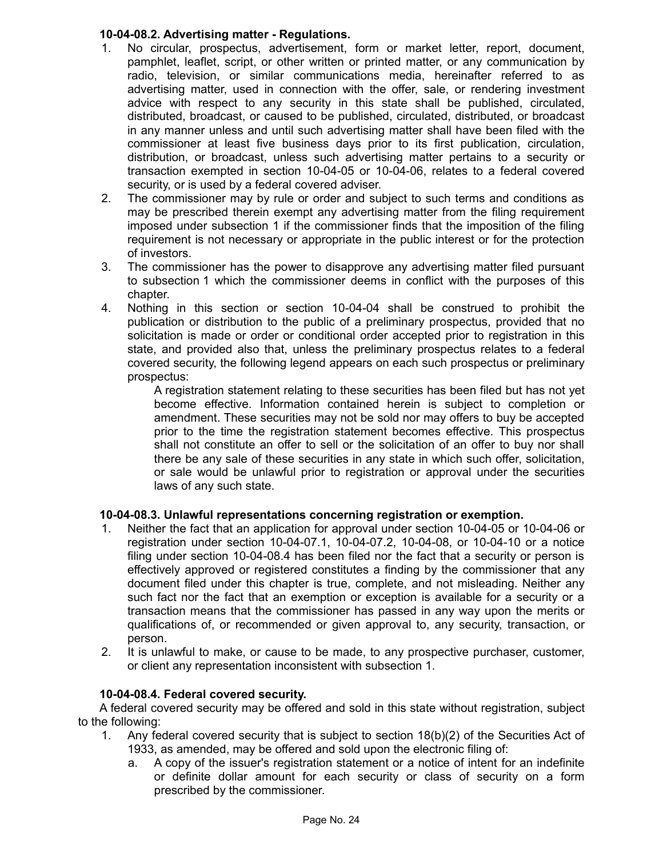## **10-04-08.2. Advertising matter - Regulations.**

- 1. No circular, prospectus, advertisement, form or market letter, report, document, pamphlet, leaflet, script, or other written or printed matter, or any communication by radio, television, or similar communications media, hereinafter referred to as advertising matter, used in connection with the offer, sale, or rendering investment advice with respect to any security in this state shall be published, circulated, distributed, broadcast, or caused to be published, circulated, distributed, or broadcast in any manner unless and until such advertising matter shall have been filed with the commissioner at least five business days prior to its first publication, circulation, distribution, or broadcast, unless such advertising matter pertains to a security or transaction exempted in section 10-04-05 or 10-04-06, relates to a federal covered security, or is used by a federal covered adviser.
- 2. The commissioner may by rule or order and subject to such terms and conditions as may be prescribed therein exempt any advertising matter from the filing requirement imposed under subsection 1 if the commissioner finds that the imposition of the filing requirement is not necessary or appropriate in the public interest or for the protection of investors.
- 3. The commissioner has the power to disapprove any advertising matter filed pursuant to subsection 1 which the commissioner deems in conflict with the purposes of this chapter.
- 4. Nothing in this section or section 10-04-04 shall be construed to prohibit the publication or distribution to the public of a preliminary prospectus, provided that no solicitation is made or order or conditional order accepted prior to registration in this state, and provided also that, unless the preliminary prospectus relates to a federal covered security, the following legend appears on each such prospectus or preliminary prospectus:

A registration statement relating to these securities has been filed but has not yet become effective. Information contained herein is subject to completion or amendment. These securities may not be sold nor may offers to buy be accepted prior to the time the registration statement becomes effective. This prospectus shall not constitute an offer to sell or the solicitation of an offer to buy nor shall there be any sale of these securities in any state in which such offer, solicitation, or sale would be unlawful prior to registration or approval under the securities laws of any such state.

# **10-04-08.3. Unlawful representations concerning registration or exemption.**

- 1. Neither the fact that an application for approval under section 10-04-05 or 10-04-06 or registration under section 10-04-07.1, 10-04-07.2, 10-04-08, or 10-04-10 or a notice filing under section 10-04-08.4 has been filed nor the fact that a security or person is effectively approved or registered constitutes a finding by the commissioner that any document filed under this chapter is true, complete, and not misleading. Neither any such fact nor the fact that an exemption or exception is available for a security or a transaction means that the commissioner has passed in any way upon the merits or qualifications of, or recommended or given approval to, any security, transaction, or person.
- 2. It is unlawful to make, or cause to be made, to any prospective purchaser, customer, or client any representation inconsistent with subsection 1.

# **10-04-08.4. Federal covered security.**

A federal covered security may be offered and sold in this state without registration, subject to the following:

- 1. Any federal covered security that is subject to section 18(b)(2) of the Securities Act of 1933, as amended, may be offered and sold upon the electronic filing of:
	- a. A copy of the issuer's registration statement or a notice of intent for an indefinite or definite dollar amount for each security or class of security on a form prescribed by the commissioner.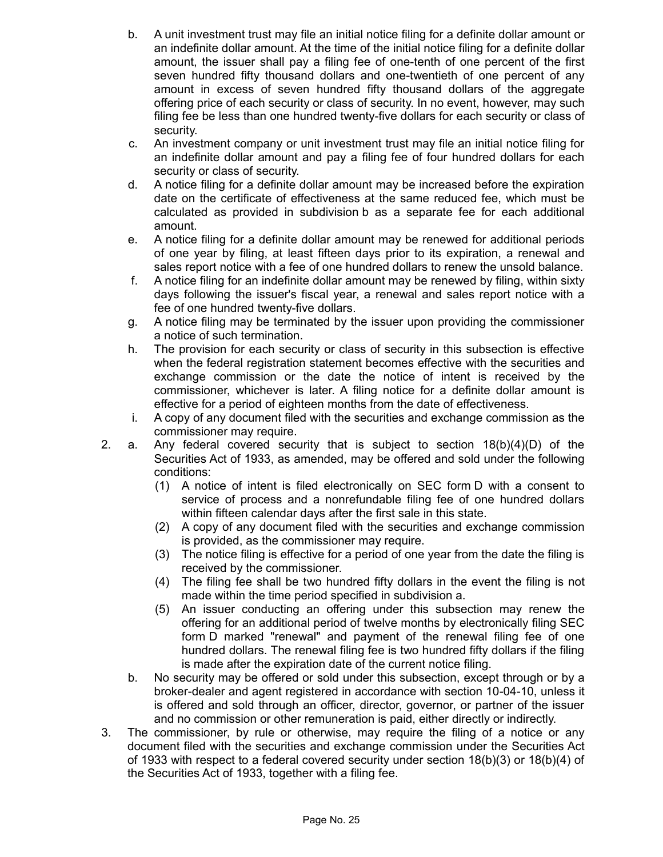- b. A unit investment trust may file an initial notice filing for a definite dollar amount or an indefinite dollar amount. At the time of the initial notice filing for a definite dollar amount, the issuer shall pay a filing fee of one-tenth of one percent of the first seven hundred fifty thousand dollars and one-twentieth of one percent of any amount in excess of seven hundred fifty thousand dollars of the aggregate offering price of each security or class of security. In no event, however, may such filing fee be less than one hundred twenty-five dollars for each security or class of security.
- c. An investment company or unit investment trust may file an initial notice filing for an indefinite dollar amount and pay a filing fee of four hundred dollars for each security or class of security.
- d. A notice filing for a definite dollar amount may be increased before the expiration date on the certificate of effectiveness at the same reduced fee, which must be calculated as provided in subdivision b as a separate fee for each additional amount.
- e. A notice filing for a definite dollar amount may be renewed for additional periods of one year by filing, at least fifteen days prior to its expiration, a renewal and sales report notice with a fee of one hundred dollars to renew the unsold balance.
- f. A notice filing for an indefinite dollar amount may be renewed by filing, within sixty days following the issuer's fiscal year, a renewal and sales report notice with a fee of one hundred twenty-five dollars.
- g. A notice filing may be terminated by the issuer upon providing the commissioner a notice of such termination.
- h. The provision for each security or class of security in this subsection is effective when the federal registration statement becomes effective with the securities and exchange commission or the date the notice of intent is received by the commissioner, whichever is later. A filing notice for a definite dollar amount is effective for a period of eighteen months from the date of effectiveness.
- i. A copy of any document filed with the securities and exchange commission as the commissioner may require.
- 2. a. Any federal covered security that is subject to section 18(b)(4)(D) of the Securities Act of 1933, as amended, may be offered and sold under the following conditions:
	- (1) A notice of intent is filed electronically on SEC form D with a consent to service of process and a nonrefundable filing fee of one hundred dollars within fifteen calendar days after the first sale in this state.
	- (2) A copy of any document filed with the securities and exchange commission is provided, as the commissioner may require.
	- (3) The notice filing is effective for a period of one year from the date the filing is received by the commissioner.
	- (4) The filing fee shall be two hundred fifty dollars in the event the filing is not made within the time period specified in subdivision a.
	- (5) An issuer conducting an offering under this subsection may renew the offering for an additional period of twelve months by electronically filing SEC form D marked "renewal" and payment of the renewal filing fee of one hundred dollars. The renewal filing fee is two hundred fifty dollars if the filing is made after the expiration date of the current notice filing.
	- b. No security may be offered or sold under this subsection, except through or by a broker-dealer and agent registered in accordance with section 10-04-10, unless it is offered and sold through an officer, director, governor, or partner of the issuer and no commission or other remuneration is paid, either directly or indirectly.
- 3. The commissioner, by rule or otherwise, may require the filing of a notice or any document filed with the securities and exchange commission under the Securities Act of 1933 with respect to a federal covered security under section 18(b)(3) or 18(b)(4) of the Securities Act of 1933, together with a filing fee.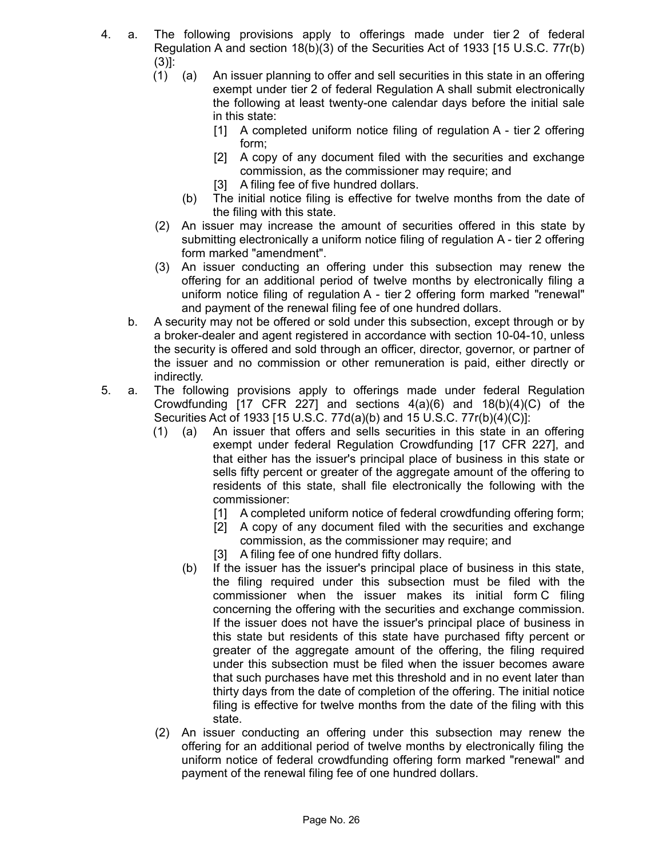- 4. a. The following provisions apply to offerings made under tier 2 of federal Regulation A and section 18(b)(3) of the Securities Act of 1933 [15 U.S.C. 77r(b)  $(3)!$ 
	- (1) (a) An issuer planning to offer and sell securities in this state in an offering exempt under tier 2 of federal Regulation A shall submit electronically the following at least twenty-one calendar days before the initial sale in this state:
		- [1] A completed uniform notice filing of regulation A tier 2 offering form;
		- [2] A copy of any document filed with the securities and exchange commission, as the commissioner may require; and
		- [3] A filing fee of five hundred dollars.
		- (b) The initial notice filing is effective for twelve months from the date of the filing with this state.
	- (2) An issuer may increase the amount of securities offered in this state by submitting electronically a uniform notice filing of regulation A - tier 2 offering form marked "amendment".
	- (3) An issuer conducting an offering under this subsection may renew the offering for an additional period of twelve months by electronically filing a uniform notice filing of regulation A - tier 2 offering form marked "renewal" and payment of the renewal filing fee of one hundred dollars.
	- b. A security may not be offered or sold under this subsection, except through or by a broker-dealer and agent registered in accordance with section 10-04-10, unless the security is offered and sold through an officer, director, governor, or partner of the issuer and no commission or other remuneration is paid, either directly or indirectly.
- 5. a. The following provisions apply to offerings made under federal Regulation Crowdfunding  $[17 \text{ CFR } 227]$  and sections  $4(a)(6)$  and  $18(b)(4)(C)$  of the Securities Act of 1933 [15 U.S.C. 77d(a)(b) and 15 U.S.C. 77r(b)(4)(C)]:
	- (1) (a) An issuer that offers and sells securities in this state in an offering exempt under federal Regulation Crowdfunding [17 CFR 227], and that either has the issuer's principal place of business in this state or sells fifty percent or greater of the aggregate amount of the offering to residents of this state, shall file electronically the following with the commissioner:
		- [1] A completed uniform notice of federal crowdfunding offering form;
		- [2] A copy of any document filed with the securities and exchange commission, as the commissioner may require; and
		- [3] A filing fee of one hundred fifty dollars.
		- (b) If the issuer has the issuer's principal place of business in this state, the filing required under this subsection must be filed with the commissioner when the issuer makes its initial form C filing concerning the offering with the securities and exchange commission. If the issuer does not have the issuer's principal place of business in this state but residents of this state have purchased fifty percent or greater of the aggregate amount of the offering, the filing required under this subsection must be filed when the issuer becomes aware that such purchases have met this threshold and in no event later than thirty days from the date of completion of the offering. The initial notice filing is effective for twelve months from the date of the filing with this state.
	- (2) An issuer conducting an offering under this subsection may renew the offering for an additional period of twelve months by electronically filing the uniform notice of federal crowdfunding offering form marked "renewal" and payment of the renewal filing fee of one hundred dollars.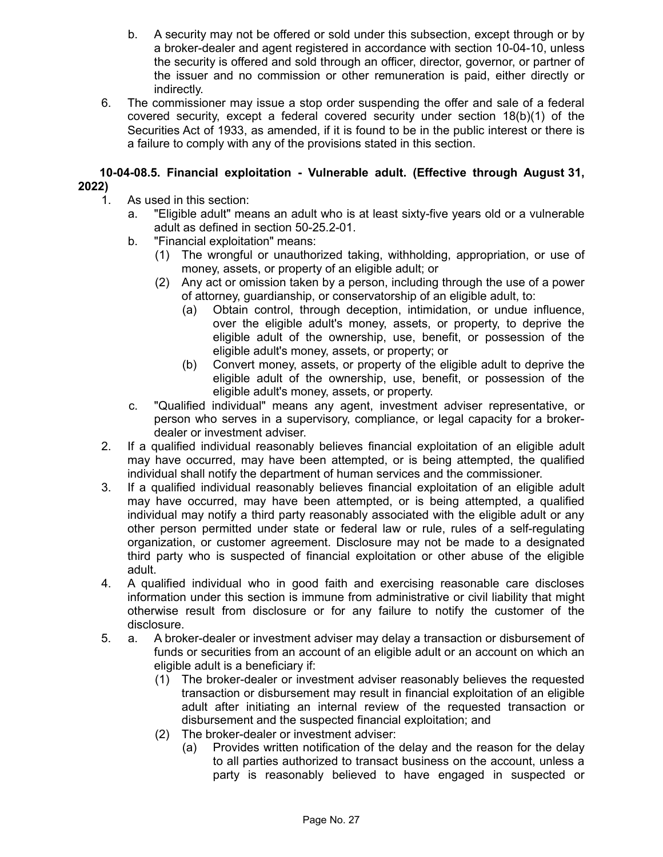- b. A security may not be offered or sold under this subsection, except through or by a broker-dealer and agent registered in accordance with section 10-04-10, unless the security is offered and sold through an officer, director, governor, or partner of the issuer and no commission or other remuneration is paid, either directly or indirectly.
- 6. The commissioner may issue a stop order suspending the offer and sale of a federal covered security, except a federal covered security under section 18(b)(1) of the Securities Act of 1933, as amended, if it is found to be in the public interest or there is a failure to comply with any of the provisions stated in this section.

### **10-04-08.5. Financial exploitation - Vulnerable adult. (Effective through August 31, 2022)**

- 1. As used in this section:
	- a. "Eligible adult" means an adult who is at least sixty-five years old or a vulnerable adult as defined in section 50-25.2-01.
	- b. "Financial exploitation" means:
		- (1) The wrongful or unauthorized taking, withholding, appropriation, or use of money, assets, or property of an eligible adult; or
		- (2) Any act or omission taken by a person, including through the use of a power of attorney, guardianship, or conservatorship of an eligible adult, to:
			- (a) Obtain control, through deception, intimidation, or undue influence, over the eligible adult's money, assets, or property, to deprive the eligible adult of the ownership, use, benefit, or possession of the eligible adult's money, assets, or property; or
			- (b) Convert money, assets, or property of the eligible adult to deprive the eligible adult of the ownership, use, benefit, or possession of the eligible adult's money, assets, or property.
	- c. "Qualified individual" means any agent, investment adviser representative, or person who serves in a supervisory, compliance, or legal capacity for a brokerdealer or investment adviser.
- 2. If a qualified individual reasonably believes financial exploitation of an eligible adult may have occurred, may have been attempted, or is being attempted, the qualified individual shall notify the department of human services and the commissioner.
- 3. If a qualified individual reasonably believes financial exploitation of an eligible adult may have occurred, may have been attempted, or is being attempted, a qualified individual may notify a third party reasonably associated with the eligible adult or any other person permitted under state or federal law or rule, rules of a self-regulating organization, or customer agreement. Disclosure may not be made to a designated third party who is suspected of financial exploitation or other abuse of the eligible adult.
- 4. A qualified individual who in good faith and exercising reasonable care discloses information under this section is immune from administrative or civil liability that might otherwise result from disclosure or for any failure to notify the customer of the disclosure.
- 5. a. A broker-dealer or investment adviser may delay a transaction or disbursement of funds or securities from an account of an eligible adult or an account on which an eligible adult is a beneficiary if:
	- (1) The broker-dealer or investment adviser reasonably believes the requested transaction or disbursement may result in financial exploitation of an eligible adult after initiating an internal review of the requested transaction or disbursement and the suspected financial exploitation; and
	- (2) The broker-dealer or investment adviser:
		- (a) Provides written notification of the delay and the reason for the delay to all parties authorized to transact business on the account, unless a party is reasonably believed to have engaged in suspected or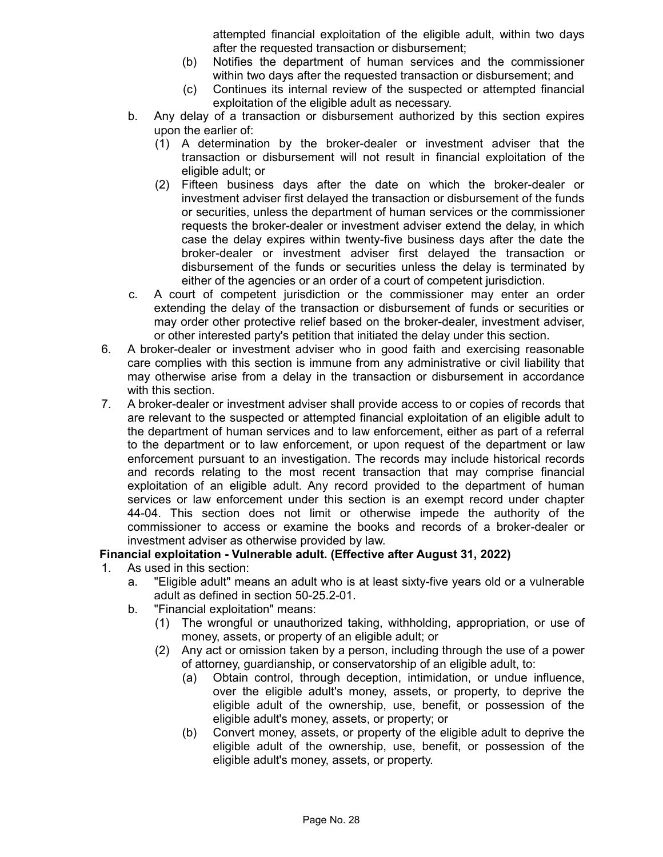attempted financial exploitation of the eligible adult, within two days after the requested transaction or disbursement;

- (b) Notifies the department of human services and the commissioner within two days after the requested transaction or disbursement; and
- (c) Continues its internal review of the suspected or attempted financial exploitation of the eligible adult as necessary.
- b. Any delay of a transaction or disbursement authorized by this section expires upon the earlier of:
	- (1) A determination by the broker-dealer or investment adviser that the transaction or disbursement will not result in financial exploitation of the eligible adult; or
	- (2) Fifteen business days after the date on which the broker-dealer or investment adviser first delayed the transaction or disbursement of the funds or securities, unless the department of human services or the commissioner requests the broker-dealer or investment adviser extend the delay, in which case the delay expires within twenty-five business days after the date the broker-dealer or investment adviser first delayed the transaction or disbursement of the funds or securities unless the delay is terminated by either of the agencies or an order of a court of competent jurisdiction.
- c. A court of competent jurisdiction or the commissioner may enter an order extending the delay of the transaction or disbursement of funds or securities or may order other protective relief based on the broker-dealer, investment adviser, or other interested party's petition that initiated the delay under this section.
- 6. A broker-dealer or investment adviser who in good faith and exercising reasonable care complies with this section is immune from any administrative or civil liability that may otherwise arise from a delay in the transaction or disbursement in accordance with this section.
- 7. A broker-dealer or investment adviser shall provide access to or copies of records that are relevant to the suspected or attempted financial exploitation of an eligible adult to the department of human services and to law enforcement, either as part of a referral to the department or to law enforcement, or upon request of the department or law enforcement pursuant to an investigation. The records may include historical records and records relating to the most recent transaction that may comprise financial exploitation of an eligible adult. Any record provided to the department of human services or law enforcement under this section is an exempt record under chapter 44-04. This section does not limit or otherwise impede the authority of the commissioner to access or examine the books and records of a broker-dealer or investment adviser as otherwise provided by law.

## **Financial exploitation - Vulnerable adult. (Effective after August 31, 2022)**

- 1. As used in this section:
	- a. "Eligible adult" means an adult who is at least sixty-five years old or a vulnerable adult as defined in section 50-25.2-01.
	- b. "Financial exploitation" means:
		- (1) The wrongful or unauthorized taking, withholding, appropriation, or use of money, assets, or property of an eligible adult; or
		- (2) Any act or omission taken by a person, including through the use of a power of attorney, guardianship, or conservatorship of an eligible adult, to:
			- (a) Obtain control, through deception, intimidation, or undue influence, over the eligible adult's money, assets, or property, to deprive the eligible adult of the ownership, use, benefit, or possession of the eligible adult's money, assets, or property; or
			- (b) Convert money, assets, or property of the eligible adult to deprive the eligible adult of the ownership, use, benefit, or possession of the eligible adult's money, assets, or property.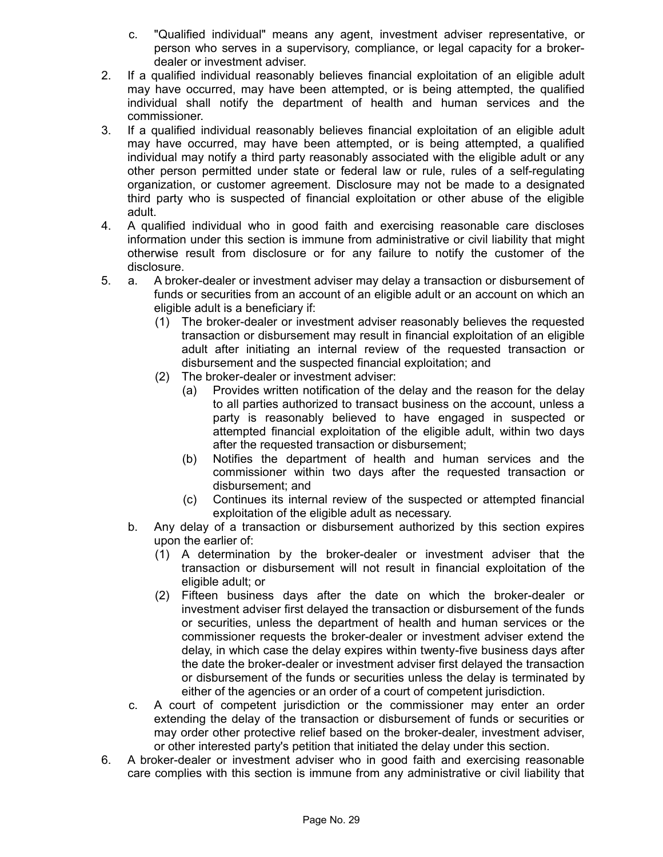- c. "Qualified individual" means any agent, investment adviser representative, or person who serves in a supervisory, compliance, or legal capacity for a brokerdealer or investment adviser.
- 2. If a qualified individual reasonably believes financial exploitation of an eligible adult may have occurred, may have been attempted, or is being attempted, the qualified individual shall notify the department of health and human services and the commissioner.
- 3. If a qualified individual reasonably believes financial exploitation of an eligible adult may have occurred, may have been attempted, or is being attempted, a qualified individual may notify a third party reasonably associated with the eligible adult or any other person permitted under state or federal law or rule, rules of a self-regulating organization, or customer agreement. Disclosure may not be made to a designated third party who is suspected of financial exploitation or other abuse of the eligible adult.
- 4. A qualified individual who in good faith and exercising reasonable care discloses information under this section is immune from administrative or civil liability that might otherwise result from disclosure or for any failure to notify the customer of the disclosure.
- 5. a. A broker-dealer or investment adviser may delay a transaction or disbursement of funds or securities from an account of an eligible adult or an account on which an eligible adult is a beneficiary if:
	- (1) The broker-dealer or investment adviser reasonably believes the requested transaction or disbursement may result in financial exploitation of an eligible adult after initiating an internal review of the requested transaction or disbursement and the suspected financial exploitation; and
	- (2) The broker-dealer or investment adviser:
		- (a) Provides written notification of the delay and the reason for the delay to all parties authorized to transact business on the account, unless a party is reasonably believed to have engaged in suspected or attempted financial exploitation of the eligible adult, within two days after the requested transaction or disbursement;
		- (b) Notifies the department of health and human services and the commissioner within two days after the requested transaction or disbursement; and
		- (c) Continues its internal review of the suspected or attempted financial exploitation of the eligible adult as necessary.
	- b. Any delay of a transaction or disbursement authorized by this section expires upon the earlier of:
		- (1) A determination by the broker-dealer or investment adviser that the transaction or disbursement will not result in financial exploitation of the eligible adult; or
		- (2) Fifteen business days after the date on which the broker-dealer or investment adviser first delayed the transaction or disbursement of the funds or securities, unless the department of health and human services or the commissioner requests the broker-dealer or investment adviser extend the delay, in which case the delay expires within twenty-five business days after the date the broker-dealer or investment adviser first delayed the transaction or disbursement of the funds or securities unless the delay is terminated by either of the agencies or an order of a court of competent jurisdiction.
	- c. A court of competent jurisdiction or the commissioner may enter an order extending the delay of the transaction or disbursement of funds or securities or may order other protective relief based on the broker-dealer, investment adviser, or other interested party's petition that initiated the delay under this section.
- 6. A broker-dealer or investment adviser who in good faith and exercising reasonable care complies with this section is immune from any administrative or civil liability that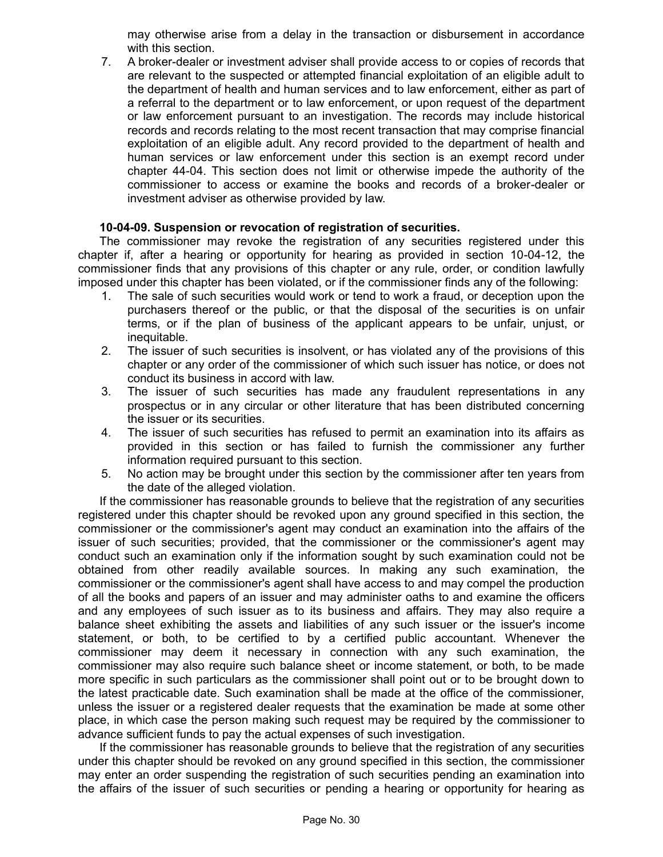may otherwise arise from a delay in the transaction or disbursement in accordance with this section.

7. A broker-dealer or investment adviser shall provide access to or copies of records that are relevant to the suspected or attempted financial exploitation of an eligible adult to the department of health and human services and to law enforcement, either as part of a referral to the department or to law enforcement, or upon request of the department or law enforcement pursuant to an investigation. The records may include historical records and records relating to the most recent transaction that may comprise financial exploitation of an eligible adult. Any record provided to the department of health and human services or law enforcement under this section is an exempt record under chapter 44-04. This section does not limit or otherwise impede the authority of the commissioner to access or examine the books and records of a broker-dealer or investment adviser as otherwise provided by law.

#### **10-04-09. Suspension or revocation of registration of securities.**

The commissioner may revoke the registration of any securities registered under this chapter if, after a hearing or opportunity for hearing as provided in section 10-04-12, the commissioner finds that any provisions of this chapter or any rule, order, or condition lawfully imposed under this chapter has been violated, or if the commissioner finds any of the following:

- 1. The sale of such securities would work or tend to work a fraud, or deception upon the purchasers thereof or the public, or that the disposal of the securities is on unfair terms, or if the plan of business of the applicant appears to be unfair, unjust, or inequitable.
- 2. The issuer of such securities is insolvent, or has violated any of the provisions of this chapter or any order of the commissioner of which such issuer has notice, or does not conduct its business in accord with law.
- 3. The issuer of such securities has made any fraudulent representations in any prospectus or in any circular or other literature that has been distributed concerning the issuer or its securities.
- 4. The issuer of such securities has refused to permit an examination into its affairs as provided in this section or has failed to furnish the commissioner any further information required pursuant to this section.
- 5. No action may be brought under this section by the commissioner after ten years from the date of the alleged violation.

If the commissioner has reasonable grounds to believe that the registration of any securities registered under this chapter should be revoked upon any ground specified in this section, the commissioner or the commissioner's agent may conduct an examination into the affairs of the issuer of such securities; provided, that the commissioner or the commissioner's agent may conduct such an examination only if the information sought by such examination could not be obtained from other readily available sources. In making any such examination, the commissioner or the commissioner's agent shall have access to and may compel the production of all the books and papers of an issuer and may administer oaths to and examine the officers and any employees of such issuer as to its business and affairs. They may also require a balance sheet exhibiting the assets and liabilities of any such issuer or the issuer's income statement, or both, to be certified to by a certified public accountant. Whenever the commissioner may deem it necessary in connection with any such examination, the commissioner may also require such balance sheet or income statement, or both, to be made more specific in such particulars as the commissioner shall point out or to be brought down to the latest practicable date. Such examination shall be made at the office of the commissioner, unless the issuer or a registered dealer requests that the examination be made at some other place, in which case the person making such request may be required by the commissioner to advance sufficient funds to pay the actual expenses of such investigation.

If the commissioner has reasonable grounds to believe that the registration of any securities under this chapter should be revoked on any ground specified in this section, the commissioner may enter an order suspending the registration of such securities pending an examination into the affairs of the issuer of such securities or pending a hearing or opportunity for hearing as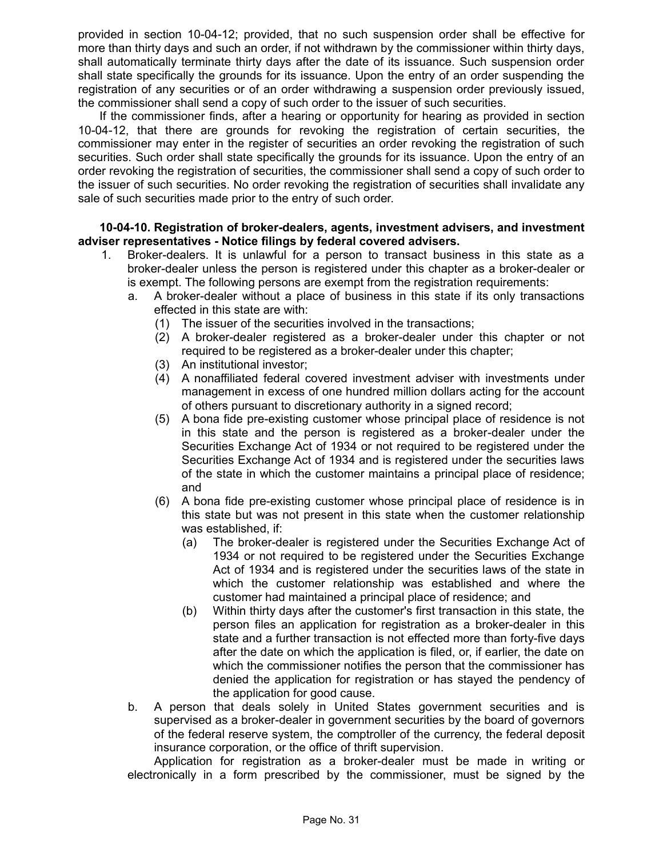provided in section 10-04-12; provided, that no such suspension order shall be effective for more than thirty days and such an order, if not withdrawn by the commissioner within thirty days, shall automatically terminate thirty days after the date of its issuance. Such suspension order shall state specifically the grounds for its issuance. Upon the entry of an order suspending the registration of any securities or of an order withdrawing a suspension order previously issued, the commissioner shall send a copy of such order to the issuer of such securities.

If the commissioner finds, after a hearing or opportunity for hearing as provided in section 10-04-12, that there are grounds for revoking the registration of certain securities, the commissioner may enter in the register of securities an order revoking the registration of such securities. Such order shall state specifically the grounds for its issuance. Upon the entry of an order revoking the registration of securities, the commissioner shall send a copy of such order to the issuer of such securities. No order revoking the registration of securities shall invalidate any sale of such securities made prior to the entry of such order.

### **10-04-10. Registration of broker-dealers, agents, investment advisers, and investment adviser representatives - Notice filings by federal covered advisers.**

- 1. Broker-dealers. It is unlawful for a person to transact business in this state as a broker-dealer unless the person is registered under this chapter as a broker-dealer or is exempt. The following persons are exempt from the registration requirements:
	- a. A broker-dealer without a place of business in this state if its only transactions effected in this state are with:
		- (1) The issuer of the securities involved in the transactions;
		- (2) A broker-dealer registered as a broker-dealer under this chapter or not required to be registered as a broker-dealer under this chapter;
		- (3) An institutional investor;
		- (4) A nonaffiliated federal covered investment adviser with investments under management in excess of one hundred million dollars acting for the account of others pursuant to discretionary authority in a signed record;
		- (5) A bona fide pre-existing customer whose principal place of residence is not in this state and the person is registered as a broker-dealer under the Securities Exchange Act of 1934 or not required to be registered under the Securities Exchange Act of 1934 and is registered under the securities laws of the state in which the customer maintains a principal place of residence; and
		- (6) A bona fide pre-existing customer whose principal place of residence is in this state but was not present in this state when the customer relationship was established, if:
			- (a) The broker-dealer is registered under the Securities Exchange Act of 1934 or not required to be registered under the Securities Exchange Act of 1934 and is registered under the securities laws of the state in which the customer relationship was established and where the customer had maintained a principal place of residence; and
			- (b) Within thirty days after the customer's first transaction in this state, the person files an application for registration as a broker-dealer in this state and a further transaction is not effected more than forty-five days after the date on which the application is filed, or, if earlier, the date on which the commissioner notifies the person that the commissioner has denied the application for registration or has stayed the pendency of the application for good cause.
	- b. A person that deals solely in United States government securities and is supervised as a broker-dealer in government securities by the board of governors of the federal reserve system, the comptroller of the currency, the federal deposit insurance corporation, or the office of thrift supervision.

Application for registration as a broker-dealer must be made in writing or electronically in a form prescribed by the commissioner, must be signed by the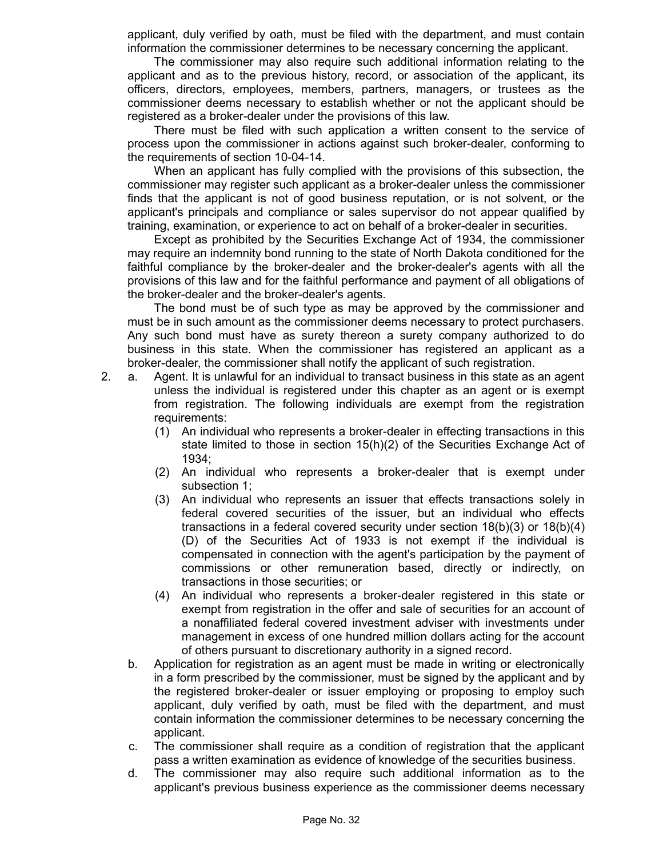applicant, duly verified by oath, must be filed with the department, and must contain information the commissioner determines to be necessary concerning the applicant.

The commissioner may also require such additional information relating to the applicant and as to the previous history, record, or association of the applicant, its officers, directors, employees, members, partners, managers, or trustees as the commissioner deems necessary to establish whether or not the applicant should be registered as a broker-dealer under the provisions of this law.

There must be filed with such application a written consent to the service of process upon the commissioner in actions against such broker-dealer, conforming to the requirements of section 10-04-14.

When an applicant has fully complied with the provisions of this subsection, the commissioner may register such applicant as a broker-dealer unless the commissioner finds that the applicant is not of good business reputation, or is not solvent, or the applicant's principals and compliance or sales supervisor do not appear qualified by training, examination, or experience to act on behalf of a broker-dealer in securities.

Except as prohibited by the Securities Exchange Act of 1934, the commissioner may require an indemnity bond running to the state of North Dakota conditioned for the faithful compliance by the broker-dealer and the broker-dealer's agents with all the provisions of this law and for the faithful performance and payment of all obligations of the broker-dealer and the broker-dealer's agents.

The bond must be of such type as may be approved by the commissioner and must be in such amount as the commissioner deems necessary to protect purchasers. Any such bond must have as surety thereon a surety company authorized to do business in this state. When the commissioner has registered an applicant as a broker-dealer, the commissioner shall notify the applicant of such registration.

- 2. a. Agent. It is unlawful for an individual to transact business in this state as an agent unless the individual is registered under this chapter as an agent or is exempt from registration. The following individuals are exempt from the registration requirements:
	- (1) An individual who represents a broker-dealer in effecting transactions in this state limited to those in section 15(h)(2) of the Securities Exchange Act of 1934;
	- (2) An individual who represents a broker-dealer that is exempt under subsection 1;
	- (3) An individual who represents an issuer that effects transactions solely in federal covered securities of the issuer, but an individual who effects transactions in a federal covered security under section 18(b)(3) or 18(b)(4) (D) of the Securities Act of 1933 is not exempt if the individual is compensated in connection with the agent's participation by the payment of commissions or other remuneration based, directly or indirectly, on transactions in those securities; or
	- (4) An individual who represents a broker-dealer registered in this state or exempt from registration in the offer and sale of securities for an account of a nonaffiliated federal covered investment adviser with investments under management in excess of one hundred million dollars acting for the account of others pursuant to discretionary authority in a signed record.
	- b. Application for registration as an agent must be made in writing or electronically in a form prescribed by the commissioner, must be signed by the applicant and by the registered broker-dealer or issuer employing or proposing to employ such applicant, duly verified by oath, must be filed with the department, and must contain information the commissioner determines to be necessary concerning the applicant.
	- c. The commissioner shall require as a condition of registration that the applicant pass a written examination as evidence of knowledge of the securities business.
	- d. The commissioner may also require such additional information as to the applicant's previous business experience as the commissioner deems necessary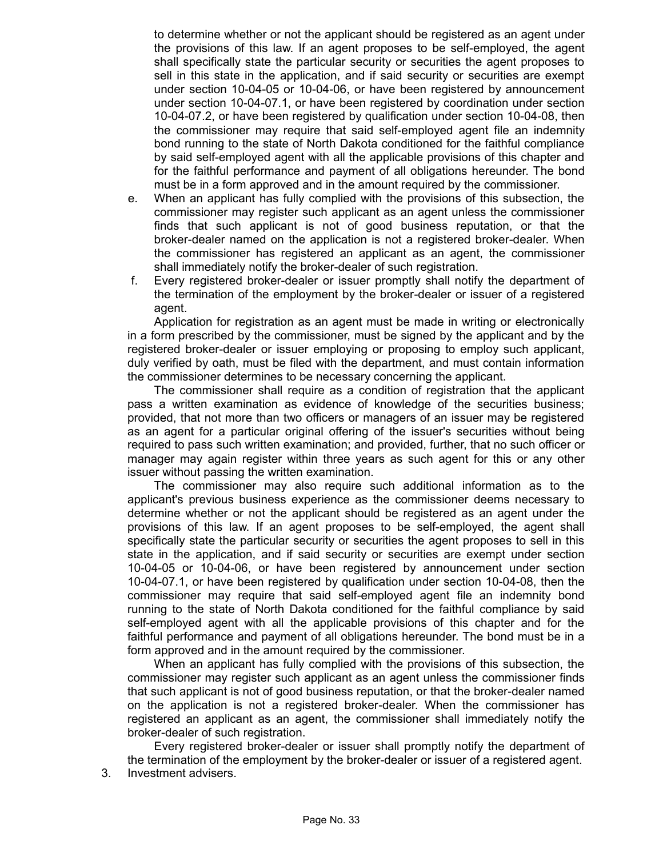to determine whether or not the applicant should be registered as an agent under the provisions of this law. If an agent proposes to be self-employed, the agent shall specifically state the particular security or securities the agent proposes to sell in this state in the application, and if said security or securities are exempt under section 10-04-05 or 10-04-06, or have been registered by announcement under section 10-04-07.1, or have been registered by coordination under section 10-04-07.2, or have been registered by qualification under section 10-04-08, then the commissioner may require that said self-employed agent file an indemnity bond running to the state of North Dakota conditioned for the faithful compliance by said self-employed agent with all the applicable provisions of this chapter and for the faithful performance and payment of all obligations hereunder. The bond must be in a form approved and in the amount required by the commissioner.

- e. When an applicant has fully complied with the provisions of this subsection, the commissioner may register such applicant as an agent unless the commissioner finds that such applicant is not of good business reputation, or that the broker-dealer named on the application is not a registered broker-dealer. When the commissioner has registered an applicant as an agent, the commissioner shall immediately notify the broker-dealer of such registration.
- f. Every registered broker-dealer or issuer promptly shall notify the department of the termination of the employment by the broker-dealer or issuer of a registered agent.

Application for registration as an agent must be made in writing or electronically in a form prescribed by the commissioner, must be signed by the applicant and by the registered broker-dealer or issuer employing or proposing to employ such applicant, duly verified by oath, must be filed with the department, and must contain information the commissioner determines to be necessary concerning the applicant.

The commissioner shall require as a condition of registration that the applicant pass a written examination as evidence of knowledge of the securities business; provided, that not more than two officers or managers of an issuer may be registered as an agent for a particular original offering of the issuer's securities without being required to pass such written examination; and provided, further, that no such officer or manager may again register within three years as such agent for this or any other issuer without passing the written examination.

The commissioner may also require such additional information as to the applicant's previous business experience as the commissioner deems necessary to determine whether or not the applicant should be registered as an agent under the provisions of this law. If an agent proposes to be self-employed, the agent shall specifically state the particular security or securities the agent proposes to sell in this state in the application, and if said security or securities are exempt under section 10-04-05 or 10-04-06, or have been registered by announcement under section 10-04-07.1, or have been registered by qualification under section 10-04-08, then the commissioner may require that said self-employed agent file an indemnity bond running to the state of North Dakota conditioned for the faithful compliance by said self-employed agent with all the applicable provisions of this chapter and for the faithful performance and payment of all obligations hereunder. The bond must be in a form approved and in the amount required by the commissioner.

When an applicant has fully complied with the provisions of this subsection, the commissioner may register such applicant as an agent unless the commissioner finds that such applicant is not of good business reputation, or that the broker-dealer named on the application is not a registered broker-dealer. When the commissioner has registered an applicant as an agent, the commissioner shall immediately notify the broker-dealer of such registration.

Every registered broker-dealer or issuer shall promptly notify the department of the termination of the employment by the broker-dealer or issuer of a registered agent.

3. Investment advisers.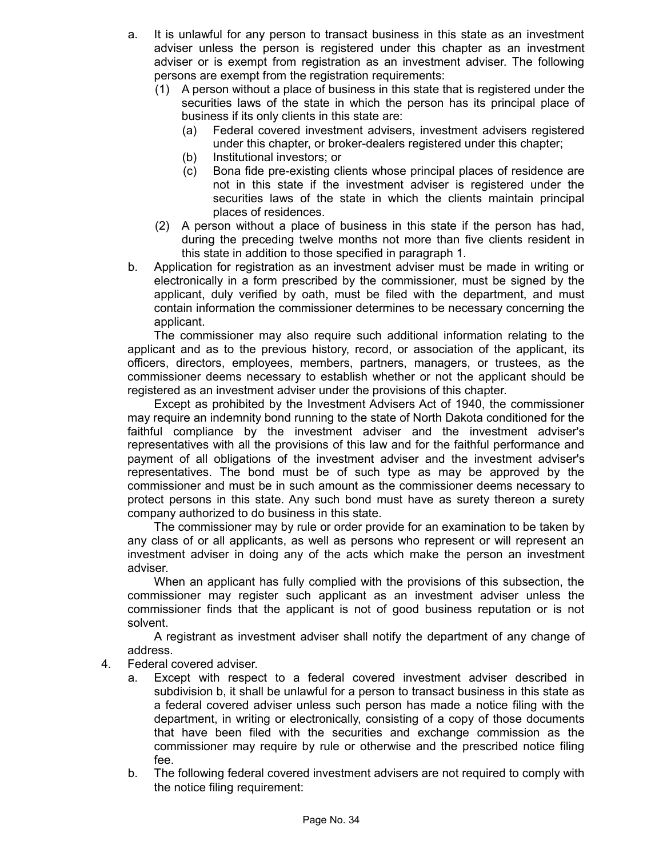- a. It is unlawful for any person to transact business in this state as an investment adviser unless the person is registered under this chapter as an investment adviser or is exempt from registration as an investment adviser. The following persons are exempt from the registration requirements:
	- (1) A person without a place of business in this state that is registered under the securities laws of the state in which the person has its principal place of business if its only clients in this state are:
		- (a) Federal covered investment advisers, investment advisers registered under this chapter, or broker-dealers registered under this chapter;
		- (b) Institutional investors; or
		- (c) Bona fide pre-existing clients whose principal places of residence are not in this state if the investment adviser is registered under the securities laws of the state in which the clients maintain principal places of residences.
	- (2) A person without a place of business in this state if the person has had, during the preceding twelve months not more than five clients resident in this state in addition to those specified in paragraph 1.
- b. Application for registration as an investment adviser must be made in writing or electronically in a form prescribed by the commissioner, must be signed by the applicant, duly verified by oath, must be filed with the department, and must contain information the commissioner determines to be necessary concerning the applicant.

The commissioner may also require such additional information relating to the applicant and as to the previous history, record, or association of the applicant, its officers, directors, employees, members, partners, managers, or trustees, as the commissioner deems necessary to establish whether or not the applicant should be registered as an investment adviser under the provisions of this chapter.

Except as prohibited by the Investment Advisers Act of 1940, the commissioner may require an indemnity bond running to the state of North Dakota conditioned for the faithful compliance by the investment adviser and the investment adviser's representatives with all the provisions of this law and for the faithful performance and payment of all obligations of the investment adviser and the investment adviser's representatives. The bond must be of such type as may be approved by the commissioner and must be in such amount as the commissioner deems necessary to protect persons in this state. Any such bond must have as surety thereon a surety company authorized to do business in this state.

The commissioner may by rule or order provide for an examination to be taken by any class of or all applicants, as well as persons who represent or will represent an investment adviser in doing any of the acts which make the person an investment adviser.

When an applicant has fully complied with the provisions of this subsection, the commissioner may register such applicant as an investment adviser unless the commissioner finds that the applicant is not of good business reputation or is not solvent.

A registrant as investment adviser shall notify the department of any change of address.

- 4. Federal covered adviser.
	- a. Except with respect to a federal covered investment adviser described in subdivision b, it shall be unlawful for a person to transact business in this state as a federal covered adviser unless such person has made a notice filing with the department, in writing or electronically, consisting of a copy of those documents that have been filed with the securities and exchange commission as the commissioner may require by rule or otherwise and the prescribed notice filing fee.
	- b. The following federal covered investment advisers are not required to comply with the notice filing requirement: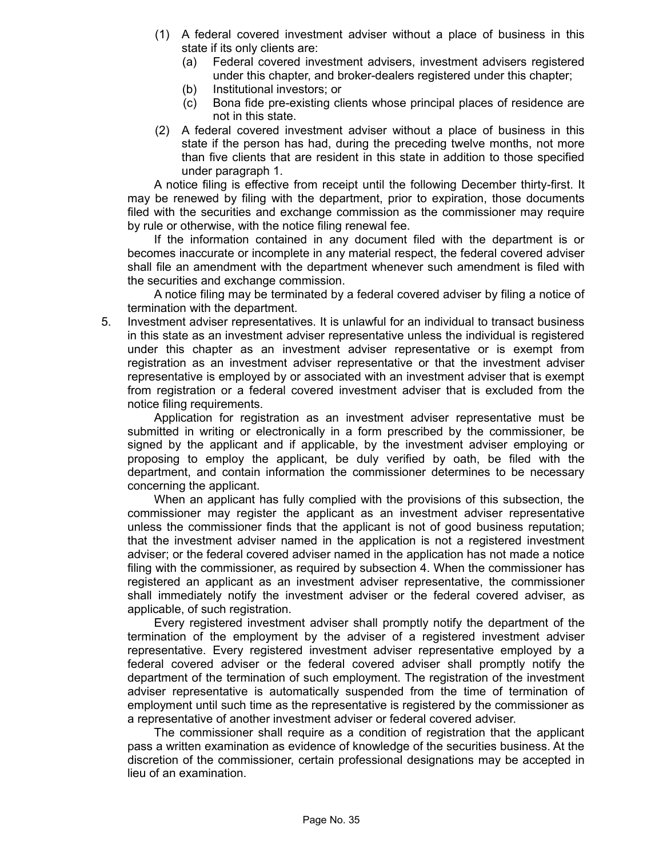- (1) A federal covered investment adviser without a place of business in this state if its only clients are:
	- (a) Federal covered investment advisers, investment advisers registered under this chapter, and broker-dealers registered under this chapter;
	- (b) Institutional investors; or
	- (c) Bona fide pre-existing clients whose principal places of residence are not in this state.
- (2) A federal covered investment adviser without a place of business in this state if the person has had, during the preceding twelve months, not more than five clients that are resident in this state in addition to those specified under paragraph 1.

A notice filing is effective from receipt until the following December thirty-first. It may be renewed by filing with the department, prior to expiration, those documents filed with the securities and exchange commission as the commissioner may require by rule or otherwise, with the notice filing renewal fee.

If the information contained in any document filed with the department is or becomes inaccurate or incomplete in any material respect, the federal covered adviser shall file an amendment with the department whenever such amendment is filed with the securities and exchange commission.

A notice filing may be terminated by a federal covered adviser by filing a notice of termination with the department.

5. Investment adviser representatives. It is unlawful for an individual to transact business in this state as an investment adviser representative unless the individual is registered under this chapter as an investment adviser representative or is exempt from registration as an investment adviser representative or that the investment adviser representative is employed by or associated with an investment adviser that is exempt from registration or a federal covered investment adviser that is excluded from the notice filing requirements.

Application for registration as an investment adviser representative must be submitted in writing or electronically in a form prescribed by the commissioner, be signed by the applicant and if applicable, by the investment adviser employing or proposing to employ the applicant, be duly verified by oath, be filed with the department, and contain information the commissioner determines to be necessary concerning the applicant.

When an applicant has fully complied with the provisions of this subsection, the commissioner may register the applicant as an investment adviser representative unless the commissioner finds that the applicant is not of good business reputation; that the investment adviser named in the application is not a registered investment adviser; or the federal covered adviser named in the application has not made a notice filing with the commissioner, as required by subsection 4. When the commissioner has registered an applicant as an investment adviser representative, the commissioner shall immediately notify the investment adviser or the federal covered adviser, as applicable, of such registration.

Every registered investment adviser shall promptly notify the department of the termination of the employment by the adviser of a registered investment adviser representative. Every registered investment adviser representative employed by a federal covered adviser or the federal covered adviser shall promptly notify the department of the termination of such employment. The registration of the investment adviser representative is automatically suspended from the time of termination of employment until such time as the representative is registered by the commissioner as a representative of another investment adviser or federal covered adviser.

The commissioner shall require as a condition of registration that the applicant pass a written examination as evidence of knowledge of the securities business. At the discretion of the commissioner, certain professional designations may be accepted in lieu of an examination.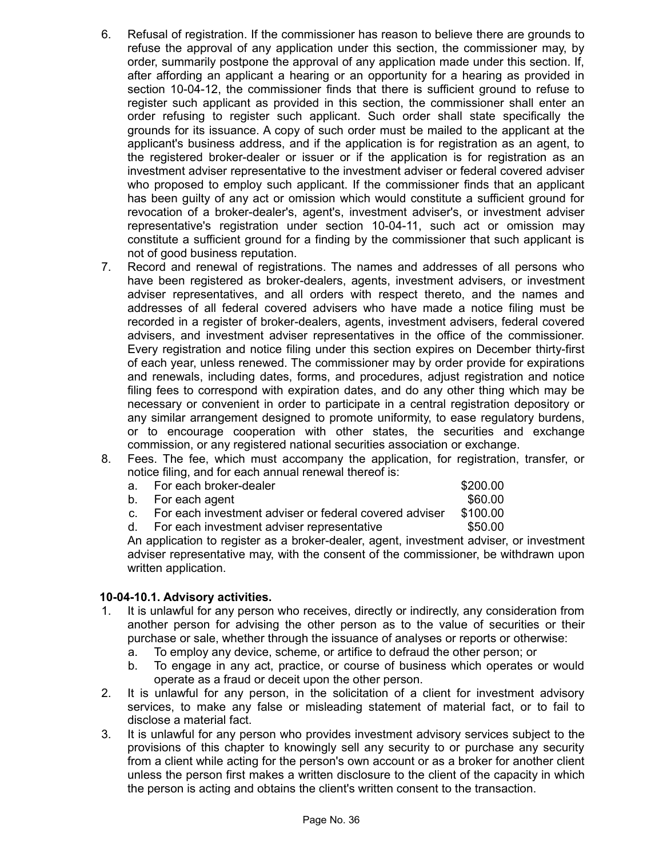- 6. Refusal of registration. If the commissioner has reason to believe there are grounds to refuse the approval of any application under this section, the commissioner may, by order, summarily postpone the approval of any application made under this section. If, after affording an applicant a hearing or an opportunity for a hearing as provided in section 10-04-12, the commissioner finds that there is sufficient ground to refuse to register such applicant as provided in this section, the commissioner shall enter an order refusing to register such applicant. Such order shall state specifically the grounds for its issuance. A copy of such order must be mailed to the applicant at the applicant's business address, and if the application is for registration as an agent, to the registered broker-dealer or issuer or if the application is for registration as an investment adviser representative to the investment adviser or federal covered adviser who proposed to employ such applicant. If the commissioner finds that an applicant has been guilty of any act or omission which would constitute a sufficient ground for revocation of a broker-dealer's, agent's, investment adviser's, or investment adviser representative's registration under section 10-04-11, such act or omission may constitute a sufficient ground for a finding by the commissioner that such applicant is not of good business reputation.
- 7. Record and renewal of registrations. The names and addresses of all persons who have been registered as broker-dealers, agents, investment advisers, or investment adviser representatives, and all orders with respect thereto, and the names and addresses of all federal covered advisers who have made a notice filing must be recorded in a register of broker-dealers, agents, investment advisers, federal covered advisers, and investment adviser representatives in the office of the commissioner. Every registration and notice filing under this section expires on December thirty-first of each year, unless renewed. The commissioner may by order provide for expirations and renewals, including dates, forms, and procedures, adjust registration and notice filing fees to correspond with expiration dates, and do any other thing which may be necessary or convenient in order to participate in a central registration depository or any similar arrangement designed to promote uniformity, to ease regulatory burdens, or to encourage cooperation with other states, the securities and exchange commission, or any registered national securities association or exchange.
- 8. Fees. The fee, which must accompany the application, for registration, transfer, or notice filing, and for each annual renewal thereof is:

| a. For each broker-dealer                                 | \$200.00 |
|-----------------------------------------------------------|----------|
| b. For each agent                                         | \$60.00  |
| c. For each investment adviser or federal covered adviser | \$100.00 |
| d. For each investment adviser representative             | \$50.00  |

An application to register as a broker-dealer, agent, investment adviser, or investment adviser representative may, with the consent of the commissioner, be withdrawn upon written application.

## **10-04-10.1. Advisory activities.**

- 1. It is unlawful for any person who receives, directly or indirectly, any consideration from another person for advising the other person as to the value of securities or their purchase or sale, whether through the issuance of analyses or reports or otherwise:
	- a. To employ any device, scheme, or artifice to defraud the other person; or
	- b. To engage in any act, practice, or course of business which operates or would operate as a fraud or deceit upon the other person.
- 2. It is unlawful for any person, in the solicitation of a client for investment advisory services, to make any false or misleading statement of material fact, or to fail to disclose a material fact.
- 3. It is unlawful for any person who provides investment advisory services subject to the provisions of this chapter to knowingly sell any security to or purchase any security from a client while acting for the person's own account or as a broker for another client unless the person first makes a written disclosure to the client of the capacity in which the person is acting and obtains the client's written consent to the transaction.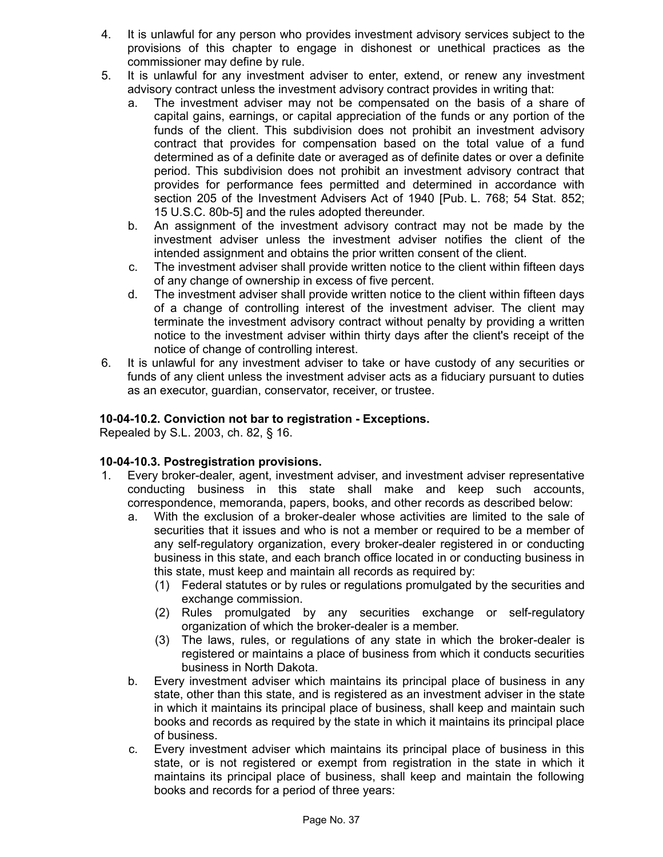- 4. It is unlawful for any person who provides investment advisory services subject to the provisions of this chapter to engage in dishonest or unethical practices as the commissioner may define by rule.
- 5. It is unlawful for any investment adviser to enter, extend, or renew any investment advisory contract unless the investment advisory contract provides in writing that:
	- a. The investment adviser may not be compensated on the basis of a share of capital gains, earnings, or capital appreciation of the funds or any portion of the funds of the client. This subdivision does not prohibit an investment advisory contract that provides for compensation based on the total value of a fund determined as of a definite date or averaged as of definite dates or over a definite period. This subdivision does not prohibit an investment advisory contract that provides for performance fees permitted and determined in accordance with section 205 of the Investment Advisers Act of 1940 [Pub. L. 768; 54 Stat. 852; 15 U.S.C. 80b-5] and the rules adopted thereunder.
	- b. An assignment of the investment advisory contract may not be made by the investment adviser unless the investment adviser notifies the client of the intended assignment and obtains the prior written consent of the client.
	- c. The investment adviser shall provide written notice to the client within fifteen days of any change of ownership in excess of five percent.
	- d. The investment adviser shall provide written notice to the client within fifteen days of a change of controlling interest of the investment adviser. The client may terminate the investment advisory contract without penalty by providing a written notice to the investment adviser within thirty days after the client's receipt of the notice of change of controlling interest.
- 6. It is unlawful for any investment adviser to take or have custody of any securities or funds of any client unless the investment adviser acts as a fiduciary pursuant to duties as an executor, guardian, conservator, receiver, or trustee.

# **10-04-10.2. Conviction not bar to registration - Exceptions.**

Repealed by S.L. 2003, ch. 82, § 16.

## **10-04-10.3. Postregistration provisions.**

- 1. Every broker-dealer, agent, investment adviser, and investment adviser representative conducting business in this state shall make and keep such accounts, correspondence, memoranda, papers, books, and other records as described below:
	- a. With the exclusion of a broker-dealer whose activities are limited to the sale of securities that it issues and who is not a member or required to be a member of any self-regulatory organization, every broker-dealer registered in or conducting business in this state, and each branch office located in or conducting business in this state, must keep and maintain all records as required by:
		- (1) Federal statutes or by rules or regulations promulgated by the securities and exchange commission.
		- (2) Rules promulgated by any securities exchange or self-regulatory organization of which the broker-dealer is a member.
		- (3) The laws, rules, or regulations of any state in which the broker-dealer is registered or maintains a place of business from which it conducts securities business in North Dakota.
	- b. Every investment adviser which maintains its principal place of business in any state, other than this state, and is registered as an investment adviser in the state in which it maintains its principal place of business, shall keep and maintain such books and records as required by the state in which it maintains its principal place of business.
	- c. Every investment adviser which maintains its principal place of business in this state, or is not registered or exempt from registration in the state in which it maintains its principal place of business, shall keep and maintain the following books and records for a period of three years: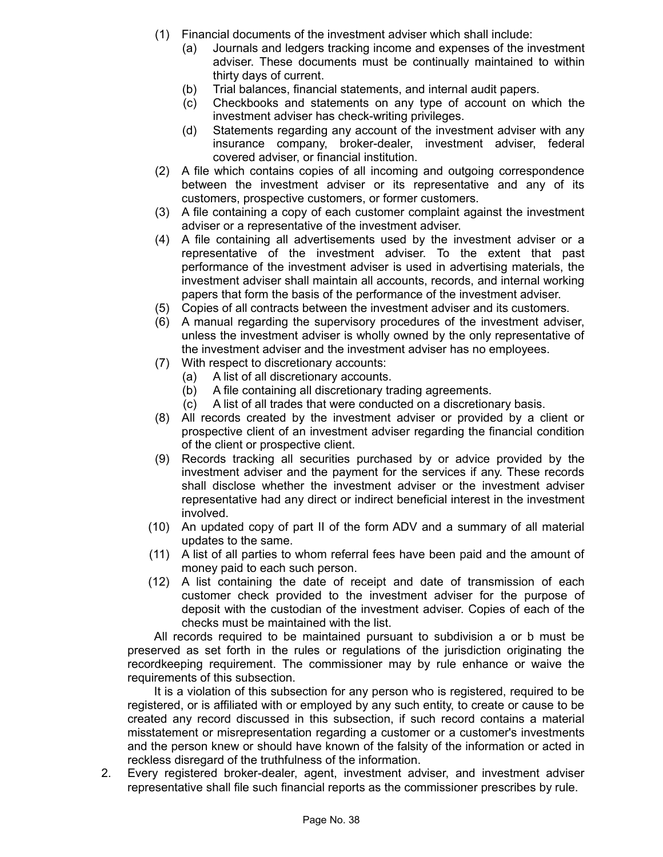- (1) Financial documents of the investment adviser which shall include:
	- (a) Journals and ledgers tracking income and expenses of the investment adviser. These documents must be continually maintained to within thirty days of current.
	- (b) Trial balances, financial statements, and internal audit papers.
	- (c) Checkbooks and statements on any type of account on which the investment adviser has check-writing privileges.
	- (d) Statements regarding any account of the investment adviser with any insurance company, broker-dealer, investment adviser, federal covered adviser, or financial institution.
- (2) A file which contains copies of all incoming and outgoing correspondence between the investment adviser or its representative and any of its customers, prospective customers, or former customers.
- (3) A file containing a copy of each customer complaint against the investment adviser or a representative of the investment adviser.
- (4) A file containing all advertisements used by the investment adviser or a representative of the investment adviser. To the extent that past performance of the investment adviser is used in advertising materials, the investment adviser shall maintain all accounts, records, and internal working papers that form the basis of the performance of the investment adviser.
- (5) Copies of all contracts between the investment adviser and its customers.
- (6) A manual regarding the supervisory procedures of the investment adviser, unless the investment adviser is wholly owned by the only representative of the investment adviser and the investment adviser has no employees.
- (7) With respect to discretionary accounts:
	- (a) A list of all discretionary accounts.
	- (b) A file containing all discretionary trading agreements.
	- (c) A list of all trades that were conducted on a discretionary basis.
- (8) All records created by the investment adviser or provided by a client or prospective client of an investment adviser regarding the financial condition of the client or prospective client.
- (9) Records tracking all securities purchased by or advice provided by the investment adviser and the payment for the services if any. These records shall disclose whether the investment adviser or the investment adviser representative had any direct or indirect beneficial interest in the investment involved.
- (10) An updated copy of part II of the form ADV and a summary of all material updates to the same.
- (11) A list of all parties to whom referral fees have been paid and the amount of money paid to each such person.
- (12) A list containing the date of receipt and date of transmission of each customer check provided to the investment adviser for the purpose of deposit with the custodian of the investment adviser. Copies of each of the checks must be maintained with the list.

All records required to be maintained pursuant to subdivision a or b must be preserved as set forth in the rules or regulations of the jurisdiction originating the recordkeeping requirement. The commissioner may by rule enhance or waive the requirements of this subsection.

It is a violation of this subsection for any person who is registered, required to be registered, or is affiliated with or employed by any such entity, to create or cause to be created any record discussed in this subsection, if such record contains a material misstatement or misrepresentation regarding a customer or a customer's investments and the person knew or should have known of the falsity of the information or acted in reckless disregard of the truthfulness of the information.

2. Every registered broker-dealer, agent, investment adviser, and investment adviser representative shall file such financial reports as the commissioner prescribes by rule.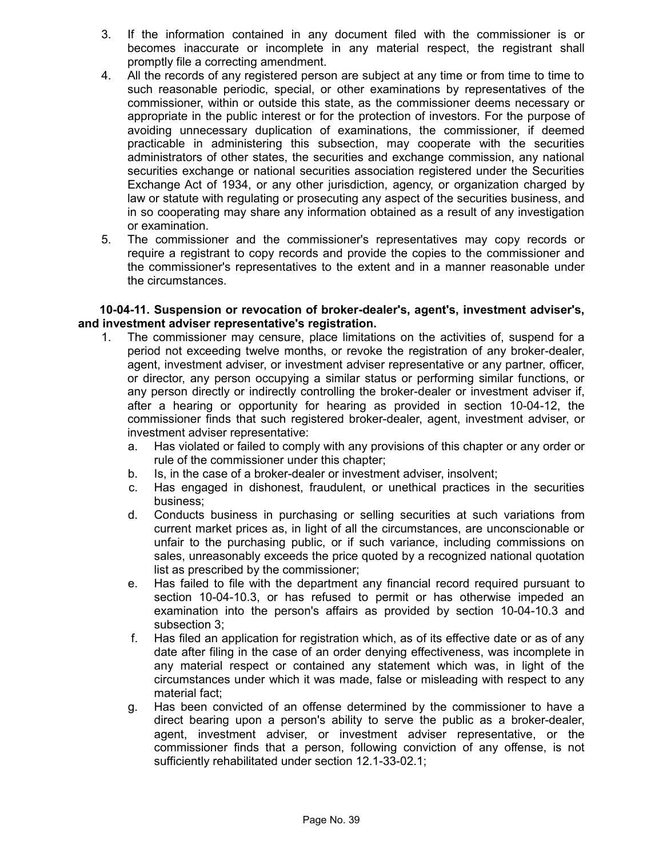- 3. If the information contained in any document filed with the commissioner is or becomes inaccurate or incomplete in any material respect, the registrant shall promptly file a correcting amendment.
- 4. All the records of any registered person are subject at any time or from time to time to such reasonable periodic, special, or other examinations by representatives of the commissioner, within or outside this state, as the commissioner deems necessary or appropriate in the public interest or for the protection of investors. For the purpose of avoiding unnecessary duplication of examinations, the commissioner, if deemed practicable in administering this subsection, may cooperate with the securities administrators of other states, the securities and exchange commission, any national securities exchange or national securities association registered under the Securities Exchange Act of 1934, or any other jurisdiction, agency, or organization charged by law or statute with regulating or prosecuting any aspect of the securities business, and in so cooperating may share any information obtained as a result of any investigation or examination.
- 5. The commissioner and the commissioner's representatives may copy records or require a registrant to copy records and provide the copies to the commissioner and the commissioner's representatives to the extent and in a manner reasonable under the circumstances.

#### **10-04-11. Suspension or revocation of broker-dealer's, agent's, investment adviser's, and investment adviser representative's registration.**

- 1. The commissioner may censure, place limitations on the activities of, suspend for a period not exceeding twelve months, or revoke the registration of any broker-dealer, agent, investment adviser, or investment adviser representative or any partner, officer, or director, any person occupying a similar status or performing similar functions, or any person directly or indirectly controlling the broker-dealer or investment adviser if, after a hearing or opportunity for hearing as provided in section 10-04-12, the commissioner finds that such registered broker-dealer, agent, investment adviser, or investment adviser representative:
	- a. Has violated or failed to comply with any provisions of this chapter or any order or rule of the commissioner under this chapter;
	- b. Is, in the case of a broker-dealer or investment adviser, insolvent;
	- c. Has engaged in dishonest, fraudulent, or unethical practices in the securities business;
	- d. Conducts business in purchasing or selling securities at such variations from current market prices as, in light of all the circumstances, are unconscionable or unfair to the purchasing public, or if such variance, including commissions on sales, unreasonably exceeds the price quoted by a recognized national quotation list as prescribed by the commissioner;
	- e. Has failed to file with the department any financial record required pursuant to section 10-04-10.3, or has refused to permit or has otherwise impeded an examination into the person's affairs as provided by section 10-04-10.3 and subsection 3;
	- f. Has filed an application for registration which, as of its effective date or as of any date after filing in the case of an order denying effectiveness, was incomplete in any material respect or contained any statement which was, in light of the circumstances under which it was made, false or misleading with respect to any material fact;
	- g. Has been convicted of an offense determined by the commissioner to have a direct bearing upon a person's ability to serve the public as a broker-dealer, agent, investment adviser, or investment adviser representative, or the commissioner finds that a person, following conviction of any offense, is not sufficiently rehabilitated under section 12.1-33-02.1;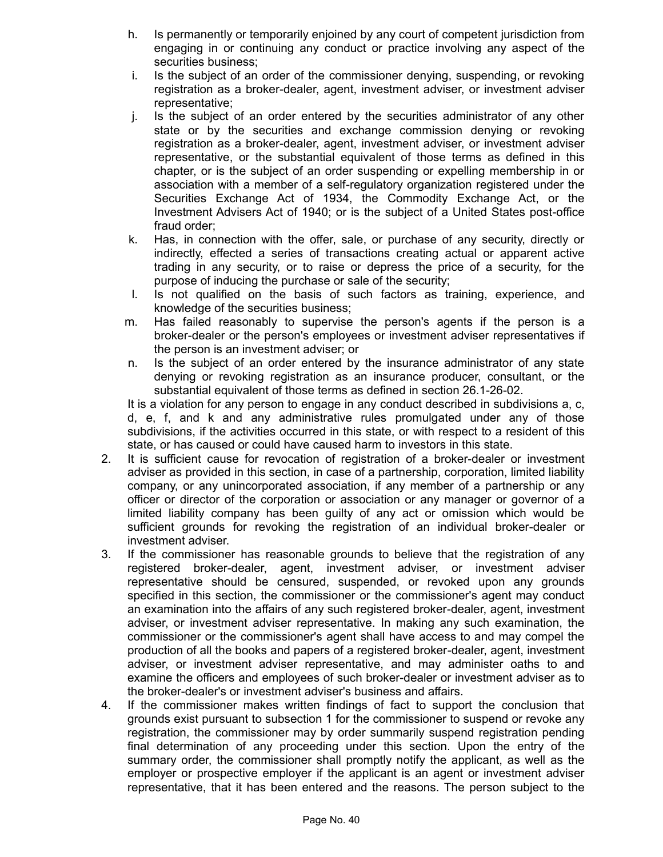- h. Is permanently or temporarily enjoined by any court of competent jurisdiction from engaging in or continuing any conduct or practice involving any aspect of the securities business;
- i. Is the subject of an order of the commissioner denying, suspending, or revoking registration as a broker-dealer, agent, investment adviser, or investment adviser representative;
- j. Is the subject of an order entered by the securities administrator of any other state or by the securities and exchange commission denying or revoking registration as a broker-dealer, agent, investment adviser, or investment adviser representative, or the substantial equivalent of those terms as defined in this chapter, or is the subject of an order suspending or expelling membership in or association with a member of a self-regulatory organization registered under the Securities Exchange Act of 1934, the Commodity Exchange Act, or the Investment Advisers Act of 1940; or is the subject of a United States post-office fraud order;
- k. Has, in connection with the offer, sale, or purchase of any security, directly or indirectly, effected a series of transactions creating actual or apparent active trading in any security, or to raise or depress the price of a security, for the purpose of inducing the purchase or sale of the security;
- l. Is not qualified on the basis of such factors as training, experience, and knowledge of the securities business;
- m. Has failed reasonably to supervise the person's agents if the person is a broker-dealer or the person's employees or investment adviser representatives if the person is an investment adviser; or
- n. Is the subject of an order entered by the insurance administrator of any state denying or revoking registration as an insurance producer, consultant, or the substantial equivalent of those terms as defined in section 26.1-26-02.

It is a violation for any person to engage in any conduct described in subdivisions a, c, d, e, f, and k and any administrative rules promulgated under any of those subdivisions, if the activities occurred in this state, or with respect to a resident of this state, or has caused or could have caused harm to investors in this state.

- 2. It is sufficient cause for revocation of registration of a broker-dealer or investment adviser as provided in this section, in case of a partnership, corporation, limited liability company, or any unincorporated association, if any member of a partnership or any officer or director of the corporation or association or any manager or governor of a limited liability company has been guilty of any act or omission which would be sufficient grounds for revoking the registration of an individual broker-dealer or investment adviser.
- 3. If the commissioner has reasonable grounds to believe that the registration of any registered broker-dealer, agent, investment adviser, or investment adviser representative should be censured, suspended, or revoked upon any grounds specified in this section, the commissioner or the commissioner's agent may conduct an examination into the affairs of any such registered broker-dealer, agent, investment adviser, or investment adviser representative. In making any such examination, the commissioner or the commissioner's agent shall have access to and may compel the production of all the books and papers of a registered broker-dealer, agent, investment adviser, or investment adviser representative, and may administer oaths to and examine the officers and employees of such broker-dealer or investment adviser as to the broker-dealer's or investment adviser's business and affairs.
- 4. If the commissioner makes written findings of fact to support the conclusion that grounds exist pursuant to subsection 1 for the commissioner to suspend or revoke any registration, the commissioner may by order summarily suspend registration pending final determination of any proceeding under this section. Upon the entry of the summary order, the commissioner shall promptly notify the applicant, as well as the employer or prospective employer if the applicant is an agent or investment adviser representative, that it has been entered and the reasons. The person subject to the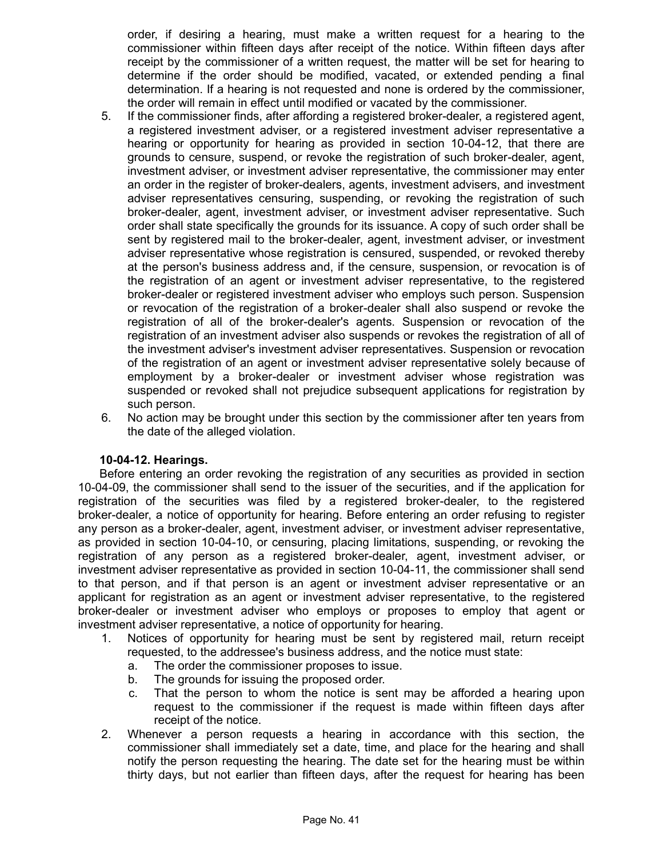order, if desiring a hearing, must make a written request for a hearing to the commissioner within fifteen days after receipt of the notice. Within fifteen days after receipt by the commissioner of a written request, the matter will be set for hearing to determine if the order should be modified, vacated, or extended pending a final determination. If a hearing is not requested and none is ordered by the commissioner, the order will remain in effect until modified or vacated by the commissioner.

- 5. If the commissioner finds, after affording a registered broker-dealer, a registered agent, a registered investment adviser, or a registered investment adviser representative a hearing or opportunity for hearing as provided in section 10-04-12, that there are grounds to censure, suspend, or revoke the registration of such broker-dealer, agent, investment adviser, or investment adviser representative, the commissioner may enter an order in the register of broker-dealers, agents, investment advisers, and investment adviser representatives censuring, suspending, or revoking the registration of such broker-dealer, agent, investment adviser, or investment adviser representative. Such order shall state specifically the grounds for its issuance. A copy of such order shall be sent by registered mail to the broker-dealer, agent, investment adviser, or investment adviser representative whose registration is censured, suspended, or revoked thereby at the person's business address and, if the censure, suspension, or revocation is of the registration of an agent or investment adviser representative, to the registered broker-dealer or registered investment adviser who employs such person. Suspension or revocation of the registration of a broker-dealer shall also suspend or revoke the registration of all of the broker-dealer's agents. Suspension or revocation of the registration of an investment adviser also suspends or revokes the registration of all of the investment adviser's investment adviser representatives. Suspension or revocation of the registration of an agent or investment adviser representative solely because of employment by a broker-dealer or investment adviser whose registration was suspended or revoked shall not prejudice subsequent applications for registration by such person.
- 6. No action may be brought under this section by the commissioner after ten years from the date of the alleged violation.

#### **10-04-12. Hearings.**

Before entering an order revoking the registration of any securities as provided in section 10-04-09, the commissioner shall send to the issuer of the securities, and if the application for registration of the securities was filed by a registered broker-dealer, to the registered broker-dealer, a notice of opportunity for hearing. Before entering an order refusing to register any person as a broker-dealer, agent, investment adviser, or investment adviser representative, as provided in section 10-04-10, or censuring, placing limitations, suspending, or revoking the registration of any person as a registered broker-dealer, agent, investment adviser, or investment adviser representative as provided in section 10-04-11, the commissioner shall send to that person, and if that person is an agent or investment adviser representative or an applicant for registration as an agent or investment adviser representative, to the registered broker-dealer or investment adviser who employs or proposes to employ that agent or investment adviser representative, a notice of opportunity for hearing.

- 1. Notices of opportunity for hearing must be sent by registered mail, return receipt requested, to the addressee's business address, and the notice must state:
	- a. The order the commissioner proposes to issue.
	- b. The grounds for issuing the proposed order.
	- c. That the person to whom the notice is sent may be afforded a hearing upon request to the commissioner if the request is made within fifteen days after receipt of the notice.
- 2. Whenever a person requests a hearing in accordance with this section, the commissioner shall immediately set a date, time, and place for the hearing and shall notify the person requesting the hearing. The date set for the hearing must be within thirty days, but not earlier than fifteen days, after the request for hearing has been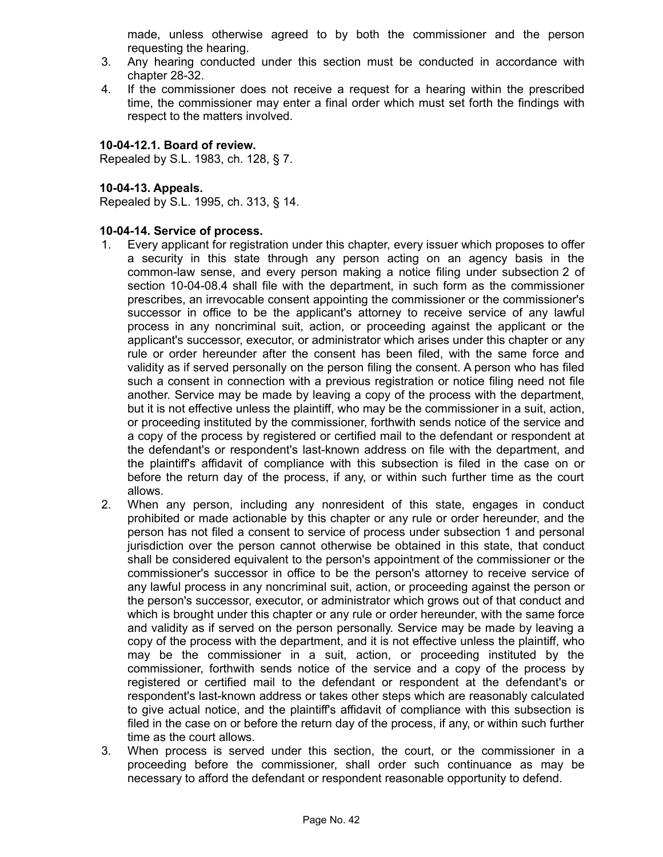made, unless otherwise agreed to by both the commissioner and the person requesting the hearing.

- 3. Any hearing conducted under this section must be conducted in accordance with chapter 28-32.
- 4. If the commissioner does not receive a request for a hearing within the prescribed time, the commissioner may enter a final order which must set forth the findings with respect to the matters involved.

### **10-04-12.1. Board of review.**

Repealed by S.L. 1983, ch. 128, § 7.

### **10-04-13. Appeals.**

Repealed by S.L. 1995, ch. 313, § 14.

### **10-04-14. Service of process.**

- 1. Every applicant for registration under this chapter, every issuer which proposes to offer a security in this state through any person acting on an agency basis in the common-law sense, and every person making a notice filing under subsection 2 of section 10-04-08.4 shall file with the department, in such form as the commissioner prescribes, an irrevocable consent appointing the commissioner or the commissioner's successor in office to be the applicant's attorney to receive service of any lawful process in any noncriminal suit, action, or proceeding against the applicant or the applicant's successor, executor, or administrator which arises under this chapter or any rule or order hereunder after the consent has been filed, with the same force and validity as if served personally on the person filing the consent. A person who has filed such a consent in connection with a previous registration or notice filing need not file another. Service may be made by leaving a copy of the process with the department, but it is not effective unless the plaintiff, who may be the commissioner in a suit, action, or proceeding instituted by the commissioner, forthwith sends notice of the service and a copy of the process by registered or certified mail to the defendant or respondent at the defendant's or respondent's last-known address on file with the department, and the plaintiff's affidavit of compliance with this subsection is filed in the case on or before the return day of the process, if any, or within such further time as the court allows.
- 2. When any person, including any nonresident of this state, engages in conduct prohibited or made actionable by this chapter or any rule or order hereunder, and the person has not filed a consent to service of process under subsection 1 and personal jurisdiction over the person cannot otherwise be obtained in this state, that conduct shall be considered equivalent to the person's appointment of the commissioner or the commissioner's successor in office to be the person's attorney to receive service of any lawful process in any noncriminal suit, action, or proceeding against the person or the person's successor, executor, or administrator which grows out of that conduct and which is brought under this chapter or any rule or order hereunder, with the same force and validity as if served on the person personally. Service may be made by leaving a copy of the process with the department, and it is not effective unless the plaintiff, who may be the commissioner in a suit, action, or proceeding instituted by the commissioner, forthwith sends notice of the service and a copy of the process by registered or certified mail to the defendant or respondent at the defendant's or respondent's last-known address or takes other steps which are reasonably calculated to give actual notice, and the plaintiff's affidavit of compliance with this subsection is filed in the case on or before the return day of the process, if any, or within such further time as the court allows.
- 3. When process is served under this section, the court, or the commissioner in a proceeding before the commissioner, shall order such continuance as may be necessary to afford the defendant or respondent reasonable opportunity to defend.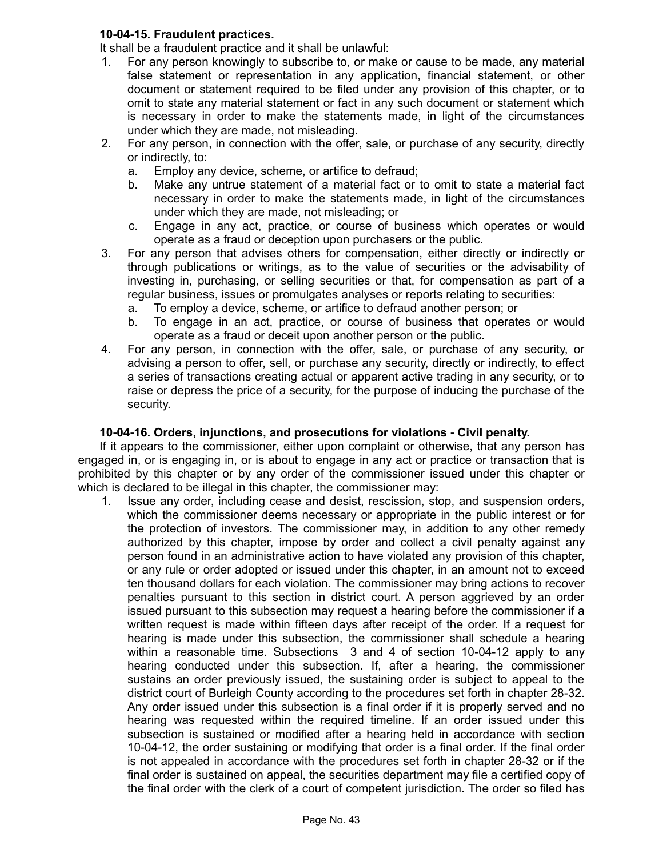## **10-04-15. Fraudulent practices.**

It shall be a fraudulent practice and it shall be unlawful:

- 1. For any person knowingly to subscribe to, or make or cause to be made, any material false statement or representation in any application, financial statement, or other document or statement required to be filed under any provision of this chapter, or to omit to state any material statement or fact in any such document or statement which is necessary in order to make the statements made, in light of the circumstances under which they are made, not misleading.
- 2. For any person, in connection with the offer, sale, or purchase of any security, directly or indirectly, to:
	- a. Employ any device, scheme, or artifice to defraud;
	- b. Make any untrue statement of a material fact or to omit to state a material fact necessary in order to make the statements made, in light of the circumstances under which they are made, not misleading; or
	- c. Engage in any act, practice, or course of business which operates or would operate as a fraud or deception upon purchasers or the public.
- 3. For any person that advises others for compensation, either directly or indirectly or through publications or writings, as to the value of securities or the advisability of investing in, purchasing, or selling securities or that, for compensation as part of a regular business, issues or promulgates analyses or reports relating to securities:
	- a. To employ a device, scheme, or artifice to defraud another person; or
	- b. To engage in an act, practice, or course of business that operates or would operate as a fraud or deceit upon another person or the public.
- 4. For any person, in connection with the offer, sale, or purchase of any security, or advising a person to offer, sell, or purchase any security, directly or indirectly, to effect a series of transactions creating actual or apparent active trading in any security, or to raise or depress the price of a security, for the purpose of inducing the purchase of the security.

## **10-04-16. Orders, injunctions, and prosecutions for violations - Civil penalty.**

If it appears to the commissioner, either upon complaint or otherwise, that any person has engaged in, or is engaging in, or is about to engage in any act or practice or transaction that is prohibited by this chapter or by any order of the commissioner issued under this chapter or which is declared to be illegal in this chapter, the commissioner may:

1. Issue any order, including cease and desist, rescission, stop, and suspension orders, which the commissioner deems necessary or appropriate in the public interest or for the protection of investors. The commissioner may, in addition to any other remedy authorized by this chapter, impose by order and collect a civil penalty against any person found in an administrative action to have violated any provision of this chapter, or any rule or order adopted or issued under this chapter, in an amount not to exceed ten thousand dollars for each violation. The commissioner may bring actions to recover penalties pursuant to this section in district court. A person aggrieved by an order issued pursuant to this subsection may request a hearing before the commissioner if a written request is made within fifteen days after receipt of the order. If a request for hearing is made under this subsection, the commissioner shall schedule a hearing within a reasonable time. Subsections 3 and 4 of section 10-04-12 apply to any hearing conducted under this subsection. If, after a hearing, the commissioner sustains an order previously issued, the sustaining order is subject to appeal to the district court of Burleigh County according to the procedures set forth in chapter 28-32. Any order issued under this subsection is a final order if it is properly served and no hearing was requested within the required timeline. If an order issued under this subsection is sustained or modified after a hearing held in accordance with section 10-04-12, the order sustaining or modifying that order is a final order. If the final order is not appealed in accordance with the procedures set forth in chapter 28-32 or if the final order is sustained on appeal, the securities department may file a certified copy of the final order with the clerk of a court of competent jurisdiction. The order so filed has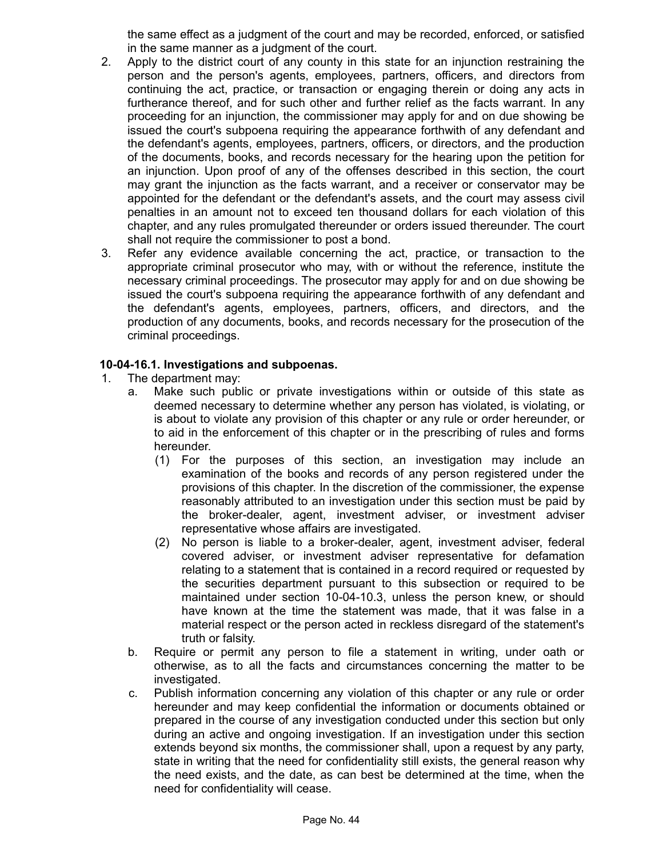the same effect as a judgment of the court and may be recorded, enforced, or satisfied in the same manner as a judgment of the court.

- 2. Apply to the district court of any county in this state for an injunction restraining the person and the person's agents, employees, partners, officers, and directors from continuing the act, practice, or transaction or engaging therein or doing any acts in furtherance thereof, and for such other and further relief as the facts warrant. In any proceeding for an injunction, the commissioner may apply for and on due showing be issued the court's subpoena requiring the appearance forthwith of any defendant and the defendant's agents, employees, partners, officers, or directors, and the production of the documents, books, and records necessary for the hearing upon the petition for an injunction. Upon proof of any of the offenses described in this section, the court may grant the injunction as the facts warrant, and a receiver or conservator may be appointed for the defendant or the defendant's assets, and the court may assess civil penalties in an amount not to exceed ten thousand dollars for each violation of this chapter, and any rules promulgated thereunder or orders issued thereunder. The court shall not require the commissioner to post a bond.
- 3. Refer any evidence available concerning the act, practice, or transaction to the appropriate criminal prosecutor who may, with or without the reference, institute the necessary criminal proceedings. The prosecutor may apply for and on due showing be issued the court's subpoena requiring the appearance forthwith of any defendant and the defendant's agents, employees, partners, officers, and directors, and the production of any documents, books, and records necessary for the prosecution of the criminal proceedings.

# **10-04-16.1. Investigations and subpoenas.**

- 1. The department may:
	- a. Make such public or private investigations within or outside of this state as deemed necessary to determine whether any person has violated, is violating, or is about to violate any provision of this chapter or any rule or order hereunder, or to aid in the enforcement of this chapter or in the prescribing of rules and forms hereunder.
		- (1) For the purposes of this section, an investigation may include an examination of the books and records of any person registered under the provisions of this chapter. In the discretion of the commissioner, the expense reasonably attributed to an investigation under this section must be paid by the broker-dealer, agent, investment adviser, or investment adviser representative whose affairs are investigated.
		- (2) No person is liable to a broker-dealer, agent, investment adviser, federal covered adviser, or investment adviser representative for defamation relating to a statement that is contained in a record required or requested by the securities department pursuant to this subsection or required to be maintained under section 10-04-10.3, unless the person knew, or should have known at the time the statement was made, that it was false in a material respect or the person acted in reckless disregard of the statement's truth or falsity.
	- b. Require or permit any person to file a statement in writing, under oath or otherwise, as to all the facts and circumstances concerning the matter to be investigated.
	- c. Publish information concerning any violation of this chapter or any rule or order hereunder and may keep confidential the information or documents obtained or prepared in the course of any investigation conducted under this section but only during an active and ongoing investigation. If an investigation under this section extends beyond six months, the commissioner shall, upon a request by any party, state in writing that the need for confidentiality still exists, the general reason why the need exists, and the date, as can best be determined at the time, when the need for confidentiality will cease.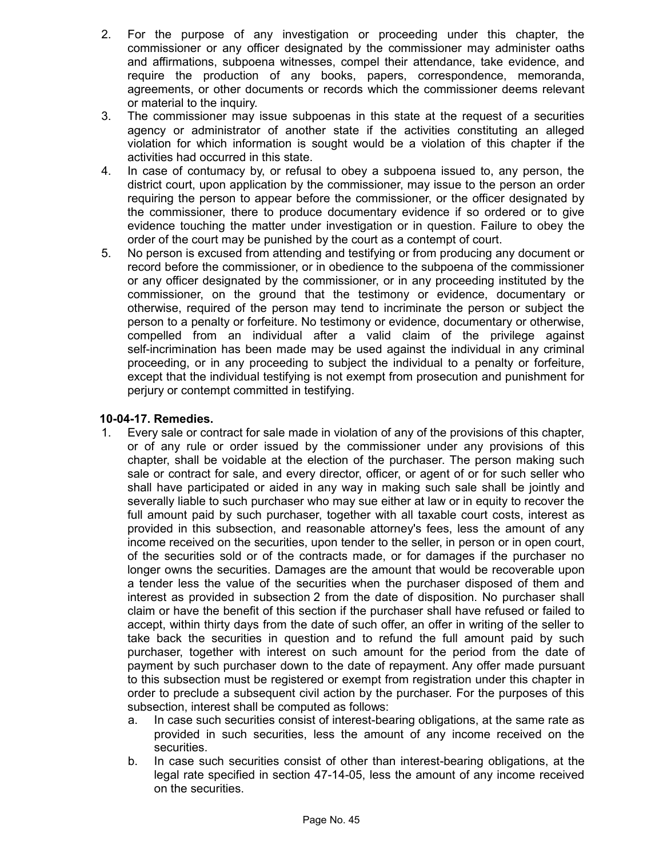- 2. For the purpose of any investigation or proceeding under this chapter, the commissioner or any officer designated by the commissioner may administer oaths and affirmations, subpoena witnesses, compel their attendance, take evidence, and require the production of any books, papers, correspondence, memoranda, agreements, or other documents or records which the commissioner deems relevant or material to the inquiry.
- 3. The commissioner may issue subpoenas in this state at the request of a securities agency or administrator of another state if the activities constituting an alleged violation for which information is sought would be a violation of this chapter if the activities had occurred in this state.
- 4. In case of contumacy by, or refusal to obey a subpoena issued to, any person, the district court, upon application by the commissioner, may issue to the person an order requiring the person to appear before the commissioner, or the officer designated by the commissioner, there to produce documentary evidence if so ordered or to give evidence touching the matter under investigation or in question. Failure to obey the order of the court may be punished by the court as a contempt of court.
- 5. No person is excused from attending and testifying or from producing any document or record before the commissioner, or in obedience to the subpoena of the commissioner or any officer designated by the commissioner, or in any proceeding instituted by the commissioner, on the ground that the testimony or evidence, documentary or otherwise, required of the person may tend to incriminate the person or subject the person to a penalty or forfeiture. No testimony or evidence, documentary or otherwise, compelled from an individual after a valid claim of the privilege against self-incrimination has been made may be used against the individual in any criminal proceeding, or in any proceeding to subject the individual to a penalty or forfeiture, except that the individual testifying is not exempt from prosecution and punishment for perjury or contempt committed in testifying.

# **10-04-17. Remedies.**

- 1. Every sale or contract for sale made in violation of any of the provisions of this chapter, or of any rule or order issued by the commissioner under any provisions of this chapter, shall be voidable at the election of the purchaser. The person making such sale or contract for sale, and every director, officer, or agent of or for such seller who shall have participated or aided in any way in making such sale shall be jointly and severally liable to such purchaser who may sue either at law or in equity to recover the full amount paid by such purchaser, together with all taxable court costs, interest as provided in this subsection, and reasonable attorney's fees, less the amount of any income received on the securities, upon tender to the seller, in person or in open court, of the securities sold or of the contracts made, or for damages if the purchaser no longer owns the securities. Damages are the amount that would be recoverable upon a tender less the value of the securities when the purchaser disposed of them and interest as provided in subsection 2 from the date of disposition. No purchaser shall claim or have the benefit of this section if the purchaser shall have refused or failed to accept, within thirty days from the date of such offer, an offer in writing of the seller to take back the securities in question and to refund the full amount paid by such purchaser, together with interest on such amount for the period from the date of payment by such purchaser down to the date of repayment. Any offer made pursuant to this subsection must be registered or exempt from registration under this chapter in order to preclude a subsequent civil action by the purchaser. For the purposes of this subsection, interest shall be computed as follows:
	- a. In case such securities consist of interest-bearing obligations, at the same rate as provided in such securities, less the amount of any income received on the securities.
	- b. In case such securities consist of other than interest-bearing obligations, at the legal rate specified in section 47-14-05, less the amount of any income received on the securities.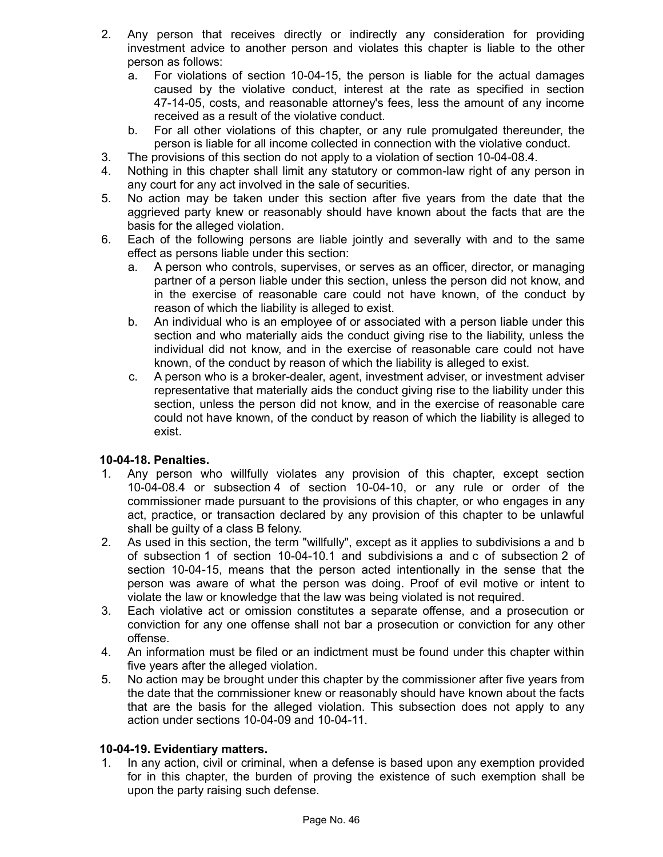- 2. Any person that receives directly or indirectly any consideration for providing investment advice to another person and violates this chapter is liable to the other person as follows:
	- a. For violations of section 10-04-15, the person is liable for the actual damages caused by the violative conduct, interest at the rate as specified in section 47-14-05, costs, and reasonable attorney's fees, less the amount of any income received as a result of the violative conduct.
	- b. For all other violations of this chapter, or any rule promulgated thereunder, the person is liable for all income collected in connection with the violative conduct.
- 3. The provisions of this section do not apply to a violation of section 10-04-08.4.
- 4. Nothing in this chapter shall limit any statutory or common-law right of any person in any court for any act involved in the sale of securities.
- 5. No action may be taken under this section after five years from the date that the aggrieved party knew or reasonably should have known about the facts that are the basis for the alleged violation.
- 6. Each of the following persons are liable jointly and severally with and to the same effect as persons liable under this section:
	- a. A person who controls, supervises, or serves as an officer, director, or managing partner of a person liable under this section, unless the person did not know, and in the exercise of reasonable care could not have known, of the conduct by reason of which the liability is alleged to exist.
	- b. An individual who is an employee of or associated with a person liable under this section and who materially aids the conduct giving rise to the liability, unless the individual did not know, and in the exercise of reasonable care could not have known, of the conduct by reason of which the liability is alleged to exist.
	- c. A person who is a broker-dealer, agent, investment adviser, or investment adviser representative that materially aids the conduct giving rise to the liability under this section, unless the person did not know, and in the exercise of reasonable care could not have known, of the conduct by reason of which the liability is alleged to exist.

## **10-04-18. Penalties.**

- 1. Any person who willfully violates any provision of this chapter, except section 10-04-08.4 or subsection 4 of section 10-04-10, or any rule or order of the commissioner made pursuant to the provisions of this chapter, or who engages in any act, practice, or transaction declared by any provision of this chapter to be unlawful shall be guilty of a class B felony.
- 2. As used in this section, the term "willfully", except as it applies to subdivisions a and b of subsection 1 of section 10-04-10.1 and subdivisions a and c of subsection 2 of section 10-04-15, means that the person acted intentionally in the sense that the person was aware of what the person was doing. Proof of evil motive or intent to violate the law or knowledge that the law was being violated is not required.
- 3. Each violative act or omission constitutes a separate offense, and a prosecution or conviction for any one offense shall not bar a prosecution or conviction for any other offense.
- 4. An information must be filed or an indictment must be found under this chapter within five years after the alleged violation.
- 5. No action may be brought under this chapter by the commissioner after five years from the date that the commissioner knew or reasonably should have known about the facts that are the basis for the alleged violation. This subsection does not apply to any action under sections 10-04-09 and 10-04-11.

# **10-04-19. Evidentiary matters.**

1. In any action, civil or criminal, when a defense is based upon any exemption provided for in this chapter, the burden of proving the existence of such exemption shall be upon the party raising such defense.